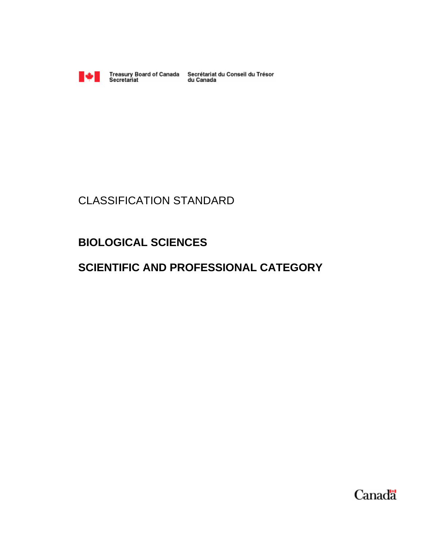

Treasury Board of Canada Secrétariat du Conseil du Trésor<br>Secretariat du Canada

# CLASSIFICATION STANDARD

## **BIOLOGICAL SCIENCES**

## **SCIENTIFIC AND PROFESSIONAL CATEGORY**

Canada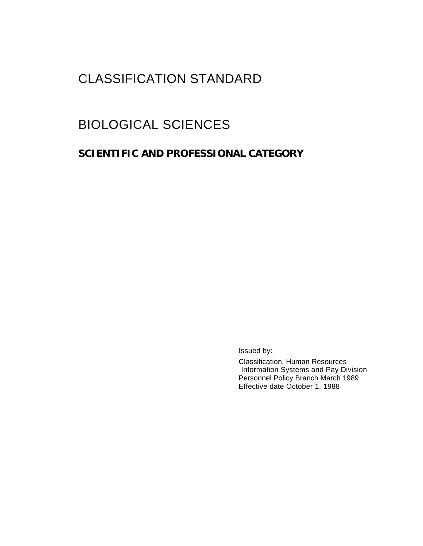# CLASSIFICATION STANDARD

# BIOLOGICAL SCIENCES

## **SCIENTIFIC AND PROFESSIONAL CATEGORY**

Issued by:

Classification, Human Resources Information Systems and Pay Division Personnel Policy Branch March 1989 Effective date October 1, 1988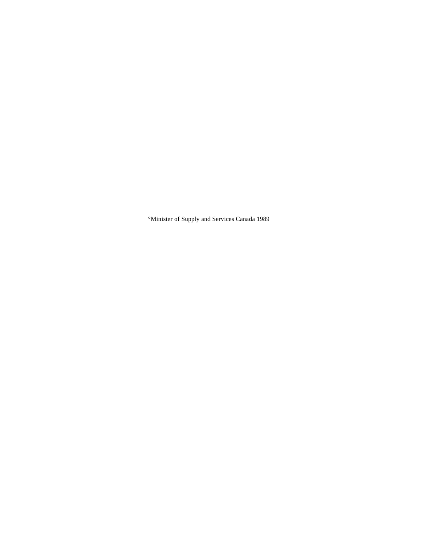°Minister of Supply and Services Canada 1989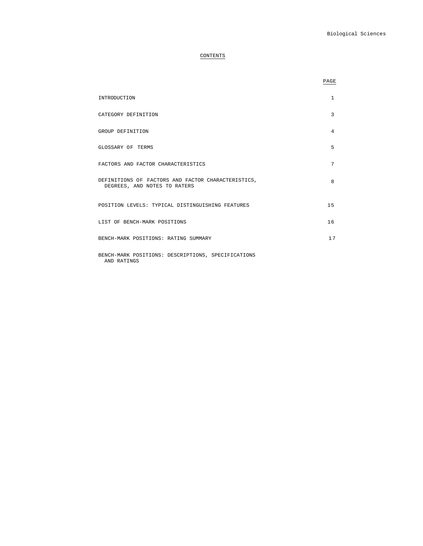### CONTENTS

|                                                                                    | PAGE           |
|------------------------------------------------------------------------------------|----------------|
| INTRODUCTION                                                                       | $\mathbf{1}$   |
| CATEGORY DEFINITION                                                                | 3              |
| GROUP DEFINITION                                                                   | $\overline{4}$ |
| GLOSSARY OF TERMS                                                                  | 5              |
| FACTORS AND FACTOR CHARACTERISTICS                                                 | 7              |
| DEFINITIONS OF FACTORS AND FACTOR CHARACTERISTICS,<br>DEGREES, AND NOTES TO RATERS | 8              |
| POSITION LEVELS: TYPICAL DISTINGUISHING FEATURES                                   | 15             |
| LIST OF BENCH-MARK POSITIONS                                                       | 16             |
| BENCH-MARK POSITIONS: RATING SUMMARY                                               | 17             |
| BENCH-MARK POSITIONS: DESCRIPTIONS, SPECIFICATIONS<br>AND RATINGS                  |                |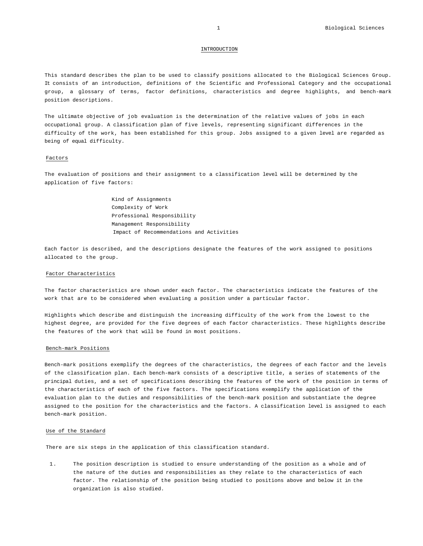### INTRODUCTION

This standard describes the plan to be used to classify positions allocated to the Biological Sciences Group. It consists of an introduction, definitions of the Scientific and Professional Category and the occupational group, a glossary of terms, factor definitions, characteristics and degree highlights, and bench-mark position descriptions.

The ultimate objective of job evaluation is the determination of the relative values of jobs in each occupational group. A classification plan of five levels, representing significant differences in the difficulty of the work, has been established for this group. Jobs assigned to a given level are regarded as being of equal difficulty.

### Factors

The evaluation of positions and their assignment to a classification level will be determined by the application of five factors:

> Kind of Assignments Complexity of Work Professional Responsibility Management Responsibility Impact of Recommendations and Activities

Each factor is described, and the descriptions designate the features of the work assigned to positions allocated to the group.

### Factor Characteristics

The factor characteristics are shown under each factor. The characteristics indicate the features of the work that are to be considered when evaluating a position under a particular factor.

Highlights which describe and distinguish the increasing difficulty of the work from the lowest to the highest degree, are provided for the five degrees of each factor characteristics. These highlights describe the features of the work that will be found in most positions.

### Bench-mark Positions

Bench-mark positions exemplify the degrees of the characteristics, the degrees of each factor and the levels of the classification plan. Each bench-mark consists of a descriptive title, a series of statements of the principal duties, and a set of specifications describing the features of the work of the position in terms of the characteristics of each of the five factors. The specifications exemplify the application of the evaluation plan to the duties and responsibilities of the bench-mark position and substantiate the degree assigned to the position for the characteristics and the factors. A classification level is assigned to each bench-mark position.

### Use of the Standard

There are six steps in the application of this classification standard.

1. The position description is studied to ensure understanding of the position as a whole and of the nature of the duties and responsibilities as they relate to the characteristics of each factor. The relationship of the position being studied to positions above and below it in the organization is also studied.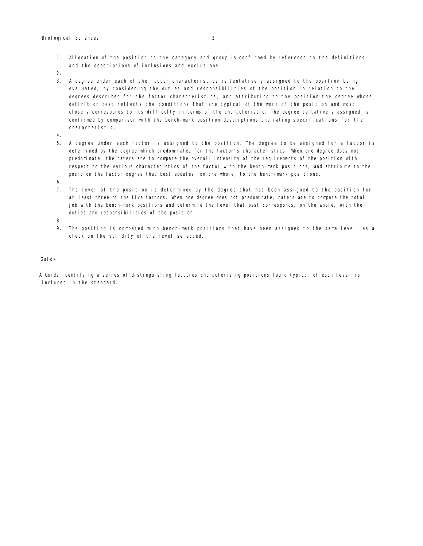- 1. Allocation of the position to the category and group is confirmed by reference to the definitions and the descriptions of inclusions and exclusions.
- 2.
- 3. A degree under each of the factor characteristics is tentatively assigned to the position being evaluated, by considering the duties and responsibilities of the position in relation to the degrees described for the factor characteristics, and attributing to the position the degree whose definition best reflects the conditions that are typical of the work of the position and most closely corresponds to its difficulty in terms of the characteristic. The degree tentatively assigned is confirmed by comparison with the bench-mark position descriptions and rating specifications for the characteristic.
- 4.
- 5. A degree under each factor is assigned to the position. The degree to be assigned for a factor is determined by the degree which predominates for the factor's characteristics. When one degree does not predominate, the raters are to compare the overall intensity of the requirements of the position with respect to the various characteristics of the factor with the bench-mark positions, and attribute to the position the factor degree that best equates, on the whole, to the bench-mark positions.
- 6.
- 7. The level of the position is determined by the degree that has been assigned to the position for at least three of the five factors. When one degree does not predominate, raters are to compare the total job with the bench-mark positions and determine the level that best corresponds, on the whole, with the duties and responsibilities of the position.
- 8.
- 9. The position is compared with bench-mark positions that have been assigned to the same level, as a check on the validity of the level selected.

### Guide

A Guide identifying a series of distinguishing features characterizing positions found typical of each level is included in the standard.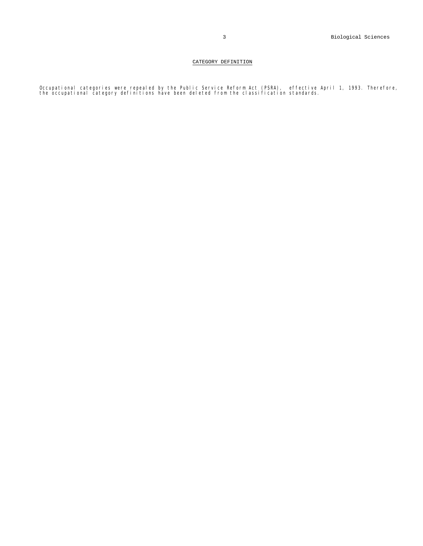### CATEGORY DEFINITION

Occupational categories were repealed by the Public Service Reform Act (PSRA), effective April 1, 1993. Therefore,<br>the occupational category definitions have been deleted from the classification standards.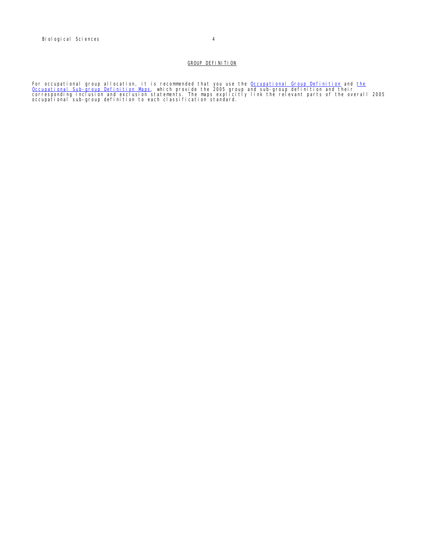For occupational group allocation, it is recommended that you use the <u>Occupational Group Definition</u> and <u>the</u><br><u>Occupational Sub-group Definition Maps</u>, which provide the 2005 group and sub-group definition and their<br>corr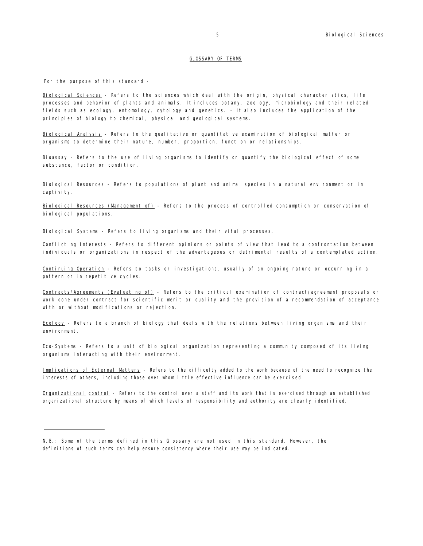### GLOSSARY OF TERMS

For the purpose of this standard -

Biological Sciences - Refers to the sciences which deal with the origin, physical characteristics, life processes and behavior of plants and animals. It includes botany, zoology, microbiology and their related fields such as ecology, entomology, cytology and genetics. - It also includes the application of the principles of biology to chemical, physical and geological systems.

Biological Analysis - Refers to the qualitative or quantitative examination of biological matter or organisms to determine their nature, number, proportion, function or relationships.

Bioassay - Refers to the use of living organisms to identify or quantify the biological effect of some substance, factor or condition.

Biological Resources - Refers to populations of plant and animal species in a natural environment or in capti vi ty.

Biological Resources (Management of) - Refers to the process of controlled consumption or conservation of biological populations.

Biological Systems - Refers to living organisms and their vital processes.

Conflicting Interests - Refers to different opinions or points of view that lead to a confrontation between individuals or organizations in respect of the advantageous or detrimental results of a contemplated action.

Continuing Operation - Refers to tasks or investigations, usually of an ongoing nature or occurring in a pattern or in repetitive cycles.

Contracts/Agreements (Evaluating of) - Refers to the critical examination of contract/agreement proposals or work done under contract for scientific merit or quality and the provision of a recommendation of acceptance with or without modifications or rejection.

Ecology - Refers to a branch of biology that deals with the relations between living organisms and their environment.

Eco-Systems - Refers to a unit of biological organization representing a community composed of its living organisms interacting with their environment.

Implications of External Matters - Refers to the difficulty added to the work because of the need to recognize the interests of others, including those over whom little effective influence can be exercised.

Organizational control - Refers to the control over a staff and its work that is exercised through an established organizational structure by means of which levels of responsibility and authority are clearly identified.

N.B.: Some of the terms defined in this Glossary are not used in this standard. However, the definitions of such terms can help ensure consistency where their use may be indicated.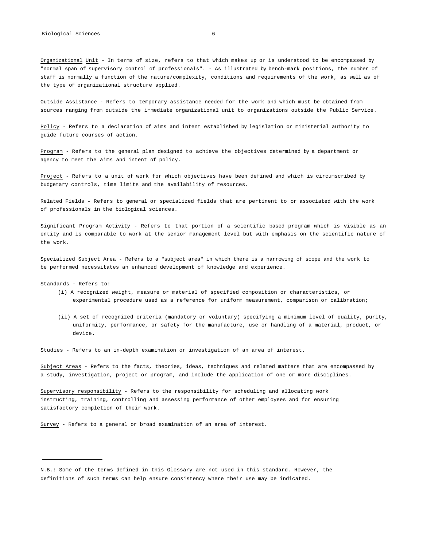Organizational Unit - In terms of size, refers to that which makes up or is understood to be encompassed by "normal span of supervisory control of professionals". - As illustrated by bench-mark positions, the number of staff is normally a function of the nature/complexity, conditions and requirements of the work, as well as of the type of organizational structure applied.

Outside Assistance - Refers to temporary assistance needed for the work and which must be obtained from sources ranging from outside the immediate organizational unit to organizations outside the Public Service.

Policy - Refers to a declaration of aims and intent established by legislation or ministerial authority to guide future courses of action.

Program - Refers to the general plan designed to achieve the objectives determined by a department or agency to meet the aims and intent of policy.

Project - Refers to a unit of work for which objectives have been defined and which is circumscribed by budgetary controls, time limits and the availability of resources.

Related Fields - Refers to general or specialized fields that are pertinent to or associated with the work of professionals in the biological sciences.

Significant Program Activity - Refers to that portion of a scientific based program which is visible as an entity and is comparable to work at the senior management level but with emphasis on the scientific nature of the work.

Specialized Subject Area - Refers to a "subject area" in which there is a narrowing of scope and the work to be performed necessitates an enhanced development of knowledge and experience.

Standards - Refers to:

- (i) A recognized weight, measure or material of specified composition or characteristics, or experimental procedure used as a reference for uniform measurement, comparison or calibration;
- (ii) A set of recognized criteria (mandatory or voluntary) specifying a minimum level of quality, purity, uniformity, performance, or safety for the manufacture, use or handling of a material, product, or device.

Studies - Refers to an in-depth examination or investigation of an area of interest.

Subject Areas - Refers to the facts, theories, ideas, techniques and related matters that are encompassed by a study, investigation, project or program, and include the application of one or more disciplines.

Supervisory responsibility - Refers to the responsibility for scheduling and allocating work instructing, training, controlling and assessing performance of other employees and for ensuring satisfactory completion of their work.

Survey - Refers to a general or broad examination of an area of interest.

N.B.: Some of the terms defined in this Glossary are not used in this standard. However, the definitions of such terms can help ensure consistency where their use may be indicated.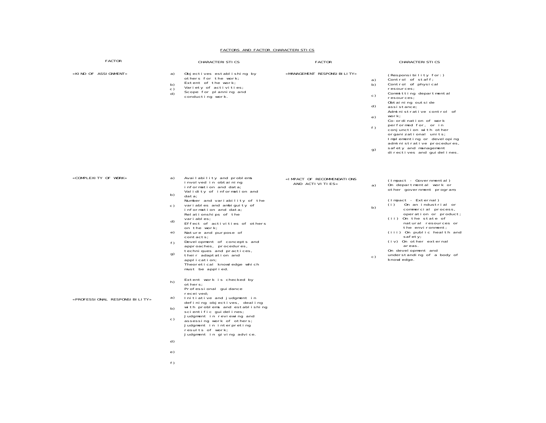#### FACTORS AND FACTOR CHARACTERISTICS

| FACTOR                        | CHARACTERI STI CS                                                                                                                                                                                                                                                                                                                                                                                                                                                                                                                                                       | <b>FACTOR</b>                                 | <b>CHARACTERISTICS</b>                                                                                                                                                                                                                                                                                                                                                                                                                                                  |
|-------------------------------|-------------------------------------------------------------------------------------------------------------------------------------------------------------------------------------------------------------------------------------------------------------------------------------------------------------------------------------------------------------------------------------------------------------------------------------------------------------------------------------------------------------------------------------------------------------------------|-----------------------------------------------|-------------------------------------------------------------------------------------------------------------------------------------------------------------------------------------------------------------------------------------------------------------------------------------------------------------------------------------------------------------------------------------------------------------------------------------------------------------------------|
| «KIND OF ASSIGNMENT»          | a)<br>Objectives establishing by<br>others for the work;<br>Extent of the work;<br>b)<br>Variety of activities;<br>c)<br>Scope for planning and<br>d)<br>conducting work.                                                                                                                                                                                                                                                                                                                                                                                               | «MANAGEMENT RESPONSI BILITY»                  | (Responsibility for:)<br>Control of staff;<br>a)<br>Control of physical<br>b)<br>resources;<br>Committing departmental<br>c)<br>resources;<br>Obtaining outside<br>d)<br>assistance;<br>Administrative control of<br>work;<br>e)<br>Co-ordination of work<br>performed for, or in<br>f)<br>conjunction with other<br>organi zati onal uni ts;<br>Implementing or developing<br>administrative procedures,<br>safety and management<br>g)<br>di rectives and quidelines. |
| «COMPLEXITY OF WORK»          | Availability and problems<br>a)<br>involved in obtaining<br>information and data;<br>Validity of information and<br>b)<br>data:<br>Number and variability of the<br>variables and ambiguity of<br>c)<br>information and data:<br>Relationships of the<br>vari ables;<br>d)<br>Effect of activities of others<br>on the work;<br>e)<br>Nature and purpose of<br>contacts;<br>Devel opment of concepts and<br>f)<br>approaches, procedures,<br>techniques and practices,<br>g)<br>their adaptation and<br>application;<br>Theoretical knowledge which<br>must be applied. | «IMPACT OF RECOMMENDATIONS<br>AND ACTIVITIES» | (Impact - Governmental)<br>On departmental work or<br>a)<br>other government program;<br>(Impact - External)<br>(i)<br>On an industrial or<br>b)<br>commercial process,<br>operation or product;<br>(ii) On the state of<br>natural resources or<br>the environment;<br>(iii) On public health and<br>safety;<br>(iv) On other external<br>areas.<br>On development and<br>understanding of a body of<br>c)<br>knowl edge.                                              |
| «PROFESSIONAL RESPONSIBILITY» | Extent work is checked by<br>h)<br>others;<br>Professional quidance<br>recei ved;<br>a)<br>Initiative and judgment in<br>defining objectives, dealing<br>with problems and establishing<br>b)<br>scientific quidelines;<br>Judgment in reviewing and<br>c)<br>assessing work of others;<br>Judgment in interpreting<br>results of work;<br>Judgment in giving advice.<br>d)<br>e)<br>f)                                                                                                                                                                                 |                                               |                                                                                                                                                                                                                                                                                                                                                                                                                                                                         |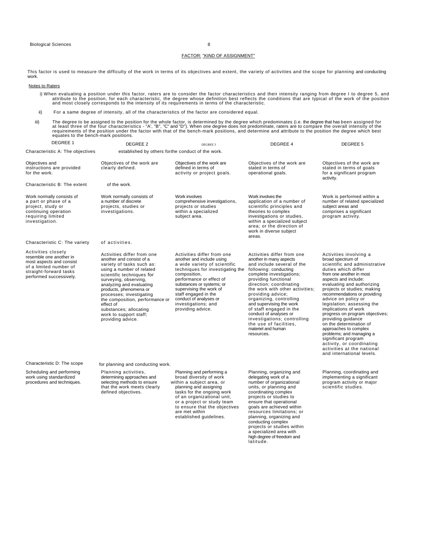### FACTOR: "KIND OF ASSIGNMENT"

This factor is used to measure the difficulty of the work in terms of its objectives and extent, the variety of activities and the scope for planning and conducting work.

### Notes to Raters

- i) When evaluating a position under this factor, raters are to consider the factor characteristics and their intensity ranging from degree I to degree 5, and<br>attribute to the position, for each characteristic, the degree w
- ii) For a same degree of intensity, all of the characteristics of the factor are considered equal.
- iii) The degree to be assigned to the position for the whole factor, is determined by the degree which predominates (i.e. the degree that has been assigned for<br>at least three of the four characteristics "A", "B", "C" and

| DEGREE 1                                                                                                                                                 | DEGREE 2                                                                                                                                                                                                                                                                                                                                                                          | <b>DEGREE 3</b>                                                                                                                                                                                                                                                                                                               | DEGREE 4                                                                                                                                                                                                                                                                                                                                                                                                                                                     | DEGREE 5                                                                                                                                                                                                                                                                                                                                                                                                                                                                                                                                                                                  |  |
|----------------------------------------------------------------------------------------------------------------------------------------------------------|-----------------------------------------------------------------------------------------------------------------------------------------------------------------------------------------------------------------------------------------------------------------------------------------------------------------------------------------------------------------------------------|-------------------------------------------------------------------------------------------------------------------------------------------------------------------------------------------------------------------------------------------------------------------------------------------------------------------------------|--------------------------------------------------------------------------------------------------------------------------------------------------------------------------------------------------------------------------------------------------------------------------------------------------------------------------------------------------------------------------------------------------------------------------------------------------------------|-------------------------------------------------------------------------------------------------------------------------------------------------------------------------------------------------------------------------------------------------------------------------------------------------------------------------------------------------------------------------------------------------------------------------------------------------------------------------------------------------------------------------------------------------------------------------------------------|--|
| Characteristic A: The objectives                                                                                                                         | established by others forthe conduct of the work.                                                                                                                                                                                                                                                                                                                                 |                                                                                                                                                                                                                                                                                                                               |                                                                                                                                                                                                                                                                                                                                                                                                                                                              |                                                                                                                                                                                                                                                                                                                                                                                                                                                                                                                                                                                           |  |
| Objectives and<br>instructions are provided<br>for the work.                                                                                             | Objectives of the work are<br>clearly defined.                                                                                                                                                                                                                                                                                                                                    | Objectives of the work are<br>defined in terms of<br>activity or project goals.                                                                                                                                                                                                                                               | Objectives of the work are<br>stated in terms of<br>operational goals.                                                                                                                                                                                                                                                                                                                                                                                       | Objectives of the work are<br>stated in terms of goals<br>for a significant program<br>activity.                                                                                                                                                                                                                                                                                                                                                                                                                                                                                          |  |
| Characteristic B: The extent                                                                                                                             | of the work.                                                                                                                                                                                                                                                                                                                                                                      |                                                                                                                                                                                                                                                                                                                               |                                                                                                                                                                                                                                                                                                                                                                                                                                                              |                                                                                                                                                                                                                                                                                                                                                                                                                                                                                                                                                                                           |  |
| Work normally consists of<br>a part or phase of a<br>project, study or<br>continuing operation<br>requiring limited<br>investigation.                    | Work normally consists of<br>a number of discrete<br>projects, studies or<br>investigations.                                                                                                                                                                                                                                                                                      | Work involves<br>comprehensive investigations,<br>projects or studies<br>within a specialized<br>subject area.                                                                                                                                                                                                                | Work involves the<br>application of a number of<br>scientific principles and<br>theories to complex<br>investigations or studies,<br>within a specialized subject<br>area; or the direction of<br>work in diverse subject<br>areas.                                                                                                                                                                                                                          | Work is performed within a<br>number of related specialized<br>subject areas and<br>comprises a significant<br>program activity.                                                                                                                                                                                                                                                                                                                                                                                                                                                          |  |
| Characteristic C: The variety                                                                                                                            | of activities.                                                                                                                                                                                                                                                                                                                                                                    |                                                                                                                                                                                                                                                                                                                               |                                                                                                                                                                                                                                                                                                                                                                                                                                                              |                                                                                                                                                                                                                                                                                                                                                                                                                                                                                                                                                                                           |  |
| Activities closely<br>resemble one another in<br>most aspects and consist<br>of a limited number of<br>straight-forward tasks<br>performed successively. | Activities differ from one<br>another and consist of a<br>variety of tasks such as:<br>using a number of related<br>scientific techniques for<br>surveying, observing,<br>analyzing and evaluating<br>products, phenomena or<br>processes; investigating<br>the composition, performance or<br>effect of<br>substances; allocating<br>work to support staff;<br>providing advice. | Activities differ from one<br>another and include using<br>a wide variety of scientific<br>techniques for investigating the<br>composition,<br>performance or effect of<br>substances or systems; or<br>supervising the work of<br>staff engaged in the<br>conduct of analyses or<br>investigations; and<br>providing advice. | Activities differ from one<br>another in many aspects<br>and include several of the<br>following: conducting<br>complete investigations;<br>providing functional<br>direction; coordinating<br>the work with other activities;<br>providing advice;<br>organizing, controlling<br>and supervising the work<br>of staff engaged in the<br>conduct of analyses or<br>investigations; controlling<br>the use of facilities.<br>materiel and human<br>resources. | Activities involving a<br>broad spectrum of<br>scientific and administrative<br>duties which differ<br>from one another in most<br>aspects and include:<br>evaluating and authorizing<br>projects or studies; making<br>recommendations or providing<br>advice on policy or<br>legislation; assessing the<br>implications of work<br>progress on program objectives;<br>providing quidance<br>on the determination of<br>approaches to complex<br>problems; and managing a<br>significant program<br>activity, or coordinating<br>activities at the national<br>and international levels. |  |
| Characteristic D: The scope                                                                                                                              | for planning and conducting work.                                                                                                                                                                                                                                                                                                                                                 |                                                                                                                                                                                                                                                                                                                               |                                                                                                                                                                                                                                                                                                                                                                                                                                                              |                                                                                                                                                                                                                                                                                                                                                                                                                                                                                                                                                                                           |  |
| Scheduling and performing<br>work using standardized<br>procedures and techniques.                                                                       | Planning activities,<br>determining approaches and<br>selecting methods to ensure<br>that the work meets clearly<br>defined objectives.                                                                                                                                                                                                                                           | Planning and performing a<br>broad diversity of work<br>within a subject area, or<br>planning and assigning<br>tasks for the ongoing work<br>of an organizational unit,<br>or a project or study team<br>to ensure that the objectives<br>are met within<br>established guidelines.                                           | Planning, organizing and<br>delegating work of a<br>number of organizational<br>units, or planning and<br>coordinating complex<br>projects or studies to<br>ensure that operational<br>goals are achieved within<br>resources limitations; or<br>planning, organizing and<br>conducting complex<br>projects or studies within<br>a specialized area with<br>high degree of freedom and<br>latitude.                                                          | Planning, coordinating and<br>implementing a significant<br>program activity or major<br>scientific studies.                                                                                                                                                                                                                                                                                                                                                                                                                                                                              |  |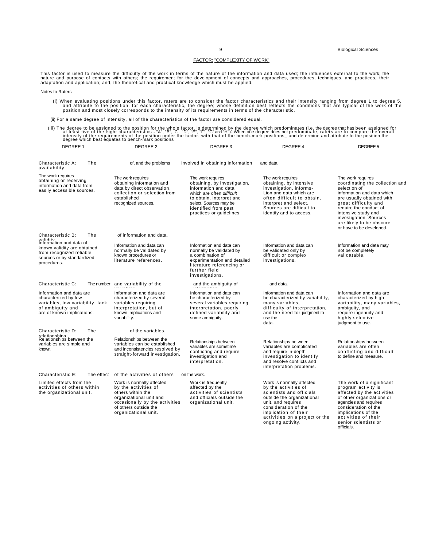### FACTOR: "COMPLEXITY OF WORK"

This factor is used to measure the difficulty of the work in terms of the nature of the information and data used; the influences external to the work; the<br>nature and purpose of contacts with others; the requirement for th

### Notes to Raters

,i) When evaluating positions under this factor, raters are to consider the factor characteristics and their intensity ranging from degree 1 to degree 5,<br>and attribute to the position, for each characteristic, the degree;

(ii) For a same degree of intensity, all of the characteristics of the factor are considered equal.

(iii) The degree to be assigned to the position for the whole factor, is determined by the degree which predominates (i.e. the degree that has been assigned for at least five of the eight characteristics - "A", "G", "E", "

| DEGREE 1                                                                                                                               | DEGREE 2                                                                                                                                                                             | DEGREE 3                                                                                                                                                                                                         | DEGREE 4                                                                                                                                                                                                                                 | DEGREE 5                                                                                                                                                                                                                                                                                   |
|----------------------------------------------------------------------------------------------------------------------------------------|--------------------------------------------------------------------------------------------------------------------------------------------------------------------------------------|------------------------------------------------------------------------------------------------------------------------------------------------------------------------------------------------------------------|------------------------------------------------------------------------------------------------------------------------------------------------------------------------------------------------------------------------------------------|--------------------------------------------------------------------------------------------------------------------------------------------------------------------------------------------------------------------------------------------------------------------------------------------|
| Characteristic A:<br>The<br>availability                                                                                               | of, and the problems                                                                                                                                                                 | involved in obtaining information                                                                                                                                                                                | and data.                                                                                                                                                                                                                                |                                                                                                                                                                                                                                                                                            |
| The work requires<br>obtaining or receiving<br>information and data from<br>easily accessible sources.                                 | The work requires<br>obtaining information and<br>data by direct observation,<br>collection or selection from<br>established<br>recognized sources.                                  | The work requires<br>obtaining, by investigation,<br>information and data<br>which are often difficult<br>to obtain, interpret and<br>select. Sources may be<br>identified from past<br>practices or guidelines. | The work requires<br>obtaining, by intensive<br>investigation, informs-<br>Lion and data which are<br>often difficult to obtain,<br>interpret and select.<br>Sources are difficult to<br>identify and to access.                         | The work requires<br>coordinating the collection and<br>selection of<br>information and data which<br>are usually obtained with<br>great difficulty and<br>require the conduct of<br>intensive study and<br>investigation. Sources<br>are likely to be obscure<br>or have to be developed. |
| Characteristic B:<br>The<br>validity                                                                                                   | of information and data.                                                                                                                                                             |                                                                                                                                                                                                                  |                                                                                                                                                                                                                                          |                                                                                                                                                                                                                                                                                            |
| Information and data of<br>known validity are obtained<br>from recognized reliable<br>sources or by standardized<br>procedures.        | Information and data can<br>normally be validated by<br>known procedures or<br>literature references.                                                                                | Information and data can<br>normally be validated by<br>a combination of<br>experimentation and detailed<br>literature referencing or<br>further field<br>investigations.                                        | Information and data can<br>be validated only by<br>difficult or complex<br>investigations.                                                                                                                                              | Information and data may<br>not be completely<br>validatable.                                                                                                                                                                                                                              |
| Characteristic C:                                                                                                                      | The number and variability of the<br>أساسا الماسا فسأستعدد                                                                                                                           | and the ambiguity of<br>the form of the state                                                                                                                                                                    | and data.                                                                                                                                                                                                                                |                                                                                                                                                                                                                                                                                            |
| Information and data are<br>characterized by few<br>variables, low variability, lack<br>of ambiguity and<br>are of known implications. | Information and data are<br>characterized by several<br>variables requiring<br>interpretation, but of<br>known implications and<br>variability.                                      | Information and data can<br>be characterized by<br>several variables requiring<br>interpretation, poorly<br>defined variability and<br>some ambiguity.                                                           | Information and data can<br>be characterized by variability,<br>many variables,<br>difficulty of interpretation,<br>and the need for judgment to<br>use the<br>data.                                                                     | Information and data are<br>characterized by high<br>variability, many variables,<br>ambiguity, and<br>require ingenuity and<br>highly selective<br>judgment to use.                                                                                                                       |
| Characteristic D:<br>The<br>relationshins                                                                                              | of the variables.                                                                                                                                                                    |                                                                                                                                                                                                                  |                                                                                                                                                                                                                                          |                                                                                                                                                                                                                                                                                            |
| Relationships between the<br>variables are simple and<br>known.                                                                        | Relationships between the<br>variables can be established<br>and inconsistencies resolved by<br>straight-forward investigation.                                                      | Relationships between<br>variables are sometime<br>conflicting and require<br>investigation and<br>interpretation.                                                                                               | Relationships between<br>variables are complicated<br>and require in-depth<br>investigation to identify<br>and resolve conflicts and<br>interpretation problems.                                                                         | Relationships between<br>variables are often<br>conflicting and difficult<br>to define and measure.                                                                                                                                                                                        |
| Characteristic E:<br>The effect                                                                                                        | of the activities of others                                                                                                                                                          | on the work.                                                                                                                                                                                                     |                                                                                                                                                                                                                                          |                                                                                                                                                                                                                                                                                            |
| Limited effects from the<br>activities of others within<br>the organizational unit.                                                    | Work is normally affected<br>by the activities of<br>others within the<br>organizational unit and<br>occasionally by the activities<br>of others outside the<br>organizational unit. | Work is frequently<br>affected by the<br>activities of scientists<br>and officials outside the<br>organizational unit.                                                                                           | Work is normally affected<br>by the activities of<br>scientists and officials<br>outside the organizational<br>unit, and requires<br>consideration of the<br>implication of their<br>activities on a project or the<br>ongoing activity. | The work of a significant<br>program activity is<br>affected by the activities<br>of other organizations or<br>agencies and requires<br>consideration of the<br>implications of the<br>activities of their<br>senior scientists or<br>officiale                                            |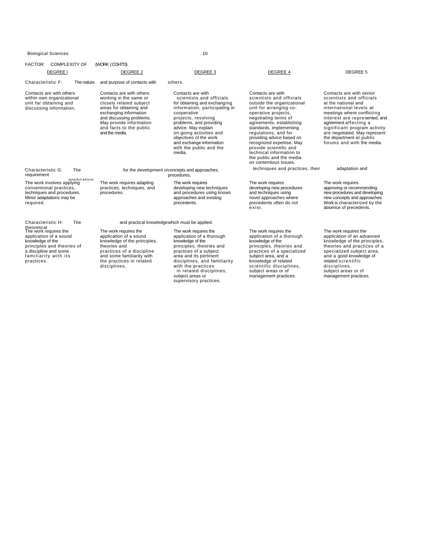| FACTOR: COMPLEXITY OF<br><b>DEGREE I</b>                                                                                                                                        | (WORK (COHTD)<br>DEGREE 2                                                                                                                                                                                                              | DEGREE 3                                                                                                                                                                                                                                                                                                                     | <b>DEGREE 4</b>                                                                                                                                                                                                                                                                                                                                                                                           | DEGREE 5                                                                                                                                                                                                                                                                                                                  |  |  |
|---------------------------------------------------------------------------------------------------------------------------------------------------------------------------------|----------------------------------------------------------------------------------------------------------------------------------------------------------------------------------------------------------------------------------------|------------------------------------------------------------------------------------------------------------------------------------------------------------------------------------------------------------------------------------------------------------------------------------------------------------------------------|-----------------------------------------------------------------------------------------------------------------------------------------------------------------------------------------------------------------------------------------------------------------------------------------------------------------------------------------------------------------------------------------------------------|---------------------------------------------------------------------------------------------------------------------------------------------------------------------------------------------------------------------------------------------------------------------------------------------------------------------------|--|--|
| Characteristic F:<br>The nature                                                                                                                                                 | and purpose of contacts with                                                                                                                                                                                                           | others.                                                                                                                                                                                                                                                                                                                      |                                                                                                                                                                                                                                                                                                                                                                                                           |                                                                                                                                                                                                                                                                                                                           |  |  |
| Contacts are with others<br>within own organizational<br>unit far obtaining and<br>discussing information,                                                                      | Contacts are with others<br>working in the same or<br>closely related subject<br>areas for obtaining and<br>exchanging information<br>and discussing problems.<br>May provide information<br>and facts to the public<br>and the media. | Contacts are with<br>scientists and officials<br>for obtaining and exchanging<br>information, participating in<br>cooperative<br>projects, resolving<br>problems, and providing<br>advice. May explain<br>on-going activities and<br>objectives of the work<br>and exchange information<br>with the public and the<br>media. | Contacts are with<br>scientists and officials<br>outside the organizational<br>unit for arranging co-<br>operative projects.<br>negotiating terms of<br>agreements, establishing<br>standards, implementing<br>regulations, and for<br>providing advice based on<br>recognized expertise. May<br>provide scientific and<br>technical information to<br>the public and the media<br>on contentious issues. | Contacts are with senior<br>scientists and officials<br>at the national and<br>international levels at<br>meetings where conflicting<br>interest are represented, and<br>agreement affecting a<br>significant program activity<br>are negotiated. May represent<br>the department at public<br>forums and with the media. |  |  |
| Characteristic G:<br><b>The</b><br>requirement                                                                                                                                  |                                                                                                                                                                                                                                        | for the development of concepts and approaches,<br>procedures,                                                                                                                                                                                                                                                               | techniques and practices, their                                                                                                                                                                                                                                                                                                                                                                           | adaptation and                                                                                                                                                                                                                                                                                                            |  |  |
| annlication<br>The work involves applying<br>conventional practices,<br>techniques and procedures.<br>Minor adaptations may be<br>required.                                     | The work requires adapting<br>practices, techniques, and<br>procedures.                                                                                                                                                                | The work requires<br>developing new techniques<br>and procedures using known<br>approaches and existing<br>precedents.                                                                                                                                                                                                       | The work requires<br>developing new procedures<br>and techniques using<br>novel approaches where<br>precedents often do not<br>exist.                                                                                                                                                                                                                                                                     | The work requires<br>approving or recommending<br>new procedures and developing<br>new concepts and approaches.<br>Work is characterized by the<br>absence of precedents.                                                                                                                                                 |  |  |
| Characteristic H:<br>The                                                                                                                                                        | and practical knowledgewhich must be applied.                                                                                                                                                                                          |                                                                                                                                                                                                                                                                                                                              |                                                                                                                                                                                                                                                                                                                                                                                                           |                                                                                                                                                                                                                                                                                                                           |  |  |
| theoretical<br>The work requires the<br>application of a sound<br>knowledge of the<br>principles and theories of<br>a discipline and some<br>familiarity with its<br>practices. | The work requires the<br>application of a sound<br>knowledge of the principles,<br>theories and<br>practices of a discipline<br>and some familiarity with<br>the practices in related<br>disciplines.                                  | The work requires the<br>application of a thorough<br>knowledge of the<br>principles, theories and<br>practices of a subject<br>area and its pertinent<br>disciplines, and familiarity<br>with the practices<br>in related disciplines,<br>subject areas or<br>supervisory practices.                                        | The work requires the<br>application of a thorough<br>knowledge of the<br>principles, theories and<br>practices of a specialized<br>subject area, and a<br>knowledge of related<br>scientific disciplines.<br>subject areas or of<br>management practices.                                                                                                                                                | The work requires the<br>application of an advanced<br>knowledge of the principles,<br>theories and practices of a<br>specialized subject area,<br>and a good knowledge of<br>related scientific<br>disciplines.<br>subject areas or of<br>management practices.                                                          |  |  |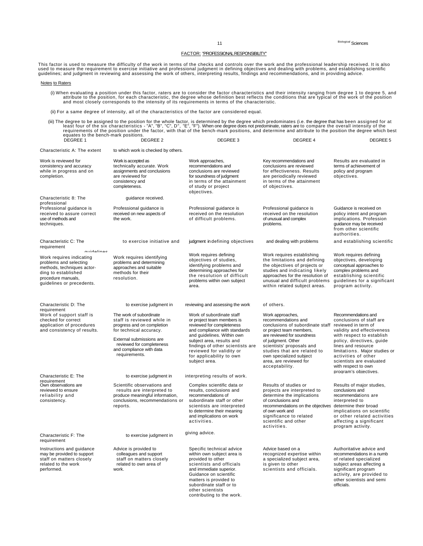### FACTOR: "PROFESSIONAL RESPONSIBILITY"

This factor is used to measure the difficulty of the work in terms of the checks and controls over the work and the professional leadership received. It is also<br>used to measure the requirement to exercise initiative and pr

#### Notes to Raters

(i) When evaluating a position under this factor, raters are to consider the factor characteristics and their intensity ranging from degree 1 to degree 5, and<br>attribute to the position, for each characteristic, the degree

(ii) For a same degree of intensity, all of the characteristics of the factor are considered equal.

(iii) The degree to be assigned to the position for the whole factor, is determined by the degree which predominates (i.e. the degree that has been assigned for at<br>least four of the six characteristics - "A", "B", "C", D",

| DEGREE 1                                                                                                                                                                 | DEGREE 2                                                                                                                                                                                                             | DEGREE 3                                                                                                                                                                                                                                                                                      | DEGREE 4                                                                                                                                                                                                                                                                                       | DEGREE 5                                                                                                                                                                                                                                                                                                                 |
|--------------------------------------------------------------------------------------------------------------------------------------------------------------------------|----------------------------------------------------------------------------------------------------------------------------------------------------------------------------------------------------------------------|-----------------------------------------------------------------------------------------------------------------------------------------------------------------------------------------------------------------------------------------------------------------------------------------------|------------------------------------------------------------------------------------------------------------------------------------------------------------------------------------------------------------------------------------------------------------------------------------------------|--------------------------------------------------------------------------------------------------------------------------------------------------------------------------------------------------------------------------------------------------------------------------------------------------------------------------|
| Characteristic A: The extent                                                                                                                                             | to which work is checked by others.                                                                                                                                                                                  |                                                                                                                                                                                                                                                                                               |                                                                                                                                                                                                                                                                                                |                                                                                                                                                                                                                                                                                                                          |
| Work is reviewed for<br>consistency and accuracy<br>while in progress and on<br>completion.                                                                              | Work is accepted as<br>technically accurate. Work<br>assignments and conclusions<br>are reviewed for<br>consistency and<br>completeness.                                                                             | Work approaches,<br>recommendations and<br>conclusions are reviewed<br>for soundness of judgment<br>in terms of the attainment<br>of study or project<br>objectives.                                                                                                                          | Key recommendations and<br>conclusions are reviewed<br>for effectiveness. Results<br>are periodically reviewed<br>in terms of the attainment<br>of objectives.                                                                                                                                 | Results are evaluated in<br>terms of achievement of<br>policy and program<br>objectives.                                                                                                                                                                                                                                 |
| Characteristic 8: The<br>professional                                                                                                                                    | guidance received.                                                                                                                                                                                                   |                                                                                                                                                                                                                                                                                               |                                                                                                                                                                                                                                                                                                |                                                                                                                                                                                                                                                                                                                          |
| Professional guidance is<br>received to assure correct<br>use of methods and<br>techniques.                                                                              | Professional quidance is<br>received on new aspects of<br>the work.                                                                                                                                                  | Professional quidance is<br>received on the resolution<br>of difficult problems.                                                                                                                                                                                                              | Professional quidance is<br>received on the resolution<br>of unusual and complex<br>problems.                                                                                                                                                                                                  | Guidance is received on<br>policy intent and program<br>implications. Profession<br>quidance may be received<br>from other scientific<br>authorities.                                                                                                                                                                    |
| Characteristic C: The<br>requirement                                                                                                                                     | to exercise initiative and                                                                                                                                                                                           | judgment in defining objectives                                                                                                                                                                                                                                                               | and dealing with problems                                                                                                                                                                                                                                                                      | and establishing scientific                                                                                                                                                                                                                                                                                              |
| muidalinae<br>Work requires indicating<br>problems and selecting<br>methods, techniques actor-<br>ding to established<br>procedure manuals,<br>guidelines or precedents. | Work requires identifying<br>problems and determining<br>approaches and suitable<br>methods for their<br>resolution.                                                                                                 | Work requires defining<br>objectives of studies,<br>identifying problems and<br>determining approaches for<br>the resolution of difficult<br>problems within own subject<br>area.                                                                                                             | Work requires establishing<br>the limitations and defining<br>the objectives of projects or<br>studies and indicating likely<br>approaches for the resolution of<br>unusual and difficult problems<br>within related subject areas.                                                            | Work requires defining<br>objectives, developing<br>conceptual approaches to<br>complex problems and<br>establishing scientific<br>guidelines for a significant<br>program activity.                                                                                                                                     |
| Characteristic D: The                                                                                                                                                    | to exercise judgment in                                                                                                                                                                                              | reviewing and assessing the work                                                                                                                                                                                                                                                              | of others.                                                                                                                                                                                                                                                                                     |                                                                                                                                                                                                                                                                                                                          |
| requirement<br>Work of support staff is<br>checked for correct<br>application of procedures<br>and consistency of results.                                               | The work of subordinate<br>staff is reviewed while in<br>progress and on completion<br>for technical accuracy.<br>External submissions are<br>reviewed for completeness<br>and compliance with data<br>requirements. | Work of subordinate staff<br>or project team members is<br>reviewed for completeness<br>and compliance with standards<br>and guidelines. Within own<br>subject area, results and<br>findings of other scientists are<br>reviewed for validity or<br>for applicability to own<br>subject area. | Work approaches,<br>recommendations and<br>conclusions of subordinate staff<br>or project team members,<br>are reviewed for soundness<br>of judgment. Other<br>scientists' proposals and<br>studies that are related to<br>own specialized subject<br>area, are reviewed for<br>acceptability. | Recommendations and<br>conclusions of staff are<br>reviewed in term of<br>validity and effectiveness<br>with respect to establish<br>policy, directives, guide<br>lines and resource<br>limitations. Major studies or<br>activities of other<br>scientists are evaluated<br>with respect to own<br>program's objectives. |
| Characteristic E: The<br>requirement                                                                                                                                     | to exercise judgment in                                                                                                                                                                                              | interpreting results of work.                                                                                                                                                                                                                                                                 |                                                                                                                                                                                                                                                                                                |                                                                                                                                                                                                                                                                                                                          |
| Own observations are<br>reviewed to ensure<br>reliability and<br>consistency.                                                                                            | Scientific observations and<br>results are interpreted to<br>produce meaningful information,<br>conclusions, recommendations or<br>reports.                                                                          | Complex scientific data or<br>results, conclusions and<br>recommendations of<br>subordinate staff or other<br>scientists are interpreted<br>to determine their meaning<br>and implications on work<br>activities.                                                                             | Results of studies or<br>projects are interpreted to<br>determine the implications<br>of conclusions and<br>recommendations on the objectives determine their broad<br>of own work and<br>significance to related<br>scientific and other<br>activities.                                       | Results of major studies,<br>conclusions and<br>recommendations are<br>interpreted to<br>implications on scientific<br>or other related activities<br>affecting a significant<br>program activity.                                                                                                                       |
| Characteristic F: The<br>requirement                                                                                                                                     | to exercise judgment in                                                                                                                                                                                              | giving advice.                                                                                                                                                                                                                                                                                |                                                                                                                                                                                                                                                                                                |                                                                                                                                                                                                                                                                                                                          |
| Instructions and guidance<br>may be provided to support<br>staff on matters closely<br>related to the work<br>performed.                                                 | Advice is provided to<br>colleagues and support<br>staff on matters closely<br>related to own area of<br>work.                                                                                                       | Specific technical advice<br>within own subject area is<br>provided to other<br>scientists and officials<br>and immediate superior.<br>Guidance on scientific<br>matters is provided to<br>subordinate staff or to<br>other scientists<br>contributing to the work.                           | Advice based on a<br>recognized expertise within<br>a specialized subject area,<br>is given to other<br>scientists and officials.                                                                                                                                                              | Authoritative advice and<br>recommendations in a numb<br>of related specialized<br>subject areas affecting a<br>significant program<br>activity, are provided to<br>other scientists and semi<br>officials.                                                                                                              |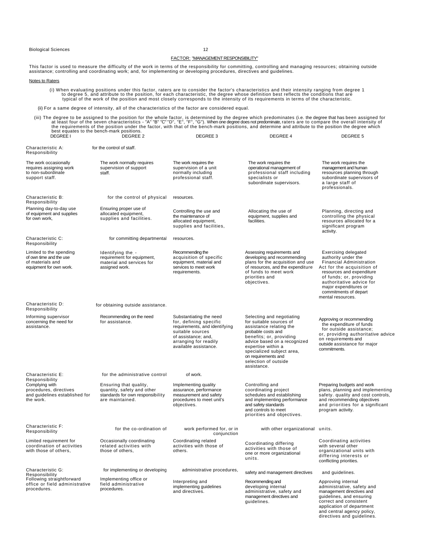### FACTOR: "MANAGEMENT RESPONSIBILITY"

This factor is used to measure the difficulty of the work in terms of the responsibility for committing, controlling and managing resources; obtaining outside<br>assistance; controlling and coordinating work; and, for impleme

Notes to Raters

(i) When evaluating positions under this factor, raters are to consider the factor's characteristics and their intensity ranging from degree 1)<br>to degree 5, and attribute to the position, for each characteristic, the degre

(ii) For a same degree of intensity, all of the characteristics of the factor are considered equal.

(iii) The degree to be assigned to the position for the whole factor, is determined by the degree which predominates (i.e. the degree that has been assigned for at least four of the seven characteristics - "A" "B" "C" "D",

| Characteristic A:<br>Responsibility                                                               | for the control of staff.                                                                                   |                                                                                                                                                                                                                                                                                                                                                                                                                                                                      |                                                                                                                                                                                               |                                                                                                                                                                                                                                                                                |  |  |
|---------------------------------------------------------------------------------------------------|-------------------------------------------------------------------------------------------------------------|----------------------------------------------------------------------------------------------------------------------------------------------------------------------------------------------------------------------------------------------------------------------------------------------------------------------------------------------------------------------------------------------------------------------------------------------------------------------|-----------------------------------------------------------------------------------------------------------------------------------------------------------------------------------------------|--------------------------------------------------------------------------------------------------------------------------------------------------------------------------------------------------------------------------------------------------------------------------------|--|--|
| The work occasionally<br>requires assigning work<br>to non-subordinate<br>support staff.          | The work normally requires<br>supervision of support<br>staff.                                              | The work requires the<br>supervision of a unit<br>normally including<br>professional staff.                                                                                                                                                                                                                                                                                                                                                                          | The work requires the<br>operational management of<br>professional staff including<br>specialists or<br>subordinate supervisors.                                                              | The work requires the<br>management and human<br>resources planning through<br>subordinate supervisors of<br>a large staff of<br>professionals.                                                                                                                                |  |  |
| Characteristic B:<br>Responsibility                                                               | for the control of physical                                                                                 | resources.                                                                                                                                                                                                                                                                                                                                                                                                                                                           |                                                                                                                                                                                               |                                                                                                                                                                                                                                                                                |  |  |
| Planning day-to-day use<br>of equipment and supplies<br>for own work,                             | Ensuring proper use of<br>allocated equipment,<br>supplies and facilities.                                  | Controlling the use and<br>the maintenance of<br>allocated equipment,<br>supplies and facilities,                                                                                                                                                                                                                                                                                                                                                                    | Allocating the use of<br>equipment, supplies and<br>facilities.                                                                                                                               | Planning, directing and<br>controlling the physical<br>resources allocated for a<br>significant program<br>activity.                                                                                                                                                           |  |  |
| Characteristic C:<br>Responsibility                                                               | for committing departmental                                                                                 | resources.                                                                                                                                                                                                                                                                                                                                                                                                                                                           |                                                                                                                                                                                               |                                                                                                                                                                                                                                                                                |  |  |
| Limited to the spending<br>of own time and the use<br>of materials and<br>equipment for own work. | Identifying the -<br>requirement for equipment,<br>material and services for<br>assigned work.              | Recommending the<br>acquisition of specific<br>equipment, material and<br>services to meet work<br>requirements.                                                                                                                                                                                                                                                                                                                                                     | Assessing requirements and<br>developing and recommending<br>plans for the acquisition and use<br>of resources, and the expenditure<br>of funds to meet work<br>priorities and<br>objectives. | <b>Exercising delegated</b><br>authority under the<br><b>Financial Administration</b><br>Act for the acquisition of<br>resources and expenditure<br>of funds; or, providing<br>authoritative advice for<br>major expenditures or<br>commitments of depart<br>mental resources. |  |  |
| Characteristic D:<br>Responsibility                                                               | for obtaining outside assistance.                                                                           |                                                                                                                                                                                                                                                                                                                                                                                                                                                                      |                                                                                                                                                                                               |                                                                                                                                                                                                                                                                                |  |  |
| Informing supervisor<br>concerning the need for<br>assistance.                                    | Recommending on the need<br>for assistance.                                                                 | Substantiating the need<br>Selecting and negotiating<br>for, defining specific<br>for suitable sources of<br>requirements, and identifying<br>assistance relating the<br>probable costs and<br>suitable sources<br>of assistance; and,<br>benefits; or, providing<br>arranging for readily<br>advice based on a recognized<br>available assistance.<br>expertise within a<br>specialized subject area,<br>on requirements and<br>selection of outside<br>assistance. |                                                                                                                                                                                               | Approving or recommending<br>the expenditure of funds<br>for outside assistance;<br>or, providing authoritative advice<br>on requirements and<br>outside assistance for major<br>commitments.                                                                                  |  |  |
| Characteristic E:<br>Responsibility                                                               | for the administrative control                                                                              | of work.                                                                                                                                                                                                                                                                                                                                                                                                                                                             |                                                                                                                                                                                               |                                                                                                                                                                                                                                                                                |  |  |
| Complying with<br>procedures, directives<br>and guidelines established for<br>the work.           | Ensuring that quality,<br>quantity, safety and other<br>standards for own responsibility<br>are maintained. | Implementing quality<br>assurance, performance<br>measurement and safety<br>procedures to meet unit's<br>objectives.                                                                                                                                                                                                                                                                                                                                                 | Controlling and<br>coordinating project<br>schedules and establishing<br>and implementing performance<br>and safety standards<br>and controls to meet<br>priorities and objectives.           | Preparing budgets and work<br>plans, planning and implementing<br>safety. quality and cost controls,<br>and recommending objectives<br>and priorities for a significant<br>program activity.                                                                                   |  |  |
| Characteristic F:<br>Responsibility                                                               | for the co-ordination of                                                                                    | work performed for, or in<br>conjunction                                                                                                                                                                                                                                                                                                                                                                                                                             | with other organizational units.                                                                                                                                                              |                                                                                                                                                                                                                                                                                |  |  |
| Limited requirement for<br>coordination of activities<br>with those of others,                    | Occasionally coordinating<br>related activities with<br>those of others.                                    | Coordinating related<br>activities with those of<br>others.                                                                                                                                                                                                                                                                                                                                                                                                          | Coordinating differing<br>activities with those of<br>one or more organizational<br>units.                                                                                                    | Coordinating activities<br>with several other<br>organizational units with<br>differing interests or<br>conflicting priorities.                                                                                                                                                |  |  |
| Characteristic G:<br>Responsibility                                                               | for implementing or developing                                                                              | administrative procedures,                                                                                                                                                                                                                                                                                                                                                                                                                                           | safety and management directives                                                                                                                                                              | and guidelines.                                                                                                                                                                                                                                                                |  |  |
| Following straightforward<br>office or field administrative<br>procedures.                        | Implementing office or<br>field administrative<br>procedures.                                               | Interpreting and<br>implementing guidelines<br>and directives.                                                                                                                                                                                                                                                                                                                                                                                                       | Recommending and<br>developing internal<br>administrative, safety and<br>management directives and<br>quidelines.                                                                             | Approving internal<br>administrative, safety and<br>management directives and<br>guidelines, and ensuring<br>correct and consistent<br>application of department<br>and central agency policy,                                                                                 |  |  |

directives and guidelines.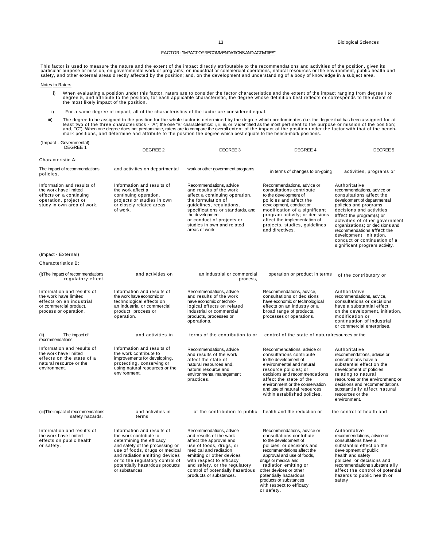### FACTOR: "IMPACT OF RECOMMENDATIONS AND ACTIVITIES"

This factor is used to measure the nature and the extent of the impact directly attributable to the recommendations and activities of the position, given its<br>particular purpose or mission, on governmental work or programs;

#### Notes to Raters

- i) When evaluating a position under this factor, raters are to consider the factor characteristics and the extent of the impact ranging from degree I to<br>degree 5, and attribute to the position, for each applicable characte
- ii) For a same degree of impact, all of the characteristics of the factor are considered equal.
- iii) The degree to be assigned to the position for the whole factor is determined by the degree which predominates (i.e. the degree that has been assigned for at least two of the three charactersics of the three characters

| (Impact - Governmental)<br>DEGREE 1                                                                                                   | DEGREE 2                                                                                                                                                                                                                                                                       | DEGREE 3                                                                                                                                                                                                                                                                                   | DEGREE 4                                                                                                                                                                                                                                                                                                                                          | DEGREE 5                                                                                                                                                                                                                                                                                                                                                                                 |  |  |
|---------------------------------------------------------------------------------------------------------------------------------------|--------------------------------------------------------------------------------------------------------------------------------------------------------------------------------------------------------------------------------------------------------------------------------|--------------------------------------------------------------------------------------------------------------------------------------------------------------------------------------------------------------------------------------------------------------------------------------------|---------------------------------------------------------------------------------------------------------------------------------------------------------------------------------------------------------------------------------------------------------------------------------------------------------------------------------------------------|------------------------------------------------------------------------------------------------------------------------------------------------------------------------------------------------------------------------------------------------------------------------------------------------------------------------------------------------------------------------------------------|--|--|
| Characteristic A:                                                                                                                     |                                                                                                                                                                                                                                                                                |                                                                                                                                                                                                                                                                                            |                                                                                                                                                                                                                                                                                                                                                   |                                                                                                                                                                                                                                                                                                                                                                                          |  |  |
| The impact of recommendations<br>policies.                                                                                            | and activities on departmental                                                                                                                                                                                                                                                 | work or other government programs                                                                                                                                                                                                                                                          | in terms of changes to on-going                                                                                                                                                                                                                                                                                                                   | activities, programs or                                                                                                                                                                                                                                                                                                                                                                  |  |  |
| Information and results of<br>the work have limited<br>effects on a continuing<br>operation, project or<br>study in own area of work. | Information and results of<br>the work affect a<br>continuing operation,<br>projects or studies in own<br>or closely related areas<br>of work.                                                                                                                                 | Recommendations, advice<br>and results of the work<br>affect a continuing operation,<br>the formulation of<br>guidelines, regulations,<br>specifications or standards, and<br>the development<br>or conduct of projects or<br>studies in own and related<br>areas of work.                 | Recommendations, advice or<br>consultations contribute<br>to the development of<br>policies and affect the<br>development, conduct or<br>modification of a significant<br>program activity; or decisions<br>affect the implementation of<br>projects, studies, guidelines<br>and directives.                                                      | Authoritative<br>recommendations, advice or<br>consultations affect the<br>development of departmental<br>policies and programs;<br>decisions and activities<br>affect the program(s) or<br>activities of other government<br>organizations; or decisions and<br>recommendations affect the<br>development, initiation,<br>conduct or continuation of a<br>significant program activity. |  |  |
| (Impact - External)                                                                                                                   |                                                                                                                                                                                                                                                                                |                                                                                                                                                                                                                                                                                            |                                                                                                                                                                                                                                                                                                                                                   |                                                                                                                                                                                                                                                                                                                                                                                          |  |  |
| Characteristics B:                                                                                                                    |                                                                                                                                                                                                                                                                                |                                                                                                                                                                                                                                                                                            |                                                                                                                                                                                                                                                                                                                                                   |                                                                                                                                                                                                                                                                                                                                                                                          |  |  |
| (i) The impact of recommendations<br>regulatory effect.                                                                               | and activities on                                                                                                                                                                                                                                                              | an industrial or commercial<br>process,                                                                                                                                                                                                                                                    | operation or product in terms                                                                                                                                                                                                                                                                                                                     | of the contributory or                                                                                                                                                                                                                                                                                                                                                                   |  |  |
| Information and results of<br>the work have limited<br>effects on an industrial<br>or commercial product,<br>process or operation.    | Information and results of<br>the work have economic or<br>technological effects on<br>an industrial or commercial<br>product, process or<br>operation.                                                                                                                        | Recommendations, advice<br>and results of the work<br>have economic or techno-<br>logical effects on related<br>industrial or commercial<br>products, processes or<br>operations.                                                                                                          | Recommendations, advice,<br>consultations or decisions<br>have economic or technological<br>effects on an industry or a<br>broad range of products,<br>processes or operations.                                                                                                                                                                   | Authoritative<br>recommendations, advice,<br>consultations or decisions<br>have a substantial effect<br>on the development, initiation,<br>modification or<br>continuation of industrial<br>or commercial enterprises.                                                                                                                                                                   |  |  |
| The impact of<br>(i)<br>recommendations                                                                                               | and activities in                                                                                                                                                                                                                                                              | terms of the contribution to or                                                                                                                                                                                                                                                            | control of the state of natural resources or the                                                                                                                                                                                                                                                                                                  |                                                                                                                                                                                                                                                                                                                                                                                          |  |  |
| Information and results of<br>the work have limited<br>effects on the state of a<br>natural resource or the<br>environment.           | Information and results of<br>the work contribute to<br>improvements for developing,<br>protecting, conserving or<br>using natural resources or the<br>environment.                                                                                                            | Recommendations, advice<br>and results of the work<br>affect the state of<br>natural resources and.<br>natural resource and<br>environmental management<br>practices.                                                                                                                      | Recommendations, advice or<br>consultations contribute<br>to the development of<br>environmental and natural<br>resource policies; or<br>decisions and recommendations<br>affect the state of the<br>environment or the conservation<br>and use of natural resources<br>within established policies.                                              | Authoritative<br>recommendations, advice or<br>consultations have a<br>substantial effect on the<br>development of policies<br>relating to natural<br>resources or the environment; or<br>decisions and recommendations<br>substantially affect natural<br>resources or the<br>environment.                                                                                              |  |  |
| (iii) The impact of recommendations<br>safety hazards.                                                                                | and activities in<br>terms                                                                                                                                                                                                                                                     | of the contribution to public                                                                                                                                                                                                                                                              | health and the reduction or                                                                                                                                                                                                                                                                                                                       | the control of health and                                                                                                                                                                                                                                                                                                                                                                |  |  |
| Information and results of<br>the work have limited<br>effects on public health<br>or safety.                                         | Information and results of<br>the work contribute to<br>determining the efficacy<br>and safety of the processing or<br>use of foods, drugs or medical<br>and radiation emitting devices<br>or to the regulatory control of<br>potentially hazardous products<br>or substances. | Recommendations, advice<br>and results of the work<br>affect the approval and<br>use of foods, drugs, or<br>medical and radiation<br>emitting or other devices<br>with respect to efficacy<br>and safety, or the regulatory<br>control of potentially hazardous<br>products or substances. | Recommendations, advice or<br>consultations contribute<br>to the development of<br>policies; or decisions and<br>recommendations affect the<br>approval and use of foods,<br>drugs or medical and<br>radiation emitting or<br>other devices or other<br>potentially hazardous<br>products or substances<br>with respect to efficacy<br>or safety. | Authoritative<br>recommendations, advice or<br>consultations have a<br>substantial effect on the<br>development of public<br>health and safety<br>policies; or decisions and<br>recommendations substantially<br>affect the control of potential<br>hazards to public health or<br>safety                                                                                                |  |  |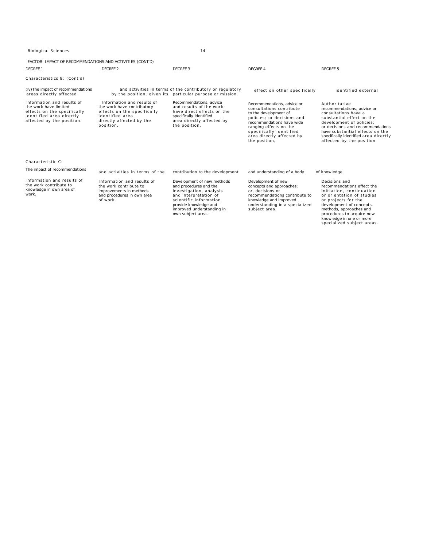FACTOR: IMPACT OF RECOMMENDATIONS AND ACTIVITIES (CONT'D)

| DFGRFF <sub>1</sub>                                                                                                                         | DFGRFF <sub>2</sub>                                                                                                                                 | DFGRFF <sub>3</sub>                                                                                                                                                                                           | DFGRFF 4                                                                                                                                                                                                                                      | DEGREE 5                                                                                                                                                                                                                                                                  |  |  |
|---------------------------------------------------------------------------------------------------------------------------------------------|-----------------------------------------------------------------------------------------------------------------------------------------------------|---------------------------------------------------------------------------------------------------------------------------------------------------------------------------------------------------------------|-----------------------------------------------------------------------------------------------------------------------------------------------------------------------------------------------------------------------------------------------|---------------------------------------------------------------------------------------------------------------------------------------------------------------------------------------------------------------------------------------------------------------------------|--|--|
| Characteristics 8: (Cont'd)                                                                                                                 |                                                                                                                                                     |                                                                                                                                                                                                               |                                                                                                                                                                                                                                               |                                                                                                                                                                                                                                                                           |  |  |
| (iv) The impact of recommendations<br>areas directly affected                                                                               |                                                                                                                                                     | and activities in terms of the contributory or regulatory<br>by the position, given its particular purpose or mission.                                                                                        | effect on other specifically                                                                                                                                                                                                                  | identified external                                                                                                                                                                                                                                                       |  |  |
| Information and results of<br>the work have limited<br>effects on the specifically<br>identified area directly<br>affected by the position. | Information and results of<br>the work have contributory<br>effects on the specifically<br>identified area<br>directly affected by the<br>position. | Recommendations, advice<br>and results of the work<br>have direct effects on the<br>specifically identified<br>area directly affected by<br>the position.                                                     | Recommendations, advice or<br>consultations contribute<br>to the development of<br>policies: or decisions and<br>recommendations have wide<br>ranging effects on the<br>specifically identified<br>area directly affected by<br>the position, | Authoritative<br>recommendations, advice or<br>consultations have a<br>substantial effect on the<br>development of policies;<br>or decisions and recommendations<br>have substantial effects on the<br>specifically identified area directly<br>affected by the position. |  |  |
| Characteristic C:                                                                                                                           |                                                                                                                                                     |                                                                                                                                                                                                               |                                                                                                                                                                                                                                               |                                                                                                                                                                                                                                                                           |  |  |
| The impact of recommendations                                                                                                               | and activities in terms of the                                                                                                                      | contribution to the development                                                                                                                                                                               | and understanding of a body                                                                                                                                                                                                                   | of knowledge.                                                                                                                                                                                                                                                             |  |  |
| Information and results of<br>the work contribute to<br>knowledge in own area of<br>work.                                                   | Information and results of<br>the work contribute to<br>improvements in methods<br>and procedures in own area<br>of work.                           | Development of new methods<br>and procedures and the<br>investigation, analysis<br>and interpretation of<br>scientific information<br>provide knowledge and<br>improved understanding in<br>own subject area. | Development of new<br>concepts and approaches;<br>or, decisions or<br>recommendations contribute to<br>knowledge and improved<br>understanding in a specialized<br>subject area.                                                              | Decisions and<br>recommendations affect the<br>initiation, continuation<br>or orientation of studies<br>or projects for the<br>development of concepts,<br>methods, approaches and<br>procedures to acquire new<br>knowledge in one or more<br>specialized subject areas. |  |  |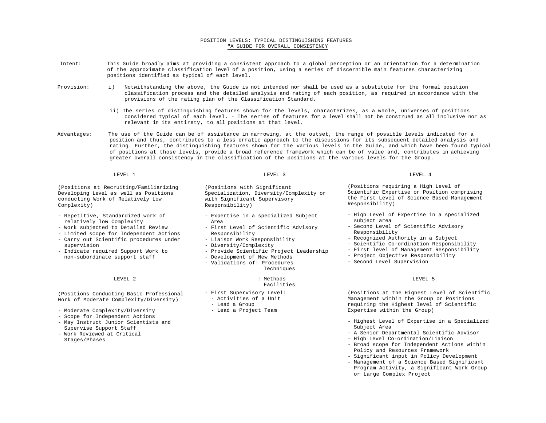### POSITION LEVELS: TYPICAL DISTINGUISHING FEATURES "A GUIDE FOR OVERALL CONSISTENCY

- Intent: This Guide broadly aims at providing a consistent approach to a global perception or an orientation for a determination of the approximate classification level of a position, using a series of discernible main features characterizing positions identified as typical of each level.
- Provision: i) Notwithstanding the above, the Guide is not intended nor shall be used as a substitute for the formal position classification process and the detailed analysis and rating of each position, as required in accordance with the provisions of the rating plan of the Classification Standard.
	- ii) The series of distinguishing features shown for the levels, characterizes, as a whole, universes of positions considered typical of each level. - The series of features for a level shall not be construed as all inclusive nor as relevant in its entirety, to all positions at that level.
- Advantages: The use of the Guide can be of assistance in narrowing, at the outset, the range of possible levels indicated for a position and thus, contributes to a less erratic approach to the discussions for its subsequent detailed analysis and rating. Further, the distinguishing features shown for the various levels in the Guide, and which have been found typical of positions at those levels, provide a broad reference framework which can be of value and, contributes in achieving greater overall consistency in the classification of the positions at the various levels for the Group.

| (Positions at Recruiting/Familiarizing |  |  |  |  |  |  |  |
|----------------------------------------|--|--|--|--|--|--|--|
| Developing Level as well as Positions  |  |  |  |  |  |  |  |
|                                        |  |  |  |  |  |  |  |
| conducting Work of Relatively Low      |  |  |  |  |  |  |  |
| Complexity)                            |  |  |  |  |  |  |  |

- Repetitive, Standardized work of relatively low Complexity
- Work subjected to Detailed Review
- Limited scope for Independent Actions
- Carry out Scientific procedures under supervision
- Indicate required Support Work to non-subordinate support staff

(Positions Conducting Basic Professional Work of Moderate Complexity/Diversity)

- Moderate Complexity/Diversity
- Scope for Independent Actions
- May Instruct Junior Scientists and Supervise Support Staff
- Work Reviewed at Critical Stages/Phases

(Positions with Significant Specialization, Diversity/Complexity or with Significant Supervisory Responsibility)

- Expertise in a specialized Subject Area
- First Level of Scientific Advisory Responsibility
- Liaison Work Responsibility
- Diversity/Complexity
- Provide Scientific Project Leadership
- Development of New Methods
- Validations of: Procedures Techniques

### LEVEL 2 : Methods

### Facilities

- First Supervisory Level:
	- Activities of a Unit
	- Lead a Group
	- Lead a Project Team

LEVEL 1 LEVEL 3 LEVEL 4

(Positions requiring a High Level of Scientific Expertise or Position comprising the First Level of Science Based Management Responsibility)

- High Level of Expertise in a specialized subject area
- Second Level of Scientific Advisory Responsibility
- Recognized Authority in a Subject
- Scientific Co-ordination Responsibility
- First level of Management Responsibility
- Project Objective Responsibility
- Second Level Supervision

#### LEVEL 5

(Positions at the Highest Level of Scientific Management within the Group or Positions requiring the Highest level of Scientific Expertise within the Group)

- Highest Level of Expertise in a Specialized Subject Area
- A Senior Departmental Scientific Advisor
- High Level Co-ordination/Liaison
- Broad scope for Independent Actions within Policy and Resources Framework
- Significant input in Policy Development
- Management of a Science Based Significant Program Activity, a Significant Work Group or Large Complex Project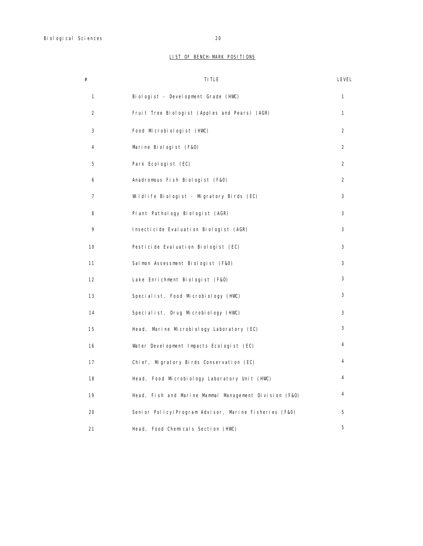## LIST OF BENCH-MARK POSITIONS

| #              | TI TLE                                                 | LEVEL          |
|----------------|--------------------------------------------------------|----------------|
| 1              | Biologist - Development Grade (HWC)                    | 1              |
| $\overline{2}$ | Fruit Tree Biologist (Apples and Pears) (AGR)          | 1              |
| 3              | Food Microbiologist (HWC)                              | $\overline{2}$ |
| 4              | Marine Biologist (F&O)                                 | $\overline{2}$ |
| 5              | Park Ecologist (EC)                                    | 2              |
| 6              | Anadromous Fish Biologist (F&O)                        | 2              |
| 7              | Wildlife Biologist - Migratory Birds (EC)              | 3              |
| 8              | Plant Pathology Biologist (AGR)                        | 3              |
| 9              | Insecticide Evaluation Biologist (AGR)                 | 3              |
| 10             | Pesticide Evaluation Biologist (EC)                    | 3              |
| 11             | Salmon Assessment Biologist (F&O)                      | 3              |
| 12             | Lake Enrichment Biologist (F&O)                        | 3              |
| 13             | Specialist, Food Microbiology (HWC)                    | 3              |
| 14             | Specialist, Drug Microbiology (HWC)                    | 3              |
| 15             | Head, Marine Microbiology Laboratory (EC)              | 3              |
| 16             | Water Development Impacts Ecologist (EC)               | 4              |
| 17             | Chief, Migratory Birds Conservation (EC)               | 4              |
| 18             | Head, Food Microbiology Laboratory Unit (HWC)          | 4              |
| 19             | Head, Fish and Marine Mammal Management Division (F&O) | 4              |
| 20             | Senior Policy/Program Advisor, Marine Fisheries (F&O)  | 5              |
| 21             | Head, Food Chemicals Section (HWC)                     | 5              |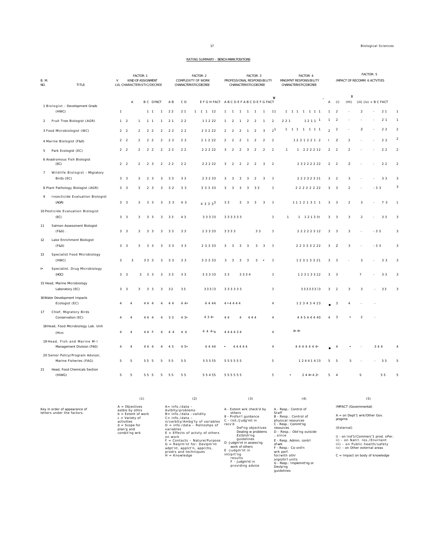### RATING SUMMARY - BENCH-MARK POSITIONS

| <b>B. M.</b><br>NO.<br><b>TITLE</b> |                                                             | FACTOR: 1<br>$\vee$<br><b>KIND OF ASSIGNMENT</b><br>LVL CHARACTERISTIC/DECREE |                | FACTOR: 2<br>COMPLEXITY OF WORK<br>CHARACTERISTIC/DECREE |                |                                                    | FACTOR: 3<br>PROFESSIONAL RESPONSIBILITY<br>CHARACTERISTIC/DECREE | FACTOR: 4<br>MNGM'NT RESPONSIBILITY<br>CHARACTERISTIC/DECREE |                | FACTOR: 5<br>IMPACT OF RECOMM. 6 ACTVTIES |                                                                                                                                     |                              |                |                                          |        |                |                         |                |
|-------------------------------------|-------------------------------------------------------------|-------------------------------------------------------------------------------|----------------|----------------------------------------------------------|----------------|----------------------------------------------------|-------------------------------------------------------------------|--------------------------------------------------------------|----------------|-------------------------------------------|-------------------------------------------------------------------------------------------------------------------------------------|------------------------------|----------------|------------------------------------------|--------|----------------|-------------------------|----------------|
|                                     |                                                             |                                                                               |                | $\mathsf A$                                              |                | B C DFACT                                          |                                                                   | A B                                                          | CD             |                                           | $\mathsf{v}$<br>EFGHFACT ABCDEFABCDEFGFACT                                                                                          |                              | Α              | (i)<br>(H <sub>i</sub> )                 | $\,$ B |                | (iii) $(iv) + B C FACT$ |                |
|                                     | 1 Biologist - Development Grads<br>(HWC)                    | $\mathbf{1}$                                                                  |                |                                                          |                | $1\quad1$                                          | $\mathbf{1}$                                                      | $2\,2$                                                       | 21             | $1 \t1 \t1 \t12$                          | $\mathbf{1}$<br>$\mathbf{1}$<br>1<br>$\overline{1}$<br>$\overline{1}$<br>11<br>$\overline{1}$                                       | $1 \t1 \t1 \t1$<br>1 1 1     | $\mathbf{1}$   | $\overline{2}$                           |        | $\overline{2}$ | 21                      |                |
|                                     | 2 Fruit Tree Biologist (AGR)                                |                                                                               | $1 \quad 2$    | $\overline{1}$                                           |                | $1 \quad 1$                                        | $\mathbf{1}$                                                      | 2 <sub>1</sub>                                               | 2 <sub>2</sub> | 11222                                     | $\overline{a}$<br>$\overline{2}$<br>$\overline{2}$<br>$\overline{2}$<br>$\overline{1}$<br>$\mathbf{1}$<br>$\mathbf{1}$              | $1211$ <sup>1</sup><br>221   | $\mathbf{1}$   | $\overline{2}$                           |        |                | 2 <sub>1</sub><br>ä,    | $\mathbf{1}$   |
|                                     | 3 Food Microbiologist (WC)                                  |                                                                               | 2 <sub>2</sub> | $\mathcal{P}$                                            |                | $\overline{2}$<br>$\overline{2}$                   | $\overline{2}$                                                    | 22                                                           | 2 <sub>2</sub> | 2 3 2 2 2                                 | $2^{1}$<br>$\overline{2}$<br>$\overline{3}$<br>$\overline{2}$<br>$\overline{1}$<br>$\mathfrak{D}$<br>$\mathcal{D}$                  | 1 1 1 1 1 1 1                | $\overline{a}$ | $\overline{2}$                           |        | z              | $2\,$ $2\,$<br>×        | $\overline{2}$ |
|                                     | 4 Marine Biologist (F&O)                                    |                                                                               | 2 <sub>2</sub> | $\overline{2}$                                           |                | $\overline{a}$<br>$\overline{2}$                   | $\overline{a}$                                                    | 2 <sub>2</sub>                                               | 2 <sub>2</sub> | 2 1 2 2 2                                 | $\overline{\mathbf{c}}$<br>$\overline{a}$<br>$\overline{2}$<br>$\overline{2}$<br>$\overline{2}$<br>$\overline{1}$<br>$\overline{2}$ | 12212212                     | $\mathbf{I}$   | z<br>$\overline{a}$                      |        |                | $2\,$ $2\,$             | $\overline{a}$ |
|                                     | 5 Park Ecologist (EC)                                       |                                                                               | 2 <sub>2</sub> |                                                          |                | $\overline{a}$<br>$\overline{2}$                   | $\overline{a}$                                                    | 22                                                           | 22             | 2 2 2 2 2                                 | $\overline{3}$<br>$\mathcal{L}$<br>$\overline{a}$<br>3<br>$\overline{2}$<br>$\overline{a}$<br>$\overline{a}$                        | 1 2 2 2 2 1 2                | $\overline{a}$ | $\overline{2}$<br>$\mathcal{D}$          |        |                | 22                      | $\mathcal{D}$  |
|                                     | 6 Anadromous Fish Biologist<br>(EC)                         |                                                                               | $2 \quad 2$    |                                                          | $\overline{a}$ | $\overline{2}$<br>$\overline{3}$                   | $\overline{a}$                                                    | 22                                                           | 22             | 22222                                     | 3<br>$\overline{2}$<br>$\overline{2}$<br>$\overline{2}$<br>$\overline{2}$<br>3<br>$\overline{2}$                                    | 2 3 2 2 2 2 2 2              | $\overline{2}$ | $\overline{2}$<br>Z                      |        |                | 22                      | $\mathcal{D}$  |
| $\overline{7}$                      | Wildlife Biologist - Migratory<br>Birds (EC)                |                                                                               | 3 <sup>3</sup> | 3                                                        |                | $\overline{a}$<br>$\mathbf{3}$                     | 3                                                                 | 33                                                           | 33             | 2 3 2 3 3                                 | $\overline{2}$<br>3<br>$\overline{3}$<br>3<br>3<br>3<br>3                                                                           | 2 2 2 3 2 3 2 1              | 3              | $\mathcal{P}$<br>3                       |        |                | 33                      | $\mathcal{R}$  |
|                                     | 8 Plant Pathology Biologist (AGR)                           |                                                                               | 3 <sup>3</sup> | 3                                                        |                | $\overline{2}$<br>$\mathbf{3}$                     | 3                                                                 | 3 2                                                          | 33             | 3 3 3 3 3                                 | $\overline{\mathbf{3}}$<br>$\overline{\mathbf{3}}$<br>33<br>$\overline{3}$<br>3<br>$\mathbf{3}$                                     | 2 2 2 2 2 2 2 2              | 3              | $\overline{3}$<br>$\mathcal{P}$          |        |                | $-33$                   | 3              |
| 9                                   | <b>Insecticide Evaluation Biologist</b><br>(AGR)            |                                                                               | 3 <sup>3</sup> | 3                                                        |                | 3<br>$\mathbf{3}$                                  | 3                                                                 | 33                                                           | 4 3            | $4333^3$                                  | $\mathbf{3}$<br>33<br>3<br>3<br>3<br>3                                                                                              | 11121311                     | 3              | $\overline{\mathbf{3}}$<br>$\mathcal{P}$ |        | 3              | 73                      | $\mathbf{1}$   |
|                                     | 10 Pesticide Evaluation Biologist<br>(EC)                   |                                                                               | 3 <sup>3</sup> | 3                                                        |                | 3 <sub>3</sub>                                     | 3                                                                 | 33                                                           | 43             | 3 3 3 3 3                                 | 333333<br>3                                                                                                                         | 1 1 2 1 3 1t<br>$\mathbf{1}$ | 3              | 3<br>3                                   |        | $\mathfrak{p}$ | 33                      | 3              |
| 11                                  | Salmon Assessment Biologist<br>$(F & 0)$ .                  |                                                                               | 3 <sup>3</sup> | 3                                                        |                | $\overline{\mathbf{3}}$<br>$\overline{\mathbf{3}}$ | 3                                                                 | 33                                                           | 33             | 2 3 3 3 3                                 | 33<br>$\overline{3}$<br>3333                                                                                                        | 22222312                     | 3              | $\overline{3}$<br>3                      |        |                | $-33$                   | $\mathcal{R}$  |
| 12                                  | Lake Enrichment Biologist<br>(F&0)                          |                                                                               | 3 <sup>3</sup> |                                                          | 3              | 3 <sub>3</sub>                                     | 3                                                                 | 33                                                           | 33             | 2 3 3 3 3                                 | 3<br>3<br>$\overline{3}$<br>$\overline{\mathbf{3}}$<br>3<br>3<br>$\overline{3}$                                                     | 2 2 3 3 3 2 2 2              | 3              | Z<br>3                                   |        |                | $-33$                   | $\mathcal{R}$  |
| 13                                  | Specialist Food Microbiology<br>(HWC)                       | 3                                                                             |                | $\overline{3}$                                           |                | 333                                                | 3                                                                 | 33                                                           | 33             | 3 3 3 3 3                                 | 3<br>$\overline{3}$<br>$\overline{\mathbf{3}}$<br>$\overline{3}$<br>3<br>3                                                          | 12313321                     | 3              | 3                                        |        | 3              | 33                      |                |
| ţ.                                  | Specialist, Drug Microbiology<br>(HOC)                      |                                                                               | 3 <sup>3</sup> |                                                          | 3              | 3 <sub>3</sub>                                     | 3                                                                 | 33                                                           | 33             | 3 3 3 3 3                                 | 33<br>3334<br>3                                                                                                                     | 12313322                     | 3              | $\overline{\mathbf{3}}$                  |        | $\overline{7}$ | $3\,$ $3\,$             | 3              |
|                                     | 15 Head, Marine Microbiology<br>Laboratory (EC)             |                                                                               | 3 <sup>3</sup> |                                                          | 3              | 3 <sub>3</sub>                                     | 3                                                                 | 32                                                           | 33             | 33333                                     | 333333<br>3                                                                                                                         | 33333333                     | 3              | $\overline{2}$<br>3                      |        | $\mathcal{R}$  | 33                      | $\mathcal{R}$  |
|                                     | 16 Water Development Impacts<br>Ecologist (EC)              |                                                                               |                |                                                          | 44             | $\overline{A}$                                     |                                                                   | 44                                                           | 4.4            | 4 4 4 4                                   | 4 • 4 4 4 4<br>$\overline{4}$                                                                                                       | 1 2 3 4 3 4 23               |                | 3                                        |        |                |                         |                |
| 17                                  | Chief, Migratory Birds<br>Conservation (EC)                 |                                                                               | 4              |                                                          | 44             |                                                    |                                                                   | 33                                                           | 43•            | 4 3 4                                     | 4 4 4<br>$\overline{A}$<br>44<br>$\overline{A}$                                                                                     | 4 4 5 4 4 4 4 0              |                |                                          |        |                |                         |                |
|                                     | 18 Head, Food Microbiology Lab. Unit<br>(H <sub>100</sub>   |                                                                               | $\overline{4}$ |                                                          |                | 44<br>$\overline{4}$                               | $\overline{4}$                                                    | 4 4                                                          | 4 4            | 4444                                      | 444434<br>$\sqrt{4}$                                                                                                                | 4•4•                         |                |                                          |        |                |                         |                |
|                                     | 19 Head, Fish and Marine M-I<br>Management Division (F60)   |                                                                               | $\overline{4}$ |                                                          | 44             |                                                    |                                                                   | 45                                                           | 4.5            | 4 4 4 4                                   | 44444<br>$\overline{A}$                                                                                                             | 4 4 4 4 4 4 4                |                |                                          |        |                | 344                     |                |
|                                     | 20 Senior Policy/Program Advisor,<br>Marine Fisheries (FAG) | 5                                                                             | 5              |                                                          |                | 55 5                                               | 5                                                                 | 55                                                           | 55             | 55555                                     | 5<br>555555                                                                                                                         | 12441433                     | 5              | 5                                        | 5      |                | 55                      | 5              |
| 21                                  | Head, Food Chemicals Section<br>(HiWG)                      | 5                                                                             | 5              |                                                          |                | 55 5                                               | 5                                                                 | 55                                                           | 55             | 55455                                     | 5<br>555555                                                                                                                         | 2 4 4 * 4 2                  | 5              | $\overline{4}$                           |        | S              | 55                      |                |

|                                                             | (1)                                                                                                                                             | (2)                                                                                                                                                                                                                                                                                                                                                                          | (3)                                                                                                                                                                                                                                                                                                   | (4)                                                                                                                                                                                                                                                                                                                         | (5)                                                                                                                                                                                                                                                              |
|-------------------------------------------------------------|-------------------------------------------------------------------------------------------------------------------------------------------------|------------------------------------------------------------------------------------------------------------------------------------------------------------------------------------------------------------------------------------------------------------------------------------------------------------------------------------------------------------------------------|-------------------------------------------------------------------------------------------------------------------------------------------------------------------------------------------------------------------------------------------------------------------------------------------------------|-----------------------------------------------------------------------------------------------------------------------------------------------------------------------------------------------------------------------------------------------------------------------------------------------------------------------------|------------------------------------------------------------------------------------------------------------------------------------------------------------------------------------------------------------------------------------------------------------------|
| Key in order of appearance of<br>letters under the factors. | $A = Obiectives$<br>estbls by othrs<br>$b =$ Extent of work<br>$c =$ Variety of<br>activities<br>$d =$ Scope for<br>plan'g and<br>condct'ng wrk | $A = info./data -$<br>Avibity/problems<br>$B = \inf o$ ./data -validity<br>$C = info./data -$<br>n/varblty/Ambq'ty of variables<br>$D = info./data - Relnsshps$ of<br>variables<br>$E =$ Effects of actvty of others<br>on work<br>$=$ Contacts - Nature/Purpose<br>$G =$ Rearm'nt for: Devipm'nt<br>adpt'nt, applct'n, apprchs,<br>prodrs and techniques<br>$H =$ Knowledge | A - Extent wrk check'd by<br>others<br>8 - Profsn'l quidance<br>C - Init./Judg'mt in<br>recv'd<br>Def'ng objectives<br>Dealing w problems<br>Estblsh'na<br>quidelines<br>D -Judgm'nt in assess'ng<br>work of others<br>E -Judam'nt in<br>intrprt'ng<br>results<br>F - Judgm'nt in<br>providing advice | A - Rasp.: Control of<br>Staff<br>B - Resp.: Control of<br>physical resources<br>C - Resp.: Commt'ng<br>resources<br>D - Resp.: Obt'ng outside<br>since<br>E - Resp. Admin. contrl<br>of wrk<br>F - Resp.: Co-ord'n<br>wrk perf.<br>for/with othr<br>oranztn'l units<br>G - Resp.: Implemnt'ng or<br>Devlp'ng<br>quidelines | IMPACT (Governmental)<br>$A =$ on Dept'1 wrk/Other Gov.<br>progrms<br>(External)<br>i) - on Ind'1/Commerc'1 prod. oPer.<br>ii) - on Natrl, res./Envrnent<br>iii) - on Public health/safety<br>iv) - on Other external areas<br>$C =$ Impact on body of knowledge |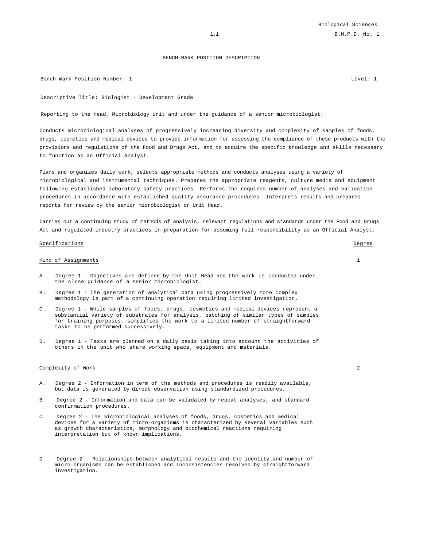### BENCH-MARK POSITION DESCRIPTION

Bench-mark Position Number: 1 Level: 1 Level: 1 Level: 1 Level: 1 Level: 1 Level: 1 Level: 1 Level: 1 Level: 1

Descriptive Title: Biologist - Development Grade

Reporting to the Head, Microbiology Unit and under the guidance of a senior microbiologist:

Conducts microbiological analyses of progressively increasing diversity and complexity of samples of foods, drugs, cosmetics and medical devices to provide information for assessing the compliance of these products with the provisions and regulations of the Food and Drugs Act, and to acquire the specific knowledge and skills necessary to function as an Official Analyst.

Plans and organizes daily work, selects appropriate methods and conducts analyses using a variety of microbiological and instrumental techniques. Prepares the appropriate reagents, culture media and equipment following established laboratory safety practices. Performs the required number of analyses and validation procedures in accordance with established quality assurance procedures. Interprets results and prepares reports for review by the senior microbiologist or Unit Head.

Carries out a continuing study of methods of analysis, relevant regulations and standards under the Food and Drugs Act and regulated industry practices in preparation for assuming full responsibility as an Official Analyst.

### Specifications Degree

### Kind of Assignments 1

- A. Degree 1 Objectives are defined by the Unit Head and the work is conducted under the close guidance of a senior microbiologist.
- B. Degree 1 The generation of analytical data using progressively more complex methodology is part of a continuing operation requiring limited investigation.
- C. Degree 1 While samples of foods, drugs, cosmetics and medical devices represent a substantial variety of substrates for analysis, batching of similar types of samples for training purposes, simplifies the work to a limited number of straightforward tasks to be performed successively.
- D. Degree 1 Tasks are planned on a daily basis taking into account the activities of others in the unit who share working space, equipment and materials.

### Complexity of Work 2

- A. Degree 2 Information in term of the methods and procedures is readily available, but data is generated by direct observation using standardized procedures.
- B. Degree 2 Information and data can be validated by repeat analyses, and standard confirmation procedures.
- C. Degree 2 The microbiological analyses of foods, drugs, cosmetics and medical devices for a variety of micro-organisms is characterized by several variables such as growth characteristics, morphology and biochemical reactions requiring interpretation but of known implications.
- D. Degree 2 Relationships between analytical results and the identity and number of micro-organisms can be established and inconsistencies resolved by straightforward investigation.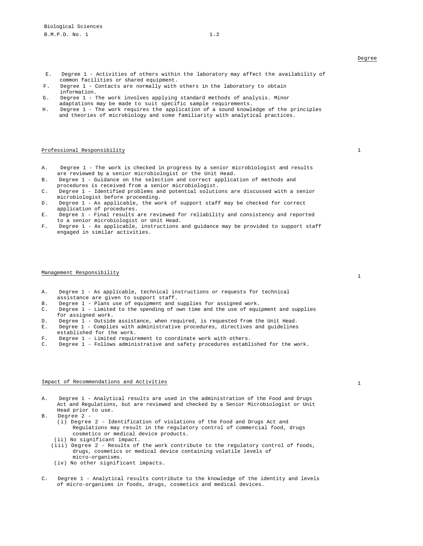- E. Degree 1 Activities of others within the laboratory may affect the availability of common facilities or shared equipment.
- F. Degree 1 Contacts are normally with others in the laboratory to obtain information.
- G. Degree 1 The work involves applying standard methods of analysis. Minor adaptations may be made to suit specific sample requirements.
- H. Degree 1 The work requires the application of a sound knowledge of the principles and theories of microbiology and some familiarity with analytical practices.

#### Professional Responsibility 1

- A. Degree 1 The work is checked in progress by a senior microbiologist and results are reviewed by a senior microbiologist or the Unit Head.
- B. Degree 1 Guidance on the selection and correct application of methods and procedures is received from a senior microbiologist.
- C. Degree 1 Identified problems and potential solutions are discussed with a senior microbiologist before proceeding.
- D. Degree 1 As applicable, the work of support staff may be checked for correct application of procedures.
- E. Degree 1 Final results are reviewed for reliability and consistency and reported to a senior microbiologist or Unit Head.
- F. Degree 1 As applicable, instructions and guidance may be provided to support staff engaged in similar activities.

## Management Responsibility 1

- A. Degree 1 As applicable, technical instructions or requests for technical assistance are given to support staff.
- B. Degree 1 Plans use of equipment and supplies for assigned work.
- C. Degree 1 Limited to the spending of own time and the use of equipment and supplies for assigned work.
- D. Degree 1 Outside assistance, when required, is requested from the Unit Head.
- E. Degree 1 Complies with administrative procedures, directives and guidelines established for the work.
- 
- F. Degree 1 Limited requirement to coordinate work with others.<br>C. Degree 1 Follows administrative and safety procedures estable Degree 1 - Follows administrative and safety procedures established for the work.

### Impact of Recommendations and Activities 1 and 1 and 1 and 1 and 1 and 1 and 1 and 1 and 1 and 1 and 1 and 1 and 1 and 1 and 1 and 1 and 1 and 1 and 1 and 1 and 1 and 1 and 1 and 1 and 1 and 1 and 1 and 1 and 1 and 1 and 1

- A. Degree 1 Analytical results are used in the administration of the Food and Drugs Act and Regulations, but are reviewed and checked by a Senior Microbiologist or Unit Head prior to use.
- B. Degree 2
	- (i) Degree 2 Identification of violations of the Food and Drugs Act and Regulations may result in the regulatory control of commercial food, drugs cosmetics or medical device products.
	- (ii) No significant impact.
	- (iii) Degree 2 Results of the work contribute to the regulatory control of foods, drugs, cosmetics or medical device containing volatile levels of micro-organisms.
	- (iv) No other significant impacts.
- Degree 1 Analytical results contribute to the knowledge of the identity and levels of micro-organisms in foods, drugs, cosmetics and medical devices.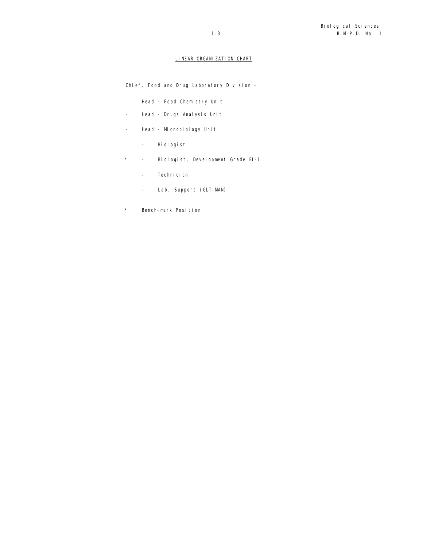### LINEAR ORGANIZATION CHART

Chief, Food and Drug Laboratory Division -

Head - Food Chemistry Unit

- Head Drugs Analysis Unit
- Head Microbiology Unit
	- Biologist
- \* Biologist, Development Grade BI-1
	- Technician
	- Lab. Support (GLT-MAN)
- \* Bench-mark Position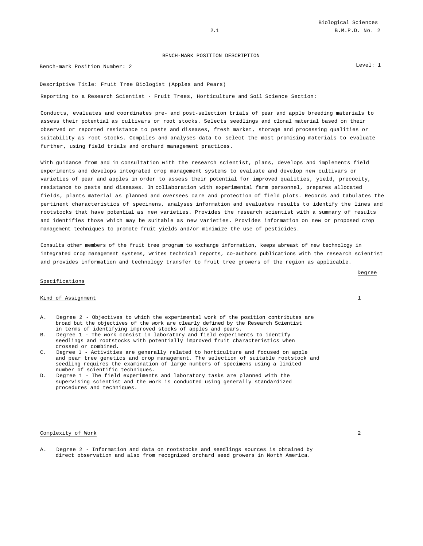### BENCH-MARK POSITION DESCRIPTION

Bench-mark Position Number: 2 Level: 1

Descriptive Title: Fruit Tree Biologist (Apples and Pears)

Reporting to a Research Scientist - Fruit Trees, Horticulture and Soil Science Section:

Conducts, evaluates and coordinates pre- and post-selection trials of pear and apple breeding materials to assess their potential as cultivars or root stocks. Selects seedlings and clonal material based on their observed or reported resistance to pests and diseases, fresh market, storage and processing qualities or suitability as root stocks. Compiles and analyses data to select the most promising materials to evaluate further, using field trials and orchard management practices.

With guidance from and in consultation with the research scientist, plans, develops and implements field experiments and develops integrated crop management systems to evaluate and develop new cultivars or varieties of pear and apples in order to assess their potential for improved qualities, yield, precocity, resistance to pests and diseases. In collaboration with experimental farm personnel, prepares allocated fields, plants material as planned and oversees care and protection of field plots. Records and tabulates the pertinent characteristics of specimens, analyses information and evaluates results to identify the lines and rootstocks that have potential as new varieties. Provides the research scientist with a summary of results and identifies those which may be suitable as new varieties. Provides information on new or proposed crop management techniques to promote fruit yields and/or minimize the use of pesticides.

Consults other members of the fruit tree program to exchange information, keeps abreast of new technology in integrated crop management systems, writes technical reports, co-authors publications with the research scientist and provides information and technology transfer to fruit tree growers of the region as applicable.

### Specifications

#### Kind of Assignment 1

- A. Degree 2 Objectives to which the experimental work of the position contributes are broad but the objectives of the work are clearly defined by the Research Scientist in terms of identifying improved stocks of apples and pears.
- B. Degree 1 The work consist in laboratory and field experiments to identify seedlings and rootstocks with potentially improved fruit characteristics when crossed or combined.
- C. Degree 1 Activities are generally related to horticulture and focused on apple and pear tree genetics and crop management. The selection of suitable rootstock and seedling requires the examination of large numbers of specimens using a limited number of scientific techniques.
- D. Degree 1 The field experiments and laboratory tasks are planned with the supervising scientist and the work is conducted using generally standardized procedures and techniques.

#### Complexity of Work 2

A. Degree 2 - Information and data on rootstocks and seedlings sources is obtained by direct observation and also from recognized orchard seed growers in North America.

Degree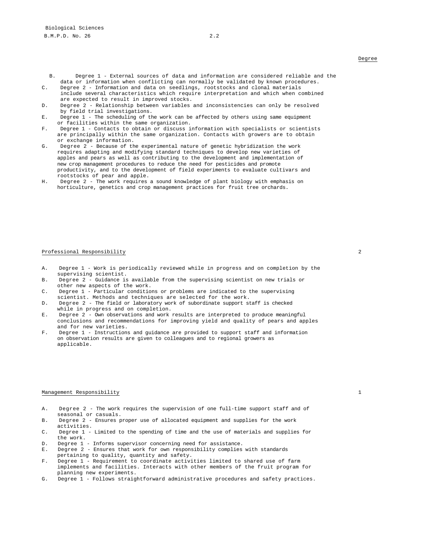- B. Degree 1 External sources of data and information are considered reliable and the data or information when conflicting can normally be validated by known procedures.
- C. Degree 2 Information and data on seedlings, rootstocks and clonal materials include several characteristics which require interpretation and which when combined are expected to result in improved stocks.
- D. Degree 2 Relationship between variables and inconsistencies can only be resolved by field trial investigations.
- E. Degree 1 The scheduling of the work can be affected by others using same equipment or facilities within the same organization.
- F. Degree 1 Contacts to obtain or discuss information with specialists or scientists are principally within the same organization. Contacts with growers are to obtain or exchange information.
- G. Degree 2 Because of the experimental nature of genetic hybridization the work requires adapting and modifying standard techniques to develop new varieties of apples and pears as well as contributing to the development and implementation of new crop management procedures to reduce the need for pesticides and promote productivity, and to the development of field experiments to evaluate cultivars and rootstocks of pear and apple.
- H. Degree 2 The work requires a sound knowledge of plant biology with emphasis on horticulture, genetics and crop management practices for fruit tree orchards.

#### Professional Responsibility 2

- A. Degree 1 Work is periodically reviewed while in progress and on completion by the supervising scientist.
- B. Degree 2 Guidance is available from the supervising scientist on new trials or other new aspects of the work.
- C. Degree 1 Particular conditions or problems are indicated to the supervising scientist. Methods and techniques are selected for the work.
- D. Degree 2 The field or laboratory work of subordinate support staff is checked while in progress and on completion.
- E. Degree 2 Own observations and work results are interpreted to produce meaningful conclusions and recommendations for improving yield and quality of pears and apples and for new varieties.
- F. Degree 1 Instructions and guidance are provided to support staff and information on observation results are given to colleagues and to regional growers as applicable.

#### Management Responsibility 1

- A. Degree 2 The work requires the supervision of one full-time support staff and of seasonal or casuals.
- B. Degree 2 Ensures proper use of allocated equipment and supplies for the work activities.
- C. Degree 1 Limited to the spending of time and the use of materials and supplies for the work.
- D. Degree 1 Informs supervisor concerning need for assistance.<br>E. Degree 2 Ensures that work for own responsibility complies
- Degree 2 Ensures that work for own responsibility complies with standards
- pertaining to quality, quantity and safety.
- F. Degree 1 Requirement to coordinate activities limited to shared use of farm implements and facilities. Interacts with other members of the fruit program for planning new experiments.
- G. Degree 1 Follows straightforward administrative procedures and safety practices.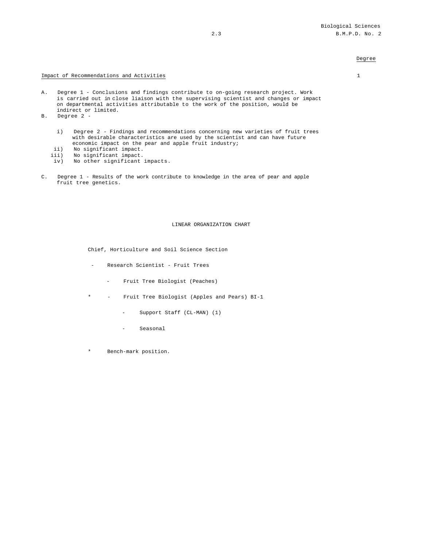### Degree

### Impact of Recommendations and Activities 1

- A. Degree 1 Conclusions and findings contribute to on-going research project. Work is carried out in close liaison with the supervising scientist and changes or impact on departmental activities attributable to the work of the position, would be indirect or limited.
- B. Degree 2
	- i) Degree 2 Findings and recommendations concerning new varieties of fruit trees with desirable characteristics are used by the scientist and can have future economic impact on the pear and apple fruit industry;
	- ii) No significant impact.<br>iii) No significant impact.
	- No significant impact.
	- iv) No other significant impacts.
- C. Degree 1 Results of the work contribute to knowledge in the area of pear and apple fruit tree genetics.

#### LINEAR ORGANIZATION CHART

Chief, Horticulture and Soil Science Section

- Research Scientist Fruit Trees
	- Fruit Tree Biologist (Peaches)
- \* Fruit Tree Biologist (Apples and Pears) BI-1
	- Support Staff (CL-MAN) (1)
	- Seasonal
- \* Bench-mark position.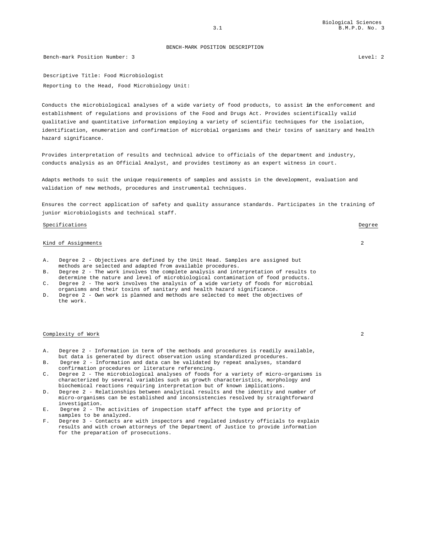BENCH-MARK POSITION DESCRIPTION

Bench-mark Position Number: 3 Level: 2

Descriptive Title: Food Microbiologist Reporting to the Head, Food Microbiology Unit:

Conducts the microbiological analyses of a wide variety of food products, to assist **in** the enforcement and establishment of regulations and provisions of the Food and Drugs Act. Provides scientifically valid qualitative and quantitative information employing a variety of scientific techniques for the isolation, identification, enumeration and confirmation of microbial organisms and their toxins of sanitary and health hazard significance.

Provides interpretation of results and technical advice to officials of the department and industry, conducts analysis as an Official Analyst, and provides testimony as an expert witness in court.

Adapts methods to suit the unique requirements of samples and assists in the development, evaluation and validation of new methods, procedures and instrumental techniques.

Ensures the correct application of safety and quality assurance standards. Participates in the training of junior microbiologists and technical staff.

#### Specifications Degree

### Kind of Assignments 2

- A. Degree 2 Objectives are defined by the Unit Head. Samples are assigned but methods are selected and adapted from available procedures.
- B. Degree 2 The work involves the complete analysis and interpretation of results to determine the nature and level of microbiological contamination of food products.
- C. Degree 2 The work involves the analysis of a wide variety of foods for microbial organisms and their toxins of sanitary and health hazard significance.
- D. Degree 2 Own work is planned and methods are selected to meet the objectives of the work.

#### Complexity of Work 2

- A. Degree 2 Information in term of the methods and procedures is readily available, but data is generated by direct observation using standardized procedures.
- B. Degree 2 Information and data can be validated by repeat analyses, standard confirmation procedures or literature referencing.
- C. Degree 2 The microbiological analyses of foods for a variety of micro-organisms is characterized by several variables such as growth characteristics, morphology and biochemical reactions requiring interpretation but of known implications.
- D. Degree 2 Relationships between analytical results and the identity and number of micro-organisms can be established and inconsistencies resolved by straightforward investigation.
- E. Degree 2 The activities of inspection staff affect the type and priority of samples to be analyzed.
- F. Degree 3 Contacts are with inspectors and regulated industry officials to explain results and with crown attorneys of the Department of Justice to provide information for the preparation of prosecutions.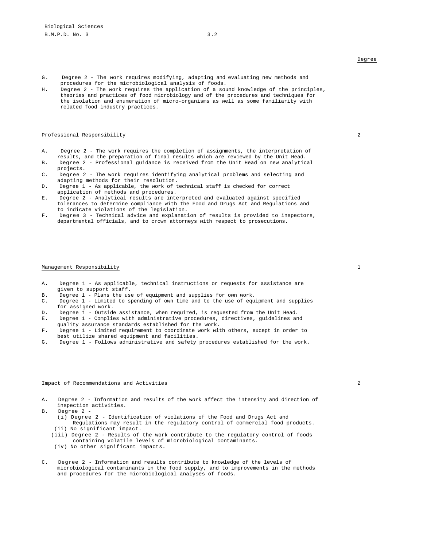- G. Degree 2 The work requires modifying, adapting and evaluating new methods and procedures for the microbiological analysis of foods.
- H. Degree 2 The work requires the application of a sound knowledge of the principles, theories and practices of food microbiology and of the procedures and techniques for the isolation and enumeration of micro-organisms as well as some familiarity with related food industry practices.

### Professional Responsibility 2

- A. Degree 2 The work requires the completion of assignments, the interpretation of results, and the preparation of final results which are reviewed by the Unit Head.
- B. Degree 2 Professional guidance is received from the Unit Head on new analytical projects.
- C. Degree 2 The work requires identifying analytical problems and selecting and adapting methods for their resolution.
- D. Degree 1 As applicable, the work of technical staff is checked for correct application of methods and procedures.
- E. Degree 2 Analytical results are interpreted and evaluated against specified tolerances to determine compliance with the Food and Drugs Act and Regulations and to indicate violations of the legislation.
- F. Degree 3 Technical advice and explanation of results is provided to inspectors, departmental officials, and to crown attorneys with respect to prosecutions.

#### Management Responsibility 1

- A. Degree 1 As applicable, technical instructions or requests for assistance are given to support staff.
- B. Degree 1 Plans the use of equipment and supplies for own work.
- C. Degree 1 Limited to spending of own time and to the use of equipment and supplies for assigned work.
- D. Degree 1 Outside assistance, when required, is requested from the Unit Head.<br>E. Degree 1 Complies with administrative procedures, directives, guidelines and
- Degree 1 Complies with administrative procedures, directives, guidelines and quality assurance standards established for the work.
- F. Degree 1 Limited requirement to coordinate work with others, except in order to best utilize shared equipment and facilities.
- G. Degree 1 Follows administrative and safety procedures established for the work.

#### Impact of Recommendations and Activities 2

- A. Degree 2 Information and results of the work affect the intensity and direction of inspection activities.
- B. Degree 2
	- (i) Degree 2 Identification of violations of the Food and Drugs Act and
	- Regulations may result in the regulatory control of commercial food products. (ii) No significant impact.
	- (iii) Degree 2 Results of the work contribute to the regulatory control of foods containing volatile levels of microbiological contaminants.
	- (iv) No other significant impacts.
- C. Degree 2 Information and results contribute to knowledge of the levels of microbiological contaminants in the food supply, and to improvements in the methods and procedures for the microbiological analyses of foods.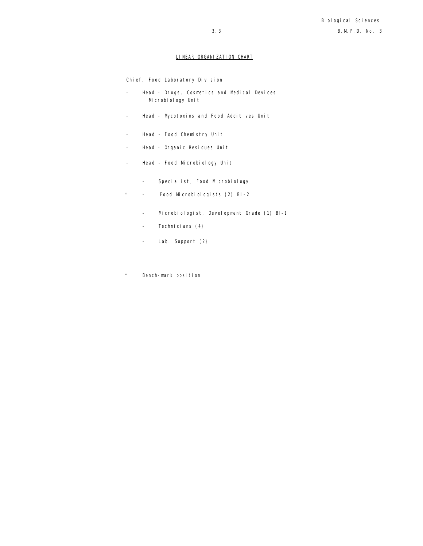## LINEAR ORGANIZATION CHART

Chief, Food Laboratory Division

- Head Drugs, Cosmetics and Medical Devices Microbiology Unit
- Head Mycotoxins and Food Additives Unit
- Head Food Chemistry Unit
- Head Organic Residues Unit
- Head Food Microbiology Unit
	- Specialist, Food Microbiology
- \* Food Microbiologists (2) BI-2
	- Microbiologist, Development Grade (1) BI-1
	- Technicians (4)
	- Lab. Support (2)
- \* Bench-mark position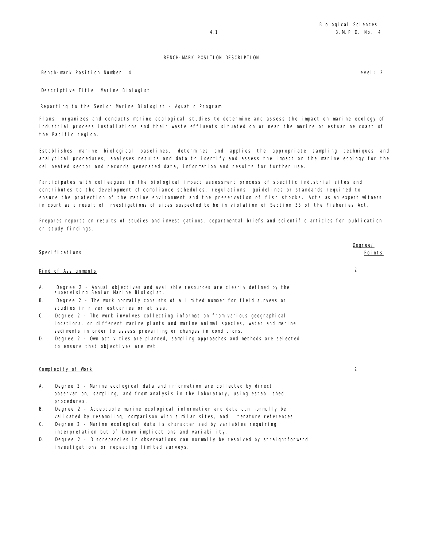### BENCH-MARK POSITION DESCRIPTION

Bench-mark Position Number: 4 Level: 2

Descriptive Title: Marine Biologist

Reporting to the Senior Marine Biologist - Aquatic Program

Plans, organizes and conducts marine ecological studies to determine and assess the impact on marine ecology of industrial process installations and their waste effluents situated on or near the marine or estuarine coast of the Pacific region.

Establishes marine biological baselines, determines and applies the appropriate sampling techniques and analytical procedures, analyses results and data to identify and assess the impact on the marine ecology for the delineated sector and records generated data, information and results for further use.

Participates with colleagues in the biological impact assessment process of specific industrial sites and contributes to the development of compliance schedules, regulations, guidelines or standards required to ensure the protection of the marine environment and the preservation of fish stocks. Acts as an expert witness in court as a result of investigations of sites suspected to be in violation of Section 33 of the Fisheries Act.

Prepares reports on results of studies and investigations, departmental briefs and scientific articles for publication on study findings.

|    | Specifications      |                                                                                                                         | Degree/<br>Poi nts |
|----|---------------------|-------------------------------------------------------------------------------------------------------------------------|--------------------|
|    | Kind of Assignments |                                                                                                                         |                    |
| А. |                     | Degree 2 - Annual objectives and available resources are clearly defined by the<br>supervising Senior Marine Biologist. |                    |

- B. Degree 2 The work normally consists of a limited number for field surveys or studies in river estuaries or at sea.
- C. Degree 2 The work involves collecting information from various geographical locations, on different marine plants and marine animal species, water and marine sediments in order to assess prevailing or changes in conditions.
- D. Degree 2 Own activities are planned, sampling approaches and methods are selected to ensure that objectives are met.

### Complexity of Work 2

- A. Degree 2 Marine ecological data and information are collected by direct observation, sampling, and from analysis in the laboratory, using established procedures.
- B. Degree 2 Acceptable marine ecological information and data can normally be validated by resampling, comparison with similar sites, and literature references.
- C. Degree 2 Marine ecological data is characterized by variables requiring interpretation but of known implications and variability.
- D. Degree 2 Discrepancies in observations can normally be resolved by straightforward investigations or repeating limited surveys.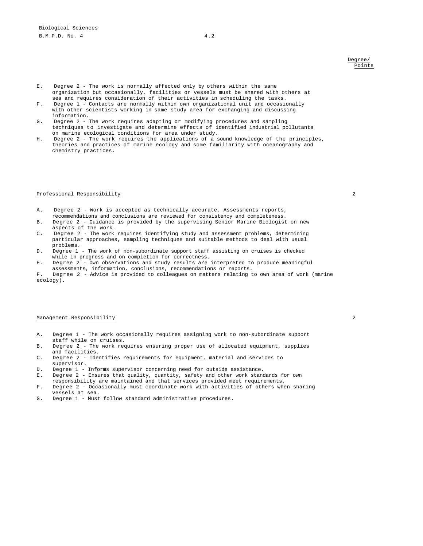### Degree/ Points

- E. Degree 2 The work is normally affected only by others within the same organization but occasionally, facilities or vessels must be shared with others at sea and requires consideration of their activities in scheduling the tasks.
- F. Degree 1 Contacts are normally within own organizational unit and occasionally with other scientists working in same study area for exchanging and discussing information.
- G. Degree 2 The work requires adapting or modifying procedures and sampling techniques to investigate and determine effects of identified industrial pollutants on marine ecological conditions for area under study.
- H. Degree 2 The work requires the applications of a sound knowledge of the principles, theories and practices of marine ecology and some familiarity with oceanography and chemistry practices.

### Professional Responsibility 2

- A. Degree 2 Work is accepted as technically accurate. Assessments reports, recommendations and conclusions are reviewed for consistency and completeness.
- B. Degree 2 Guidance is provided by the supervising Senior Marine Biologist on new aspects of the work.
- C. Degree 2 The work requires identifying study and assessment problems, determining particular approaches, sampling techniques and suitable methods to deal with usual problems.
- D. Degree 1 The work of non-subordinate support staff assisting on cruises is checked while in progress and on completion for correctness.
- E. Degree 2 Own observations and study results are interpreted to produce meaningful assessments, information, conclusions, recommendations or reports.
- F. Degree 2 Advice is provided to colleagues on matters relating to own area of work (marine ecology).

### Management Responsibility 2

- A. Degree 1 The work occasionally requires assigning work to non-subordinate support staff while on cruises.
- B. Degree 2 The work requires ensuring proper use of allocated equipment, supplies and facilities.
- C. Degree 2 Identifies requirements for equipment, material and services to supervisor.
- D. Degree 1 Informs supervisor concerning need for outside assistance.
- E. Degree 2 Ensures that quality, quantity, safety and other work standards for own responsibility are maintained and that services provided meet requirements.
- F. Degree 2 Occasionally must coordinate work with activities of others when sharing vessels at sea.
- G. Degree 1 Must follow standard administrative procedures.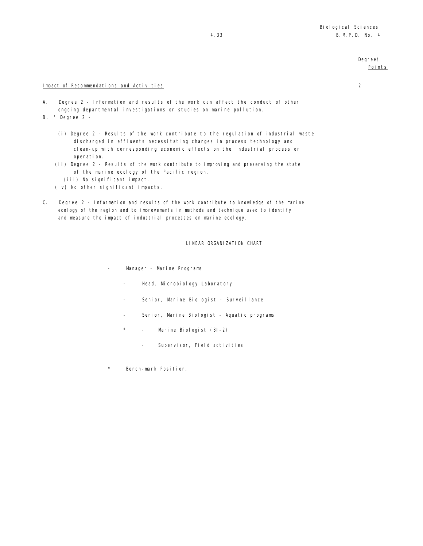### Degree/ Points

### Impact of Recommendations and Activities 2

- A. Degree 2 Information and results of the work can affect the conduct of other ongoing departmental investigations or studies on marine pollution.
- B. ' Degree 2
	- (i) Degree 2 Results of the work contribute to the regulation of industrial waste discharged in effluents necessitating changes in process technology and clean-up with corresponding economic effects on the industrial process or operation.
	- (ii) Degree 2 Results of the work contribute to improving and preserving the state of the marine ecology of the Pacific region.
		- (iii) No significant impact.
	- $(iv)$  No other significant impacts.
- C. Degree 2 Information and results of the work contribute to knowledge of the marine ecology of the region and to improvements in methods and technique used to identify and measure the impact of industrial processes on marine ecology.

LINEAR ORGANIZATION CHART

- Manager Marine Programs
	- Head, Microbiology Laboratory
	- Senior, Marine Biologist Surveillance
	- Senior, Marine Biologist Aquatic programs
	- Marine Biologist (BI-2)
		- Supervisor, Field activities
- \* Bench-mark Position.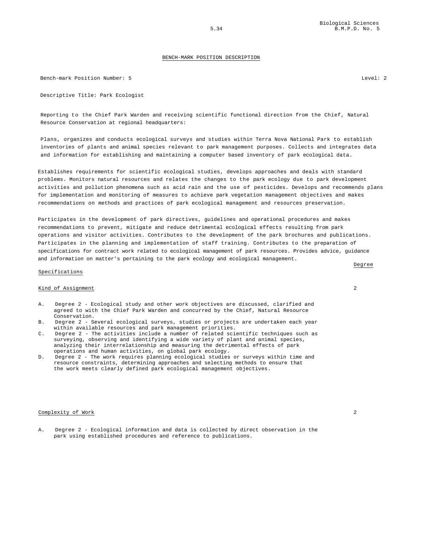#### BENCH-MARK POSITION DESCRIPTION

Bench-mark Position Number: 5 Level: 2

Descriptive Title: Park Ecologist

Reporting to the Chief Park Warden and receiving scientific functional direction from the Chief, Natural Resource Conservation at regional headquarters:

Plans, organizes and conducts ecological surveys and studies within Terra Nova National Park to establish inventories of plants and animal species relevant to park management purposes. Collects and integrates data and information for establishing and maintaining a computer based inventory of park ecological data.

Establishes requirements for scientific ecological studies, develops approaches and deals with standard problems. Monitors natural resources and relates the changes to the park ecology due to park development activities and pollution phenomena such as acid rain and the use of pesticides. Develops and recommends plans for implementation and monitoring of measures to achieve park vegetation management objectives and makes recommendations on methods and practices of park ecological management and resources preservation.

Participates in the development of park directives, guidelines and operational procedures and makes recommendations to prevent, mitigate and reduce detrimental ecological effects resulting from park operations and visitor activities. Contributes to the development of the park brochures and publications. Participates in the planning and implementation of staff training. Contributes to the preparation of specifications for contract work related to ecological management of park resources. Provides advice, guidance and information on matter's pertaining to the park ecology and ecological management.

#### Specifications

### Kind of Assignment 2

- A. Degree 2 Ecological study and other work objectives are discussed, clarified and agreed to with the Chief Park Warden and concurred by the Chief, Natural Resource Conservation.
- B. Degree 2 Several ecological surveys, studies or projects are undertaken each year within available resources and park management priorities.
- C. Degree 2 The activities include a number of related scientific techniques such as surveying, observing and identifying a wide variety of plant and animal species, analyzing their interrelationship and measuring the detrimental effects of park operations and human activities, on global park ecology.
- D. Degree 2 The work requires planning ecological studies or surveys within time and resource constraints, determining approaches and selecting methods to ensure that the work meets clearly defined park ecological management objectives.

### Complexity of Work 2

A. Degree 2 - Ecological information and data is collected by direct observation in the park using established procedures and reference to publications.

Degree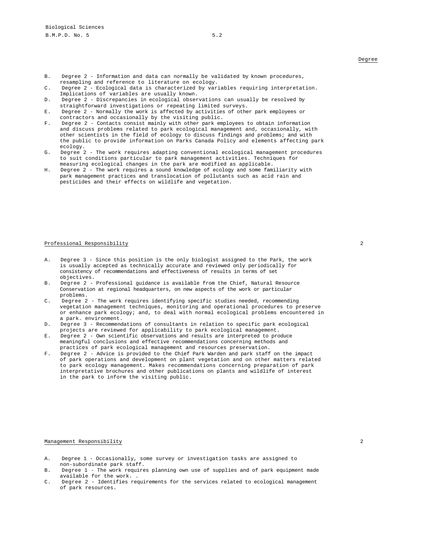- B. Degree 2 Information and data can normally be validated by known procedures, resampling and reference to literature on ecology.
- C. Degree 2 Ecological data is characterized by variables requiring interpretation. Implications of variables are usually known.
- D. Degree 2 Discrepancies in ecological observations can usually be resolved by straightforward investigations or repeating limited surveys.
- E. Degree 2 Normally the work is affected by activities of other park employees or contractors and occasionally by the visiting public.
- F. Degree 2 Contacts consist mainly with other park employees to obtain information and discuss problems related to park ecological management and, occasionally, with other scientists in the field of ecology to discuss findings and problems; and with the public to provide information on Parks Canada Policy and elements affecting park ecology.
- G. Degree 2 The work requires adapting conventional ecological management procedures to suit conditions particular to park management activities. Techniques for measuring ecological changes in the park are modified as applicable.
- H. Degree 2 The work requires a sound knowledge of ecology and some familiarity with park management practices and translocation of pollutants such as acid rain and pesticides and their effects on wildlife and vegetation.

### Professional Responsibility 2

- A. Degree 3 Since this position is the only biologist assigned to the Park, the work is usually accepted as technically accurate and reviewed only periodically for consistency of recommendations and effectiveness of results in terms of set objectives.
- B. Degree 2 Professional guidance is available from the Chief, Natural Resource Conservation at regional headquarters, on new aspects of the work or particular problems.
- C. Degree 2 The work requires identifying specific studies needed, recommending vegetation management techniques, monitoring and operational procedures to preserve or enhance park ecology; and, to deal with normal ecological problems encountered in a park. environment.
- D. Degree 3 Recommendations of consultants in relation to specific park ecological projects are reviewed for applicability to park ecological management.
- E. Degree 2 Own scientific observations and results are interpreted to produce meaningful conclusions and effective recommendations concerning methods and practices of park ecological management and resources preservation.
- F. Degree 2 Advice is provided to the Chief Park Warden and park staff on the impact of park operations and development on plant vegetation and on other matters related to park ecology management. Makes recommendations concerning preparation of park interpretative brochures and other publications on plants and wildlife of interest in the park to inform the visiting public.

### Management Responsibility 2008

- A. Degree 1 Occasionally, some survey or investigation tasks are assigned to non-subordinate park staff.
- B. Degree 1 The work requires planning own use of supplies and of park equipment made available for the work. .
- C. Degree 2 Identifies requirements for the services related to ecological management of park resources.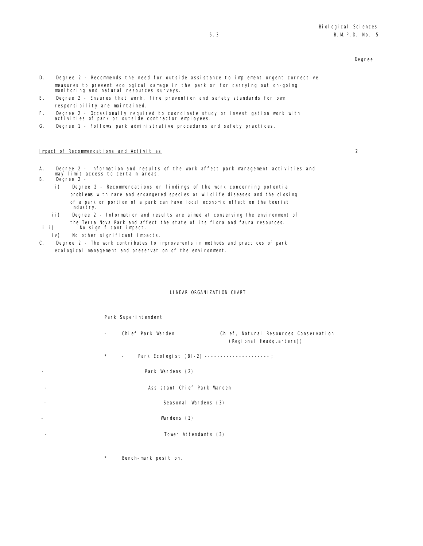### Degree

- D. Degree 2 Recommends the need for outside assistance to implement urgent corrective measures to prevent ecological damage in the park or for carrying out on-going monitoring and natural resources surveys.
- E. Degree 2 Ensures that work, fire prevention and safety standards for own responsibility are maintained.
- F. Degree 2 Occasionally required to coordinate study or investigation work with activities of park or outside contractor employees.
- G. Degree 1 Follows park administrative procedures and safety practices.

### Impact of Recommendations and Activities 2

- A. Degree 2 Information and results of the work affect park management activities and may limit access to certain areas.
- B. Degree 2
	- i) Degree 2 Recommendations or findings of the work concerning potential problems with rare and endangered species or wildlife diseases and the closing of a park or portion of a park can have local economic effect on the tourist industry.
- ii) Degree 2 Information and results are aimed at conserving the environment of the Terra Nova Park and affect the state of its flora and fauna resources. iii) No significant impact.
- iv) No other significant impacts.
- C. Degree 2 The work contributes to improvements in methods and practices of park ecological management and preservation of the environment.

### LINEAR ORGANIZATION CHART

Park Superintendent

- Chief Park Warden Chief, Natural Resources Conservation (Regional Headquarters))
- Park Ecologist (BI-2) ---------------------;

Park Wardens (2)

Assistant Chief Park Warden

Seasonal Wardens (3)

Wardens (2)

Tower Attendants (3)

Bench-mark position.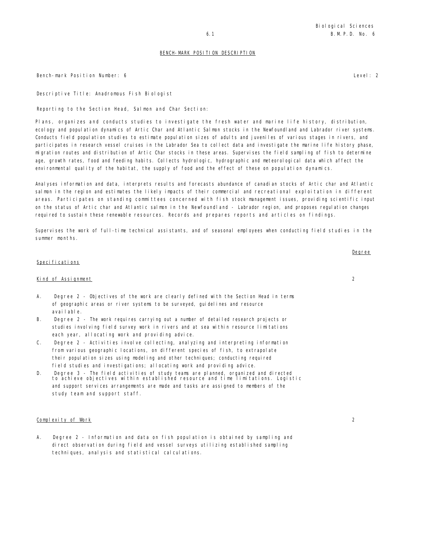Bench-mark Position Number: 6 Level: 2

Descriptive Title: Anadromous Fish Biologist

Reporting to the Section Head, Salmon and Char Section:

Plans, organizes and conducts studies to investigate the fresh water and marine life history, distribution, ecology and population dynamics of Artic Char and Atlantic Salmon stocks in the Newfoundland and Labrador river systems. Conducts field population studies to estimate population sizes of adults and juveniles of various stages in rivers, and participates in research vessel cruises in the Labrador Sea to collect data and investigate the marine life history phase, migration routes and distribution of Artic Char stocks in these areas. Supervises the field sampling of fish to determine age, growth rates, food and feeding habits. Collects hydrologic, hydrographic and meteorological data which affect the environmental quality of the habitat, the supply of food and the effect of these on population dynamics.

Analyses information and data, interprets results and forecasts abundance of canadian stocks of Artic char and Atlantic salmon in the region and estimates the likely impacts of their commercial and recreational exploitation in different areas. Participates on standing committees concerned with fish stock management issues, providing scientific input on the status of Artic char and Atlantic salmon in the Newfoundland - Labrador region, and proposes regulation changes required to sustain these renewable resources. Records and prepares reports and articles on findings.

Supervises the work of full-time technical assistants, and of seasonal employees when conducting field studies in the summer months.

# Specifications

# Kind of Assignment 2

- A. Degree 2 Objectives of the work are clearly defined with the Section Head in terms of geographic areas or river systems to be surveyed, guidelines and resource available.
- B. Degree 2 The work requires carrying out a number of detailed research projects or studies involving field survey work in rivers and at sea within resource limitations each year, allocating work and providing advice.
- C. Degree 2 Activities involve collecting, analyzing and interpreting information from various geographic locations, on different species of fish, to extrapolate their population sizes using modeling and other techniques; conducting required field studies and investigations; allocating work and providing advice.
- D. Degree 3 The field activities of study teams are planned, organized and directed to achieve objectives within established resource and time limitations. Logistic and support services arrangements are made and tasks are assigned to members of the study team and support staff.

#### Complexity of Work 2

A. Degree 2 - Information and data on fish population is obtained by sampling and direct observation during field and vessel surveys utilizing established sampling techniques, analysis and statistical calculations.

Degree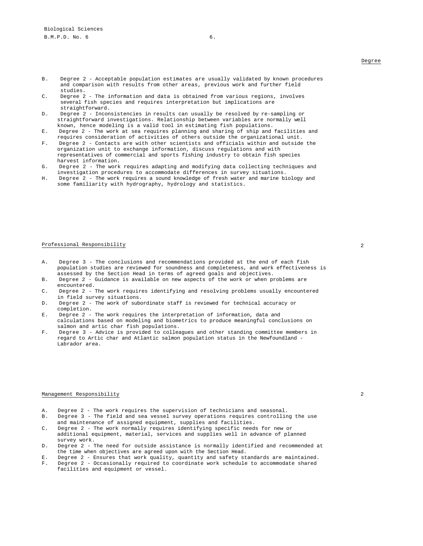- B. Degree 2 Acceptable population estimates are usually validated by known procedures and comparison with results from other areas, previous work and further field studies.
- C. Degree 2 The information and data is obtained from various regions, involves several fish species and requires interpretation but implications are straightforward.
- D. Degree 2 Inconsistencies in results can usually be resolved by re-sampling or straightforward investigations. Relationship between variables are normally well known, hence modeling is a valid tool in estimating fish populations.
- E. Degree 2 The work at sea requires planning and sharing of ship and facilities and requires consideration of activities of others outside the organizational unit.
- F. Degree 2 Contacts are with other scientists and officials within and outside the organization unit to exchange information, discuss regulations and with representatives of commercial and sports fishing industry to obtain fish species harvest information.
- G. Degree 2 The work requires adapting and modifying data collecting techniques and investigation procedures to accommodate differences in survey situations.
- H. Degree 2 The work requires a sound knowledge of fresh water and marine biology and some familiarity with hydrography, hydrology and statistics.

#### Professional Responsibility 2

- A. Degree 3 The conclusions and recommendations provided at the end of each fish population studies are reviewed for soundness and completeness, and work effectiveness is assessed by the Section Head in terms of agreed goals and objectives.
- B. Degree 2 Guidance is available on new aspects of the work or when problems are encountered.
- C. Degree 2 The work requires identifying and resolving problems usually encountered in field survey situations.
- D. Degree 2 The work of subordinate staff is reviewed for technical accuracy or completion.
- Degree 2 The work requires the interpretation of information, data and calculations based on modeling and biometrics to produce meaningful conclusions on salmon and artic char fish populations.
- F. Degree 3 Advice is provided to colleagues and other standing committee members in regard to Artic char and Atlantic salmon population status in the Newfoundland - Labrador area.

#### Management Responsibility 2

- A. Degree 2 The work requires the supervision of technicians and seasonal.<br>B. Degree 3 The field and sea vessel survey operations requires controllin
- B. Degree 3 The field and sea vessel survey operations requires controlling the use and maintenance of assigned equipment, supplies and facilities.
- C. Degree 2 The work normally requires identifying specific needs for new or additional equipment, material, services and supplies well in advance of planned survey work.
- D. Degree 2 The need for outside assistance is normally identified and recommended at the time when objectives are agreed upon with the Section Head.
- E. Degree 2 Ensures that work quality, quantity and safety standards are maintained.
- F. Degree 2 Occasionally required to coordinate work schedule to accommodate shared facilities and equipment or vessel.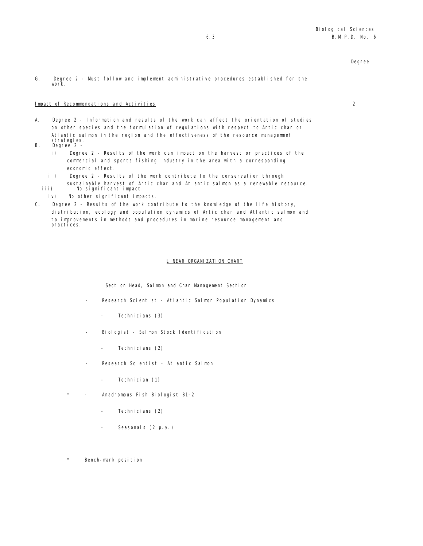# Impact of Recommendations and Activities 2

A. Degree 2 - Information and results of the work can affect the orientation of studies on other species and the formulation of regulations with respect to Artic char or Atlantic salmon in the region and the effectiveness of the resource management strategies.

- B. Degree 2
	- i) Degree 2 Results of the work can impact on the harvest or practices of the commercial and sports fishing industry in the area with a corresponding economic effect.
	- ii) Degree 2 Results of the work contribute to the conservation through sustainable harvest of Artic char and Atlantic salmon as a renewable resource.
	- iii) No significant impact. iv) No other significant impacts.
- C. Degree 2 Results of the work contribute to the knowledge of the life history, distribution, ecology and population dynamics of Artic char and Atlantic salmon and to improvements in methods and procedures in marine resource management and practices.

## LINEAR ORGANIZATION CHART

Section Head, Salmon and Char Management Section

- Research Scientist Atlantic Salmon Population Dynamics
	- Technicians (3)
- Biologist Salmon Stock Identification
	- Technicians (2)
- Research Scientist Atlantic Salmon
	- Technician (1)
- Anadromous Fish Biologist B1-2
	- Technicians (2)
	- Seasonals (2 p.y.)
- Bench-mark position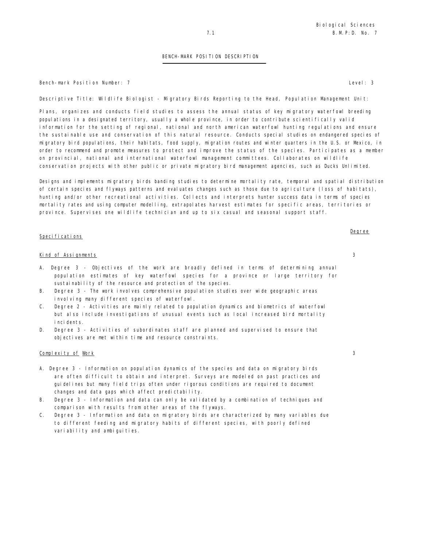Bench-mark Position Number: 7 Level: 3

Descriptive Title: Wildlife Biologist - Migratory Birds Reporting to the Head, Population Management Unit:

Plans, organizes and conducts field studies to assess the annual status of key migratory waterfowl breeding populations in a designated territory, usually a whole province, in order to contribute scientifically valid information for the setting of regional, national and north american waterfowl hunting regulations and ensure the sustainable use and conservation of this natural resource. Conducts special studies on endangered species of migratory bird populations, their habitats, food supply, migration routes and winter quarters in the U.S. or Mexico, in order to recommend and promote measures to protect and improve the status of the species. Participates as a member on provincial, national and international waterfowl management committees. Collaborates on wildlife conservation projects with other public or private migratory bird management agencies, such as Ducks Unlimited.

Designs and implements migratory birds banding studies to determine mortality rate, temporal and spatial distribution of certain species and flyways patterns and evaluates changes such as those due to agriculture (loss of habitats), hunting and/or other recreational activities. Collects and interprets hunter success data in terms of species mortality rates and using computer modelling, extrapolates harvest estimates for specific areas, territories or province. Supervises one wildlife technician and up to six casual and seasonal support staff.

#### Specifications

#### Kind of Assignments 3

- A. Degree 3 Objectives of the work are broadly defined in terms of determining annual population estimates of key waterfowl species for a province or large territory for sustainability of the resource and protection of the species.
- B. Degree 3 The work involves comprehensive population studies over wide geographic areas involving many different species of waterfowl.
- C. Degree 2 Activities are mainly related to population dynamics and biometrics of waterfowl but also include investigations of unusual events such as local increased bird mortality incidents.
- D. Degree 3 Activities of subordinates staff are planned and supervised to ensure that objectives are met within time and resource constraints.

# Complexity of Work 3

- A. Degree 3 Information on population dynamics of the species and data on migratory birds are often difficult to obtain and interpret. Surveys are modeled on past practices and guidelines but many field trips often under rigorous conditions are required to document changes and data gaps which affect predictability.
- B. Degree 3 Information and data can only be validated by a combination of techniques and comparison with results from other areas of the flyways.
- C. Degree 3 Information and data on migratory birds are characterized by many variables due to different feeding and migratory habits of different species, with poorly defined variability and ambiguities.

Degree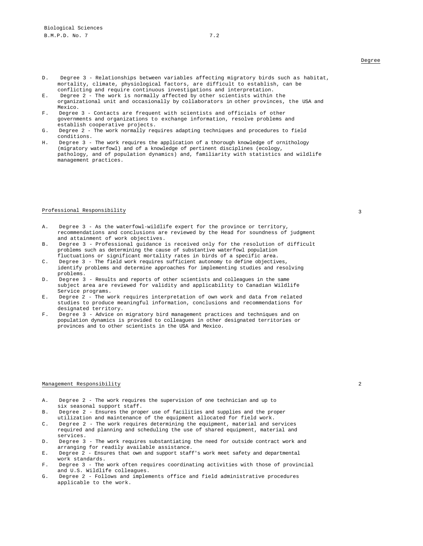- D. Degree 3 Relationships between variables affecting migratory birds such as habitat, mortality, climate, physiological factors, are difficult to establish, can be conflicting and require continuous investigations and interpretation.
- E. Degree 2 The work is normally affected by other scientists within the organizational unit and occasionally by collaborators in other provinces, the USA and Mexico.
- F. Degree 3 Contacts are frequent with scientists and officials of other governments and organizations to exchange information, resolve problems and establish cooperative projects.
- G. Degree 2 The work normally requires adapting techniques and procedures to field conditions.
- H. Degree 3 The work requires the application of a thorough knowledge of ornithology (migratory waterfowl) and of a knowledge of pertinent disciplines (ecology, pathology, and of population dynamics) and, familiarity with statistics and wildlife management practices.

#### Professional Responsibility 33 and 32 and 33 and 33 and 33 and 33 and 33 and 33 and 33 and 33 and 33 and 33 and 33 and 33 and 33 and 33 and 33 and 33 and 33 and 33 and 33 and 33 and 33 and 33 and 33 and 33 and 33 and 33 an

- A. Degree 3 As the waterfowl-wildlife expert for the province or territory, recommendations and conclusions are reviewed by the Head for soundness of judgment and attainment of work objectives.
- B. Degree 3 Professional guidance is received only for the resolution of difficult problems such as determining the cause of substantive waterfowl population fluctuations or significant mortality rates in birds of a specific area.
- C. Degree 3 The field work requires sufficient autonomy to define objectives, identify problems and determine approaches for implementing studies and resolving problems.
- D. Degree 3 Results and reports of other scientists and colleagues in the same subject area are reviewed for validity and applicability to Canadian Wildlife Service programs.
- E. Degree 2 The work requires interpretation of own work and data from related studies to produce meaningful information, conclusions and recommendations for designated territory.
- F. Degree 3 Advice on migratory bird management practices and techniques and on population dynamics is provided to colleagues in other designated territories or provinces and to other scientists in the USA and Mexico.

#### Management Responsibility 2

- A. Degree 2 The work requires the supervision of one technician and up to six seasonal support staff.
- B. Degree 2 Ensures the proper use of facilities and supplies and the proper utilization and maintenance of the equipment allocated for field work.
- C. Degree 2 The work requires determining the equipment, material and services required and planning and scheduling the use of shared equipment, material and services.
- D. Degree 3 The work requires substantiating the need for outside contract work and arranging for readily available assistance.
- E. Degree 2 Ensures that own and support staff's work meet safety and departmental work standards.
- F. Degree 3 The work often requires coordinating activities with those of provincial and U.S. Wildlife colleagues.
- G. Degree 2 Follows and implements office and field administrative procedures applicable to the work.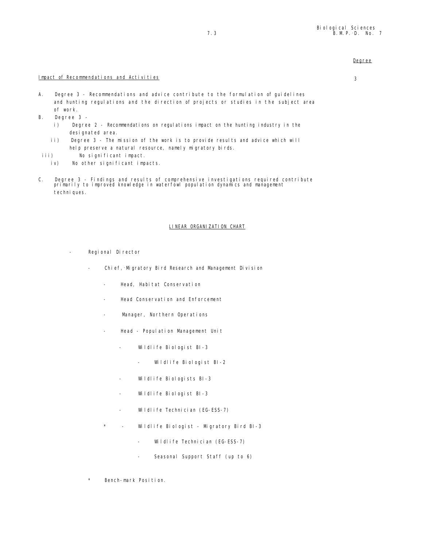# Impact of Recommendations and Activities 3

- A. Degree 3 Recommendations and advice contribute to the formulation of guidelines and hunting regulations and the direction of projects or studies in the subject area of work.
- B. Degree 3
	- i) Degree 2 Recommendations on regulations impact on the hunting industry in the designated area.
	- ii) Degree 3 The mission of the work is to provide results and advice which will help preserve a natural resource, namely migratory birds.
- iii) No significant impact.
	- iv) No other significant impacts.
- C. Degree 3 Findings and results of comprehensive investigations required contribute primarily to improved knowledge in waterfowl population dynamics and management techni ques.

# LINEAR ORGANIZATION CHART

- Regional Director
	- Chief,-Migratory Bird Research and Management Division
		- Head, Habitat Conservation
		- Head Conservation and Enforcement
		- Manager, Northern Operations
		- Head Popul ation Management Unit
			- Wildlife Biologist BI-3
				- Wildlife Biologist BI-2
			- Wildlife Biologists BI-3
			- Wildlife Biologist BI-3
			- Wildlife Technician (EG-ESS-7)
		- \* Wildlife Biologist Migratory Bird BI-3
			- Wildlife Technician (EG-ESS-7)
			- Seasonal Support Staff (up to 6)
	- Bench-mark Position.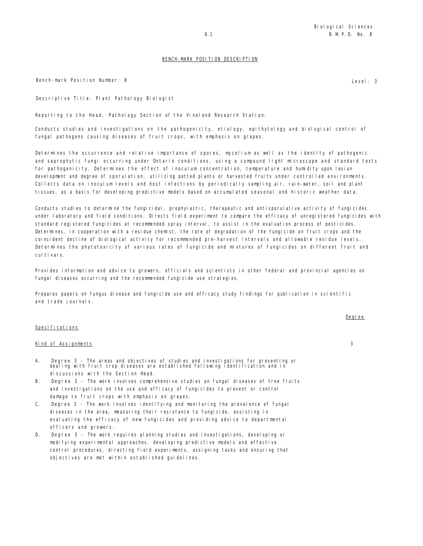Bench-mark Position Number: 8 Level: 3

Descriptive Title: Plant Pathology Biologist

Reporting to the Head, Pathology Section of the Vineland Research Station:

Conducts studies and investigations on the pathogenicity, etiology, epithytology and biological control of fungal pathogens causing diseases of fruit crops, with emphasis on grapes.

Determines the occurrence and relative importance of spores, mycelium as well as the identity of pathogenic and saprophytic fungi occurring under Ontario conditions, using a compound light microscope and standard tests for pathogenicity. Determines the effect of inoculum concentration, temperature and humidity upon lesion development and degree of sporulation, utilizing potted plants or harvested fruits under controlled environments. Collects data on inoculum levels and host infections by periodically sampling air, rain-water, soil and plant tissues, as a basis for developing predictive models based on accumulated seasonal and historic weather data.

Conducts studies to determine the fungicidal, prophylactic, therapeutic and antisporulative activity of fungicides under laboratory and field conditions. Directs field experiment to compare the efficacy of unregistered fungicides with standard registered fungicides at recommended spray interval, to assist in the evaluation process of pesticides. Determines, in cooperation with a residue chemist, the rate of degradation of the fungicide on fruit crops and the coincident decline of biological activity for recommended pre-harvest intervals and allowable residue levels. Determines the phytotoxicity of various rates of fungicide and mixtures of fungicides on different fruit and cul ti vars.

Provides information and advice to growers, officials and scientists in other federal and provincial agencies on fungal diseases occurring and the recommended fungicide use strategies.

Prepares papers on fungus disease and fungicide use and efficacy study findings for publication in scientific and trade journals.

#### Specifications

#### Kind of Assignments 3

- A. Degree 3 The areas and objectives of studies and investigations for preventing or dealing with fruit crop diseases are established following identification and in discussions with the Section Head.
- B. Degree 3 The work involves comprehensive studies on fungal diseases of tree fruits and investigations on the use and efficacy of fungicides to prevent or control damage to fruit crops with emphasis on grapes.
- C. Degree 2 The work involves identifying and monitoring the prevalence of fungal diseases in the area, measuring their resistance to fungicide, assisting in evaluating the efficacy of new fungicides and providing advice to departmental officers and growers.
- D. Degree 3 The work requires planning studies and investigations, developing or modifying experimental approaches, developing predictive models and effective control procedures, directing field experiments, assigning tasks and ensuring that objectives are met within established guidelines.

Degree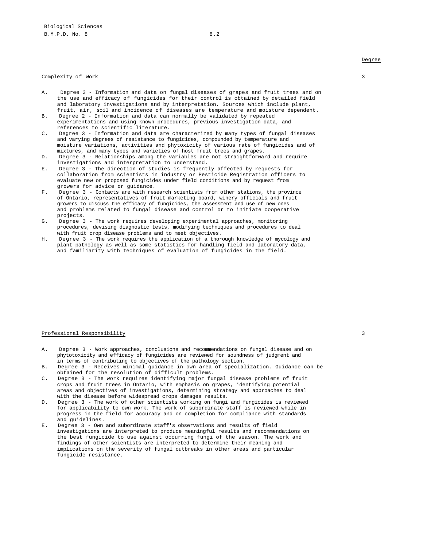- A. Degree 3 Information and data on fungal diseases of grapes and fruit trees and on the use and efficacy of fungicides for their control is obtained by detailed field and laboratory investigations and by interpretation. Sources which include plant, fruit, air, soil and incidence of diseases are temperature and moisture dependent.
- B. Degree 2 Information and data can normally be validated by repeated experimentations and using known procedures, previous investigation data, and references to scientific literature.
- C. Degree 3 Information and data are characterized by many types of fungal diseases and varying degrees of resistance to fungicides, compounded by temperature and moisture variations, activities and phytoxicity of various rate of fungicides and of mixtures, and many types and varieties of host fruit trees and grapes.
- D. Degree 3 Relationships among the variables are not straightforward and require investigations and interpretation to understand.
- E. Degree 3 The direction of studies is frequently affected by requests for collaboration from scientists in industry or Pesticide Registration officers to evaluate new or proposed fungicides under field conditions and by request from growers for advice or guidance.
- F. Degree 3 Contacts are with research scientists from other stations, the province of Ontario, representatives of fruit marketing board, winery officials and fruit growers to discuss the efficacy of fungicides, the assessment and use of new ones and problems related to fungal disease and control or to initiate cooperative projects.
- G. Degree 3 The work requires developing experimental approaches, monitoring procedures, devising diagnostic tests, modifying techniques and procedures to deal with fruit crop disease problems and to meet objectives.
- H. Degree 3 The work requires the application of a thorough knowledge of mycology and plant pathology as well as some statistics for handling field and laboratory data, and familiarity with techniques of evaluation of fungicides in the field.

# Professional Responsibility 3

- A. Degree 3 Work approaches, conclusions and recommendations on fungal disease and on phytotoxicity and efficacy of fungicides are reviewed for soundness of judgment and in terms of contributing to objectives of the pathology section.
- B. Degree 3 Receives minimal guidance in own area of specialization. Guidance can be obtained for the resolution of difficult problems.
- C. Degree 3 The work requires identifying major fungal disease problems of fruit crops and fruit trees in Ontario, with emphasis on grapes, identifying potential areas and objectives of investigations, determining strategy and approaches to deal with the disease before widespread crops damages results.
- D. Degree 3 The work of other scientists working on fungi and fungicides is reviewed for applicability to own work. The work of subordinate staff is reviewed while in progress in the field for accuracy and on completion for compliance with standards and guidelines.
- E. Degree 3 Own and subordinate staff's observations and results of field investigations are interpreted to produce meaningful results and recommendations on the best fungicide to use against occurring fungi of the season. The work and findings of other scientists are interpreted to determine their meaning and implications on the severity of fungal outbreaks in other areas and particular fungicide resistance.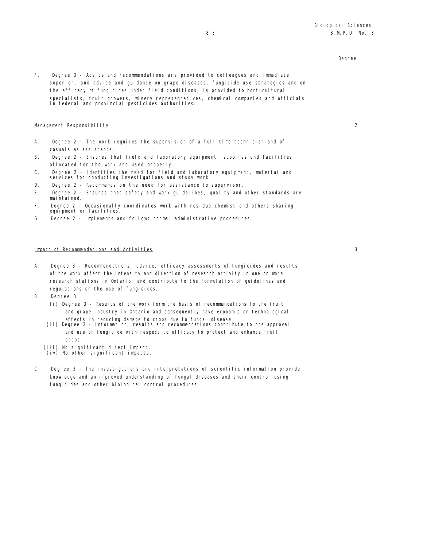F. Degree 3 - Advice and recommendations are provided to colleagues and immediate superior, and advice and guidance on grape diseases, fungicide use strategies and on the efficacy of fungicides under field conditions, is provided to horticultural specialists, fruit growers, winery representatives, chemical companies and officials in federal and provincial pesticides authorities.

# Management Responsibility 2

- A. Degree 2 The work requires the supervision of a full-time technician and of casuals as assistants.
- B. Degree 2 Ensures that field and laboratory equipment, supplies and facilities allocated for the work are used properly.
- C. Degree 2 Identifies the need for field and laboratory equipment, material and services for conducting investigations and study work.
- D. Degree 2 Recommends on the need for assistance to supervisor.
- E. Degree 2 Ensures that safety and work guidelines, quality and other standards are maintained.
- F . Degree 2 Occasionally coordinates work with residue chemist and others sharing equipment or facilities.
- G. Degree 2 Implements and follows normal administrative procedures.

# Impact of Recommendations and Activities 3

- A. Degree 3 Recommendations, advice, efficacy assessments of fungicides and results of the work affect the intensity and direction of research activity in one or more research stations in Ontario, and contribute to the formulation of guidelines and regulations on the use of fungicides.
- B. Degree 3
	- (i) Degree 3 Results of the work form the basis of recommendations to the fruit and grape industry in Ontario and consequently have economic or technological
	- effects in reducing damage to crops due to fungal disease. (ii) Degree 2 Information, results and recommendations contribute to the approval and use of fungicide with respect to efficacy to protect and enhance fruit crops.
	- (iii) No significant direct impact.
	- (iv) No other significant impacts.
- C. Degree 3 The investigations and interpretations of scientific information provide knowledge and an improved understanding of fungal diseases and their control using fungicides and other biological control procedures.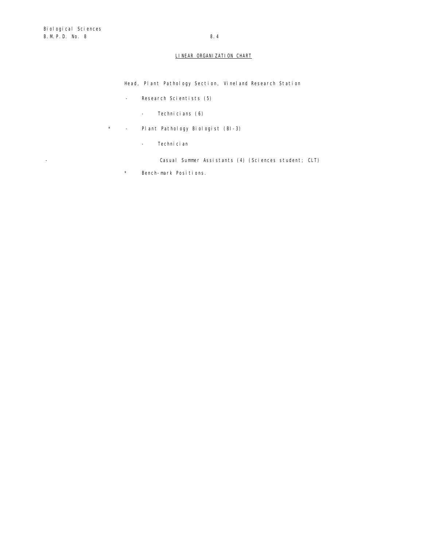# LINEAR ORGANIZATION CHART

Head, Plant Pathology Section, Vineland Research Station

- Research Scientists (5)
	- Technicians (6)
- \* Plant Pathology Biologist (BI-3)
	- Technician

- Casual Summer Assistants (4) (Sciences student; CLT)

\* Bench-mark Positions.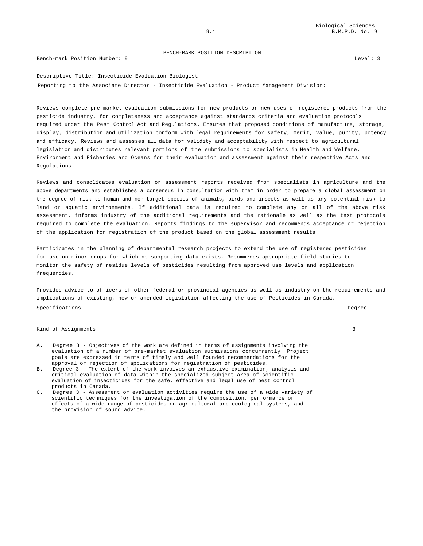#### Bench-mark Position Number: 9 Level: 3

Descriptive Title: Insecticide Evaluation Biologist Reporting to the Associate Director - Insecticide Evaluation - Product Management Division:

Reviews complete pre-market evaluation submissions for new products or new uses of registered products from the pesticide industry, for completeness and acceptance against standards criteria and evaluation protocols required under the Pest Control Act and Regulations. Ensures that proposed conditions of manufacture, storage, display, distribution and utilization conform with legal requirements for safety, merit, value, purity, potency and efficacy. Reviews and assesses all data for validity and acceptability with respect to agricultural legislation and distributes relevant portions of the submissions to specialists in Health and Welfare, Environment and Fisheries and Oceans for their evaluation and assessment against their respective Acts and Regulations.

Reviews and consolidates evaluation or assessment reports received from specialists in agriculture and the above departments and establishes a consensus in consultation with them in order to prepare a global assessment on the degree of risk to human and non-target species of animals, birds and insects as well as any potential risk to land or aquatic environments. If additional data is required to complete any or all of the above risk assessment, informs industry of the additional requirements and the rationale as well as the test protocols required to complete the evaluation. Reports findings to the supervisor and recommends acceptance or rejection of the application for registration of the product based on the global assessment results.

Participates in the planning of departmental research projects to extend the use of registered pesticides for use on minor crops for which no supporting data exists. Recommends appropriate field studies to monitor the safety of residue levels of pesticides resulting from approved use levels and application frequencies.

Provides advice to officers of other federal or provincial agencies as well as industry on the requirements and implications of existing, new or amended legislation affecting the use of Pesticides in Canada. Specifications **Degree** 

## Kind of Assignments 3

- A. Degree 3 Objectives of the work are defined in terms of assignments involving the evaluation of a number of pre-market evaluation submissions concurrently. Project goals are expressed in terms of timely and well founded recommendations for the approval or rejection of applications for registration of pesticides.
- B. Degree 3 The extent of the work involves an exhaustive examination, analysis and critical evaluation of data within the specialized subject area of scientific evaluation of insecticides for the safe, effective and legal use of pest control products in Canada.
- C. Degree 3 Assessment or evaluation activities require the use of a wide variety of scientific techniques for the investigation of the composition, performance or effects of a wide range of pesticides on agricultural and ecological systems, and the provision of sound advice.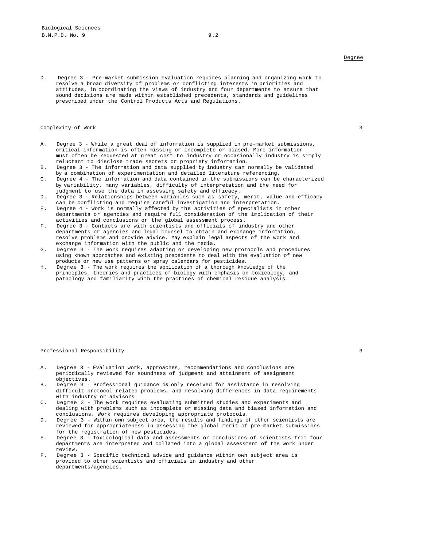D. Degree 3 - Pre-market submission evaluation requires planning and organizing work to resolve a broad diversity of problems or conflicting interests in priorities and attitudes, in coordinating the views of industry and four departments to ensure that sound decisions are made within established precedents, standards and guidelines prescribed under the Control Products Acts and Regulations.

# Complexity of Work 3

- A. Degree 3 While a great deal of information is supplied in pre-market submissions, critical information is often missing or incomplete or biased. More information must often be requested at great cost to industry or occasionally industry is simply reluctant to disclose trade secrets or propriety information.
- B. Degree 3 The information and data supplied by industry can normally be validated by a combination of experimentation and detailed literature referencing.
- C. Degree 4 The information and data contained in the submissions can be characterized by variability, many variables, difficulty of interpretation and the need for judgment to use the data in assessing safety and efficacy.
- D. Degree 3 Relationships between variables such as safety, merit, value and-efficacy can be conflicting and require careful investigation and interpretation.
- E. Degree 4 Work is normally affected by the activities of specialists in other departments or agencies and require full consideration of the implication of their activities and conclusions on the global assessment process.
- F. Degree 3 Contacts are with scientists and officials of industry and other departments or agencies and legal counsel to obtain and exchange information, resolve problems and provide advice. May explain legal aspects of the work and exchange information with the public and the media.
- G. Degree 3 The work requires adapting or developing new protocols and procedures using known approaches and existing precedents to deal with the evaluation of new products or new use patterns or spray calendars for pesticides.
- H. Degree 3 The work requires the application of a thorough knowledge of the principles, theories and practices of biology with emphasis on toxicology, and pathology and familiarity with the practices of chemical residue analysis.

#### Professional Responsibility 3

- A. Degree 3 Evaluation work, approaches, recommendations and conclusions are periodically reviewed for soundness of judgment and attainment of assignment objectives.
- B. Degree 3 Professional guidance **is** only received for assistance in resolving difficult protocol related problems, and resolving differences in data requirements with industry or advisors.
- C. Degree 3 The work requires evaluating submitted studies and experiments and dealing with problems such as incomplete or missing data and biased information and conclusions. Work requires developing appropriate protocols.
- D. Degree 3 Within own subject area, the results and findings of other scientists are reviewed for appropriateness in assessing the global merit of pre-market submissions for the registration of new pesticides.
- E. Degree 3 Toxicological data and assessments or conclusions of scientists from four departments are interpreted and collated into a global assessment of the work under review.
- F. Degree 3 Specific technical advice and guidance within own subject area is provided to other scientists and officials in industry and other departments/agencies.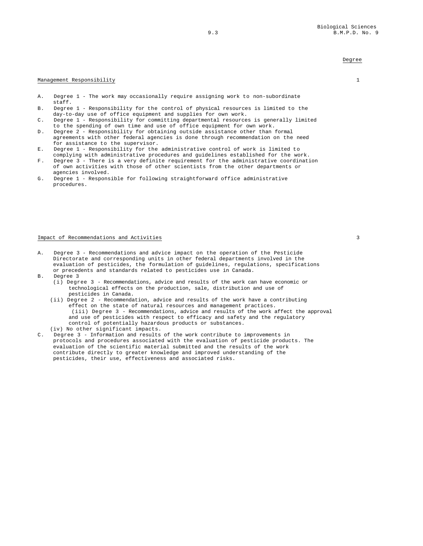## Management Responsibility 1

- A. Degree 1 The work may occasionally require assigning work to non-subordinate staff.
- B. Degree 1 Responsibility for the control of physical resources is limited to the day-to-day use of office equipment and supplies for own work.
- C. Degree 1 Responsibility for committing departmental resources is generally limited to the spending of own time and use of office equipment for own work.
- D. Degree 2 Responsibility for obtaining outside assistance other than formal agreements with other federal agencies is done through recommendation on the need for assistance to the supervisor.
- E. Degree 1 Responsibility for the administrative control of work is limited to complying with administrative procedures and guidelines established for the work.
- F. Degree 3 There is a very definite requirement for the administrative coordination of own activities with those of other scientists from the other departments or agencies involved.
- G. Degree 1 Responsible for following straightforward office administrative procedures.

#### Impact of Recommendations and Activities 3

- A. Degree 3 Recommendations and advice impact on the operation of the Pesticide Directorate and corresponding units in other federal departments involved in the evaluation of pesticides, the formulation of guidelines, regulations, specifications or precedents and standards related to pesticides use in Canada.
- B. Degree 3
	- (i) Degree 3 Recommendations, advice and results of the work can have economic or technological effects on the production, sale, distribution and use of pesticides in Canada.
	- (ii) Degree 2 Recommendation, advice and results of the work have a contributing effect on the state of natural resources and management practices. (iii) Degree 3 - Recommendations, advice and results of the work affect the approval and use of pesticides with respect to efficacy and safety and the regulatory control of potentially hazardous products or substances.
- (iv) No other significant impacts.
- C. Degree 3 Information and results of the work contribute to improvements in protocols and procedures associated with the evaluation of pesticide products. The evaluation of the scientific material submitted and the results of the work contribute directly to greater knowledge and improved understanding of the pesticides, their use, effectiveness and associated risks.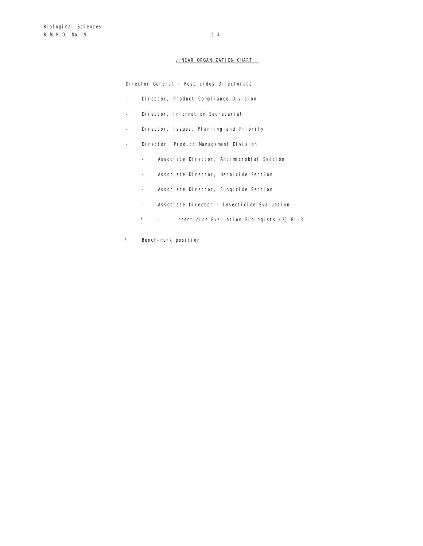# LINEAR ORGANIZATION CHART

Director General - Pesticides Directorate

- Director, Product Compliance Division
- Director, Information Secretariat
- Director, Issues, Planning and Priority
- Director, Product Management Division
	- Associate Director, Antimicrobial Section
	- Associate Director, Herbicide Section
	- Associate Director, Fungicide Section
	- Associate Director Insecticide Evaluation
	- \* Insecticide Evaluation Biologists (3) BI-3
- \* Bench-mark position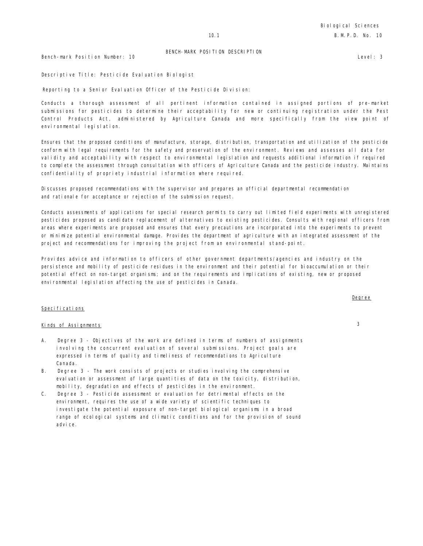Bench-mark Position Number: 10 Level: 3

Descriptive Title: Pesticide Evaluation Biologist

Reporting to a Senior Evaluation Officer of the Pesticide Division:

Conducts a thorough assessment of all pertinent information contained in assigned portions of pre-market submissions for pesticides to determine their acceptability for new or continuing registration under the Pest Control Products Act, administered by Agriculture Canada and more specifically from the view point of environmental legislation.

Ensures that the proposed conditions of manufacture, storage, distribution, transportation and utilization of the pesticide conform with legal requirements for the safety and preservation of the environment. Reviews and assesses all data for validity and acceptability with respect to environmental legislation and requests additional information if required to complete the assessment through consultation with officers of Agriculture Canada and the pesticide industry. Maintains confidentiality of propriety industrial information where required.

Discusses proposed recommendations with the supervisor and prepares an official departmental recommendation and rationale for acceptance or rejection of the submission request.

Conducts assessments of applications for special research permits to carry out limited field experiments with unregistered pesticides proposed as candidate replacement of alternatives to existing pesticides. Consults with regional officers from areas where experiments are proposed and ensures that every precautions are incorporated into the experiments to prevent or minimize potential environmental damage. Provides the department of agriculture with an integrated assessment of the project and recommendations for improving the project from an environmental stand-point.

Provides advice and information to officers of other government departments/agencies and industry on the persistence and mobility of pesticide residues in the environment and their potential for bioaccumulation or their potential effect on non-target organisms; and on the requirements and implications of existing, new or proposed environmental legislation affecting the use of pesticides in Canada.

# Specifications

# Kinds of Assignments 3

- A. Degree 3 Objectives of the work are defined in terms of numbers of assignments involving the concurrent evaluation of several submissions. Project goals are expressed in terms of quality and timeliness of recommendations to Agriculture Canada.
- B. Degree 3 The work consists of projects or studies involving the comprehensive evaluation or assessment of large quantities of data on the toxicity, distribution, mobility, degradation and effects of pesticides in the environment.
- C. Degree 3 Pesticide assessment or evaluation for detrimental effects on the environment, requires the use of a wide variety of scientific techniques to investigate the potential exposure of non-target biological organisms in a broad range of ecological systems and climatic conditions and for the provision of sound advi ce.

Degree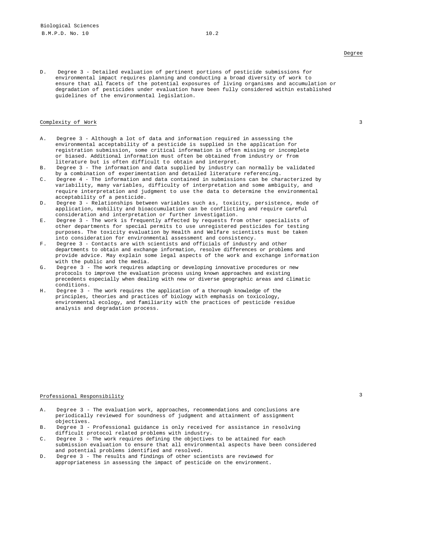D. Degree 3 - Detailed evaluation of pertinent portions of pesticide submissions for environmental impact requires planning and conducting a broad diversity of work to ensure that all facets of the potential exposures of living organisms and accumulation or degradation of pesticides under evaluation have been fully considered within established guidelines of the environmental legislation.

# Complexity of Work 3

- A. Degree 3 Although a lot of data and information required in assessing the environmental acceptability of a pesticide is supplied in the application for registration submission, some critical information is often missing or incomplete or biased. Additional information must often be obtained from industry or from literature but is often difficult to obtain and interpret.
- B. Degree 3 The information and data supplied by industry can normally be validated by a combination of experimentation and detailed literature referencing.
- C. Degree 4 The information and data contained in submissions can be characterized by variability, many variables, difficulty of interpretation and some ambiguity, and require interpretation and judgment to use the data to determine the environmental acceptability of a pesticide.
- D. Degree 3 Relationships between variables such as, toxicity, persistence, mode of application, mobility and bioaccumulation can be conflicting and require careful consideration and interpretation or further investigation.
- E. Degree 3 The work is frequently affected by requests from other specialists of other departments for special permits to use unregistered pesticides for testing purposes. The toxicity evaluation by Health and Welfare scientists must be taken into consideration for environmental assessment and consistency.
- F. Degree 3 Contacts are with scientists and officials of industry and other departments to obtain and exchange information, resolve differences or problems and provide advice. May explain some legal aspects of the work and exchange information with the public and the media.
- G. Degree 3 The work requires adapting or developing innovative procedures or new protocols to improve the evaluation process using known approaches and existing precedents especially when dealing with new or diverse geographic areas and climatic conditions.
- H. Degree 3 The work requires the application of a thorough knowledge of the principles, theories and practices of biology with emphasis on toxicology, environmental ecology, and familiarity with the practices of pesticide residue analysis and degradation process.

# Professional Responsibility 3 and 3 and 3 and 3 and 3 and 3 and 3 and 3 and 3 and 3 and 3 and 3 and 3 and 3 and 3 and 3 and 3 and 3 and 3 and 3 and 3 and 3 and 3 and 3 and 3 and 3 and 3 and 3 and 3 and 3 and 3 and 3 and 3

- A. Degree 3 The evaluation work, approaches, recommendations and conclusions are periodically reviewed for soundness of judgment and attainment of assignment objectives.
- B. Degree 3 Professional guidance is only received for assistance in resolving difficult protocol related problems with industry.
- C. Degree 3 The work requires defining the objectives to be attained for each submission evaluation to ensure that all environmental aspects have been considered and potential problems identified and resolved.
- D. Degree 3 The results and findings of other scientists are reviewed for appropriateness in assessing the impact of pesticide on the environment.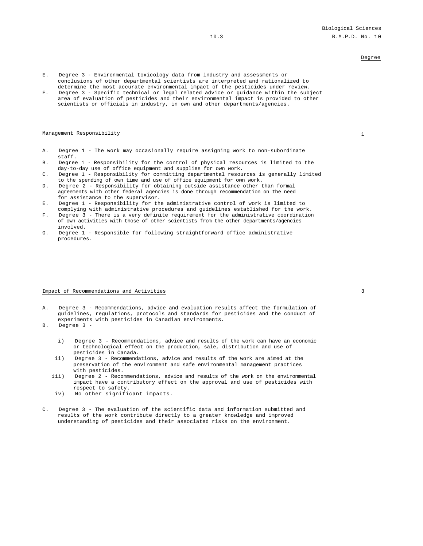- E. Degree 3 Environmental toxicology data from industry and assessments or conclusions of other departmental scientists are interpreted and rationalized to determine the most accurate environmental impact of the pesticides under review.
- F. Degree 3 Specific technical or legal related advice or guidance within the subject area of evaluation of pesticides and their environmental impact is provided to other scientists or officials in industry, in own and other departments/agencies**.**

#### Management Responsibility 1

- A. Degree 1 The work may occasionally require assigning work to non-subordinate staff.
- B. Degree 1 Responsibility for the control of physical resources is limited to the day-to-day use of office equipment and supplies for own work.
- C. Degree 1 Responsibility for committing departmental resources is generally limited to the spending of own time and use of office equipment for own work.
- D. Degree 2 Responsibility for obtaining outside assistance other than formal agreements with other federal agencies is done through recommendation on the need for assistance to the supervisor.
- E. Degree 1 Responsibility for the administrative control of work is limited to complying with administrative procedures and guidelines established for the work.
- F. Degree 3 There is a very definite requirement for the administrative coordination of own activities with those of other scientists from the other departments/agencies involved.
- G. Degree 1 Responsible for following straightforward office administrative procedures.

## Impact of Recommendations and Activities 3

- A. Degree 3 Recommendations, advice and evaluation results affect the formulation of guidelines, regulations, protocols and standards for pesticides and the conduct of experiments with pesticides in Canadian environments.
- B. Degree 3
	- i) Degree 3 Recommendations, advice and results of the work can have an economic or technological effect on the production, sale, distribution and use of pesticides in Canada.
	- ii) Degree 3 Recommendations, advice and results of the work are aimed at the preservation of the environment and safe environmental management practices with pesticides.
	- iii) Degree 2 Recommendations, advice and results of the work on the environmental impact have a contributory effect on the approval and use of pesticides with respect to safety.
	- iv) No other significant impacts.
- C. Degree 3 The evaluation of the scientific data and information submitted and results of the work contribute directly to a greater knowledge and improved understanding of pesticides and their associated risks on the environment.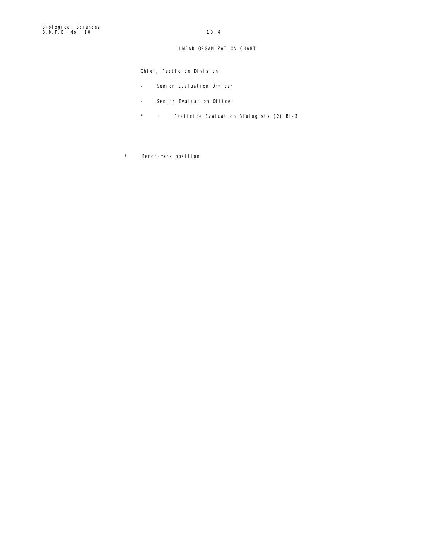# LINEAR ORGANIZATION CHART

Chief, Pesticide Division

- Senior Evaluation Officer
- Senior Evaluation Officer
- \* Pesticide Evaluation Biologists (2) BI-3
- \* Bench-mark position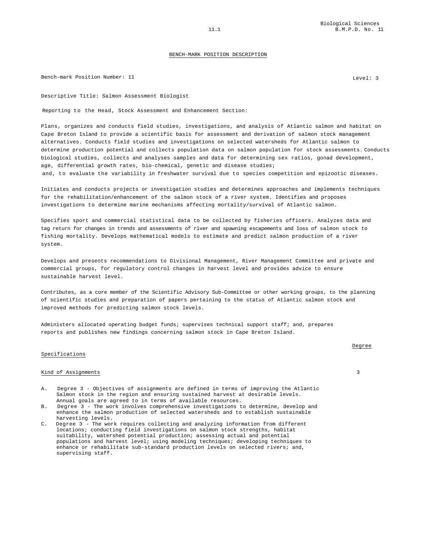Bench-mark Position Number: 11 and 10 and 10 and 10 and 10 and 10 and 10 and 10 and 10 and 10 and 10 and 10 and 10 and 10 and 10 and 10 and 10 and 10 and 10 and 10 and 10 and 10 and 10 and 10 and 10 and 10 and 10 and 10 an

Descriptive Title: Salmon Assessment Biologist

Reporting to the Head, Stock Assessment and Enhancement Section:

Plans, organizes and conducts field studies, investigations, and analysis of Atlantic salmon and habitat on Cape Breton Island to provide a scientific basis for assessment and derivation of salmon stock management alternatives. Conducts field studies and investigations on selected watersheds for Atlantic salmon to determine production potential and collects population data on salmon population for stock assessments. Conducts biological studies, collects and analyses samples and data for determining sex ratios, gonad development, age, differential growth rates, bio-chemical, genetic and disease studies; and, to evaluate the variability in freshwater survival due to species competition and epizootic diseases.

Initiates and conducts projects or investigation studies and determines approaches and implements techniques for the rehabilitation/enhancement of the salmon stock of a river system. Identifies and proposes investigations to determine marine mechanisms affecting mortality/survival of Atlantic salmon.

Specifies sport and commercial statistical data to be collected by fisheries officers. Analyzes data and tag return for changes in trends and assessments of river and spawning escapements and loss of salmon stock to fishing mortality. Develops mathematical models to estimate and predict salmon production of a river system.

Develops and presents recommendations to Divisional Management, River Management Committee and private and commercial groups, for regulatory control changes in harvest level and provides advice to ensure sustainable harvest level.

Contributes, as a core member of the Scientific Advisory Sub-Committee or other working groups, to the planning of scientific studies and preparation of papers pertaining to the status of Atlantic salmon stock and improved methods for predicting salmon stock levels.

Administers allocated operating budget funds; supervises technical support staff; and, prepares reports and publishes new findings concerning salmon stock in Cape Breton Island.

#### Specifications

## Kind of Assignments 3

- A. Degree 3 Objectives of assignments are defined in terms of improving the Atlantic Salmon stock in the region and ensuring sustained harvest at desirable levels. Annual goals are agreed to in terms of available resources.
- B. Degree 3 The work involves comprehensive investigations to determine, develop and enhance the salmon production of selected watersheds and to establish sustainable harvesting levels.
- C. Degree 3 The work requires collecting and analyzing information from different locations; conducting field investigations on salmon stock strengths, habitat suitability, watershed potential production; assessing actual and potential populations and harvest level; using modeling techniques; developing techniques to enhance or rehabilitate sub-standard production levels on selected rivers; and, supervising staff.

# Degree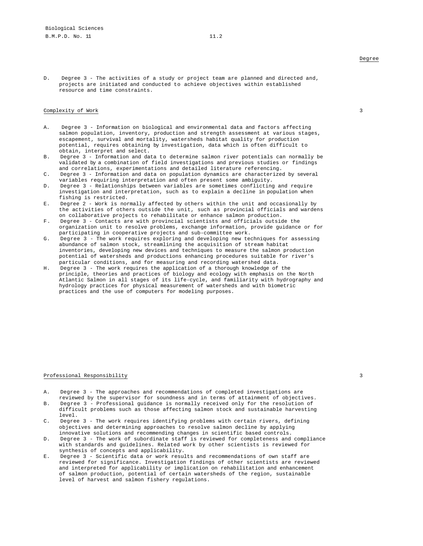D. Degree 3 - The activities of a study or project team are planned and directed and, projects are initiated and conducted to achieve objectives within established resource and time constraints.

#### Complexity of Work 3

- A. Degree 3 Information on biological and environmental data and factors affecting salmon population, inventory, production and strength assessment at various stages, escapement, survival and mortality, watersheds habitat quality for production potential, requires obtaining by investigation, data which is often difficult to obtain, interpret and select.
- B. Degree 3 Information and data to determine salmon river potentials can normally be validated by a combination of field investigations and previous studies or findings and correlations, experimentations and detailed literature referencing.
- C. Degree 3 Information and data on population dynamics are characterized by several variables requiring interpretation and often present some ambiguity.
- D. Degree 3 Relationships between variables are sometimes conflicting and require investigation and interpretation, such as to explain a decline in population when fishing is restricted.
- E. Degree 2 Work is normally affected by others within the unit and occasionally by the activities of others outside the unit, such as provincial officials and wardens on collaborative projects to rehabilitate or enhance salmon production.
- F. Degree 3 Contacts are with provincial scientists and officials outside the organization unit to resolve problems, exchange information, provide guidance or for participating in cooperative projects and sub-committee work.
- G. Degree 3 The work requires exploring and developing new techniques for assessing abundance of salmon stock, streamlining the acquisition of stream habitat inventories, developing new devices and techniques to measure the salmon production potential of watersheds and productions enhancing procedures suitable for river's particular conditions, and for measuring and recording watershed data.
- H. Degree 3 The work requires the application of a thorough knowledge of the principle, theories and practices of biology and ecology with emphasis on the North Atlantic Salmon in all stages of its life-cycle, and familiarity with hydrography and hydrology practices for physical measurement of watersheds and with biometric practices and the use of computers for modeling purposes.

## Professional Responsibility 3

- A. Degree 3 The approaches and recommendations of completed investigations are reviewed by the supervisor for soundness and in terms of attainment of objectives.
- B. Degree 3 Professional guidance is normally received only for the resolution of difficult problems such as those affecting salmon stock and sustainable harvesting level.
- C. Degree 3 The work requires identifying problems with certain rivers, defining objectives and determining approaches to resolve salmon decline by applying innovative solutions and recommending changes in scientific based controls.
- D. Degree 3 The work of subordinate staff is reviewed for completeness and compliance with standards and guidelines. Related work by other scientists is reviewed for synthesis of concepts and applicability.
- E. Degree 3 Scientific data or work results and recommendations of own staff are reviewed for significance. Investigation findings of other scientists are reviewed and interpreted for applicability or implication on rehabilitation and enhancement of salmon production, potential of certain watersheds of the region, sustainable level of harvest and salmon fishery regulations.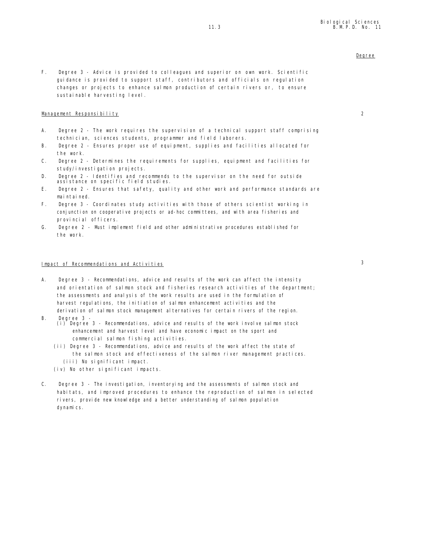F. Degree 3 - Advice is provided to colleagues and superior on own work. Scientific guidance is provided to support staff, contributors and officials on regulation changes or projects to enhance salmon production of certain rivers or, to ensure sustainable harvesting level.

# Management Responsibility 2

- A. Degree 2 The work requires the supervision of a technical support staff comprising technician, sciences students, programmer and field laborers.
- B. Degree 2 Ensures proper use of equipment, supplies and facilities allocated for the work.
- C. Degree 2 Determines the requirements for supplies, equipment and facilities for study/investigation projects.
- D. Degree 2 Identifies and recommends to the supervisor on the need for outside assistance on specific field studies.
- E. Degree 2 Ensures that safety, quality and other work and performance standards are mai ntai ned.
- F. Degree 3 Coordinates study activities with those of others scientist working in conjunction on cooperative projects or ad-hoc committees, and with area fisheries and provincial officers.
- G. Degree 2 Must implement field and other administrative procedures established for the work.

# Impact of Recommendations and Activities 3

- A. Degree 3 Recommendations, advice and results of the work can affect the intensity and orientation of salmon stock and fisheries research activities of the department; the assessments and analysis of the work results are used in the formulation of harvest regulations, the initiation of salmon enhancement activities and the derivation of salmon stock management alternatives for certain rivers of the region.
- B. Degree 3
	- (i) Degree 3 Recommendations, advice and results of the work involve salmon stock enhancement and harvest level and have economic impact on the sport and commercial salmon fishing activities.
	- (ii) Degree 3 Recommendations, advice and results of the work affect the state of the salmon stock and effectiveness of the salmon river management practices.
		- (iii) No significant impact.
	- $(iv)$  No other significant impacts.
- C. Degree 3 The investigation, inventorying and the assessments of salmon stock and habitats, and improved procedures to enhance the reproduction of salmon in selected rivers, provide new knowledge and a better understanding of salmon population dynamics.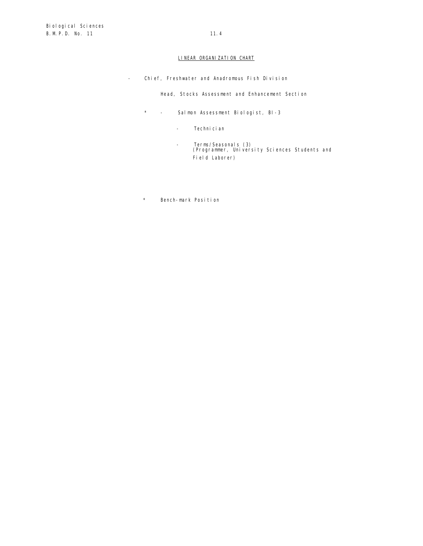# LINEAR ORGANIZATION CHART

- Chief, Freshwater and Anadromous Fish Division

Head, Stocks Assessment and Enhancement Section

- \* Salmon Assessment Biologist, BI-3
	- Technician
	- Terms/Seasonals (3) (Programmer, University Sciences Students and Field Laborer)
- \* Bench-mark Position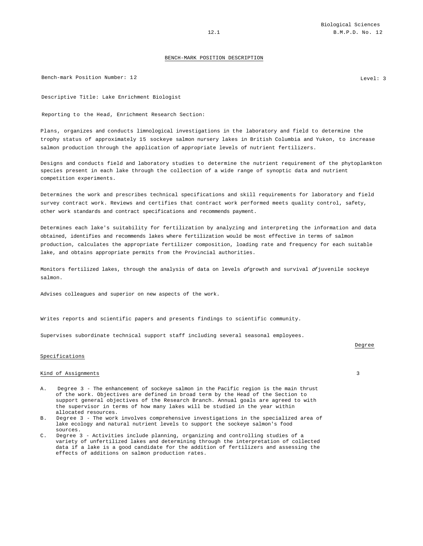Bench-mark Position Number: 12 Level: 3

Descriptive Title: Lake Enrichment Biologist

Reporting to the Head, Enrichment Research Section:

Plans, organizes and conducts limnological investigations in the laboratory and field to determine the trophy status of approximately 15 sockeye salmon nursery lakes in British Columbia and Yukon, to increase salmon production through the application of appropriate levels of nutrient fertilizers.

Designs and conducts field and laboratory studies to determine the nutrient requirement of the phytoplankton species present in each lake through the collection of a wide range of synoptic data and nutrient competition experiments.

Determines the work and prescribes technical specifications and skill requirements for laboratory and field survey contract work. Reviews and certifies that contract work performed meets quality control, safety, other work standards and contract specifications and recommends payment.

Determines each lake's suitability for fertilization by analyzing and interpreting the information and data obtained, identifies and recommends lakes where fertilization would be most effective in terms of salmon production, calculates the appropriate fertilizer composition, loading rate and frequency for each suitable lake, and obtains appropriate permits from the Provincial authorities.

Monitors fertilized lakes, through the analysis of data on levels  $of$  growth and survival  $of$  juvenile sockeye salmon.

Advises colleagues and superior on new aspects of the work.

Writes reports and scientific papers and presents findings to scientific community.

Supervises subordinate technical support staff including several seasonal employees.

#### Specifications

# Kind of Assignments 3

- A. Degree 3 The enhancement of sockeye salmon in the Pacific region is the main thrust of the work. Objectives are defined in broad term by the Head of the Section to support general objectives of the Research Branch. Annual goals are agreed to with the supervisor in terms of how many lakes will be studied in the year within allocated resources.
- B. Degree 3 The work involves comprehensive investigations in the specialized area of lake ecology and natural nutrient levels to support the sockeye salmon's food sources.
- C. Degree 3 Activities include planning, organizing and controlling studies of a variety of unfertilized lakes and determining through the interpretation of collected data if a lake is a good candidate for the addition of fertilizers and assessing the effects of additions on salmon production rates.

Degree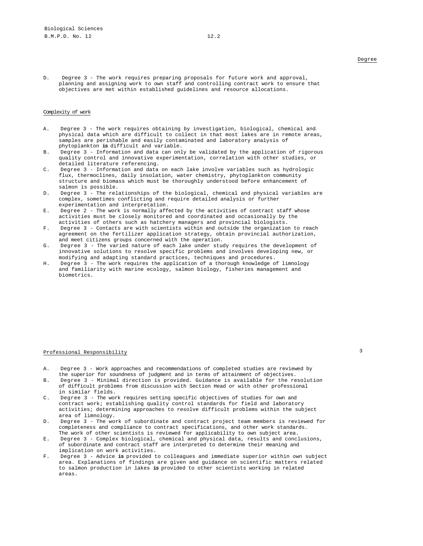D. Degree 3 - The work requires preparing proposals for future work and approval, planning and assigning work to own staff and controlling contract work to ensure that objectives are met within established guidelines and resource allocations.

#### Complexity of work

- A. Degree 3 The work requires obtaining by investigation, biological, chemical andphysical data which are difficult to collect in that most lakes are in remote areas, samples are perishable and easily contaminated and laboratory analysis of phytoplankton **is** difficult and variable.
- B. Degree 3 Information and data can only be validated by the application of rigorous quality control and innovative experimentation, correlation with other studies, or detailed literature referencing.
- C. Degree 3 Information and data on each lake involve variables such as hydrologic flux, thermoclines, daily insolation, water chemistry, phytoplankton community structure and biomass which must be thoroughly understood before enhancement of salmon is possible.
- D. Degree 3 The relationships of the biological, chemical and physical variables are complex, sometimes conflicting and require detailed analysis or further experimentation and interpretation.
- E. Degree 2 The work is normally affected by the activities of contract staff whose activities must be closely monitored and coordinated and occasionally by the activities of others such as hatchery managers and provincial biologists.
- F. Degree 3 Contacts are with scientists within and outside the organization to reach agreement on the fertilizer application strategy, obtain provincial authorization, and meet citizens groups concerned with the operation.
- G. Degree 3 The varied nature of each lake under study requires the development of innovative solutions to resolve specific problems and involves developing new, or modifying and adapting standard practices, techniques and procedures.
- H. Degree 3 The work requires the application of a thorough knowledge of limnology and familiarity with marine ecology, salmon biology, fisheries management and biometrics.

# Professional Responsibility 3

- A. Degree 3 Work approaches and recommendations of completed studies are reviewed by the superior for soundness of judgment and in terms of attainment of objectives.
- B. Degree 3 Minimal direction is provided. Guidance is available for the resolution of difficult problems from discussion with Section Head or with other professional in similar fields.
- C. Degree 3 The work requires setting specific objectives of studies for own and contract work; establishing quality control standards for field and laboratory activities; determining approaches to resolve difficult problems within the subject area of limnology.
- D. Degree 3 The work of subordinate and contract project team members is reviewed for completeness and compliance to contract specifications, and other work standards. The work of other scientists is reviewed for applicability to own subject area.
- E. Degree 3 Complex biological, chemical and physical data, results and conclusions, of subordinate and contract staff are interpreted to determine their meaning and implication on work activities.
- F. Degree 3 Advice **is** provided to colleagues and immediate superior within own subject area. Explanations of findings are given and guidance on scientific matters related to salmon production in lakes **is** provided to other scientists working in related areas.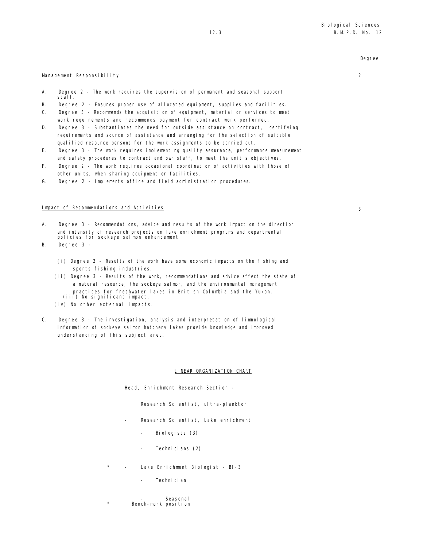# Management Responsibility 2

- A. Degree 2 The work requires the supervision of permanent and seasonal support staff.
- B. Degree 2 Ensures proper use of allocated equipment, supplies and facilities.
- C. Degree 3 Recommends the acquisition of equipment, material or services to meet work requirements and recommends payment for contract work performed.
- D. Degree 3 Substantiates the need for outside assistance on contract, identifying requirements and source of assistance and arranging for the selection of suitable qualified resource persons for the work assignments to be carried out.
- E. Degree 3 The work requires implementing quality assurance, performance measurement and safety procedures to contract and own staff, to meet the unit's objectives.
- F. Degree 2 The work requires occasional coordination of activities with those of other units, when sharing equipment or facilities.
- G. Degree 2 Implements office and field administration procedures.

# Impact of Recommendations and Activities 3

- A. Degree 3 Recommendations, advice and results of the work impact on the direction and intensity of research projects on lake enrichment programs and departmental policies for sockeye salmon enhancement.
- B. Degree 3
	- (i) Degree 2 Results of the work have some economic impacts on the fishing and sports fishing industries.
	- (ii) Degree 3 Results of the work, recommendations and advice affect the state of a natural resource, the sockeye salmon, and the environmental management practices for freshwater lakes in British Columbia and the Yukon. (iii) No significant impact.
	- (iv) No other external impacts.
- C. Degree 3 The investigation, analysis and interpretation of limnological information of sockeye salmon hatchery lakes provide knowledge and improved understanding of this subject area.

### LINEAR ORGANIZATION CHART

Head, Enrichment Research Section -

Research Scientist, ultra-plankton

- Research Scientist, Lake enrichment
	- Biologists (3)
	- Technicians (2)
- Lake Enrichment Biologist BI-3
	- Technician
- **Seasonal** Bench-mark position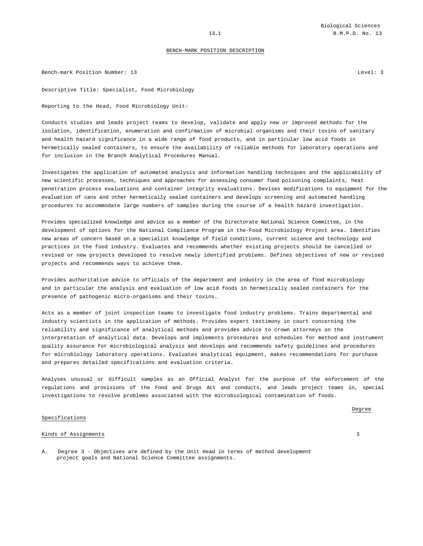Bench-mark Position Number: 13 Level: 3

Descriptive Title: Specialist, Food Microbiology

Reporting to the Head, Food Microbiology Unit:

Conducts studies and leads project teams to develop, validate and apply new or improved methods for the isolation, identification, enumeration and confirmation of microbial organisms and their toxins of sanitary and health hazard significance in a wide range of food products, and in particular low acid foods in hermetically sealed containers, to ensure the availability of reliable methods for laboratory operations and for inclusion in the Branch Analytical Procedures Manual.

Investigates the application of automated analysis and information handling techniques and the applicability of new scientific processes, techniques and approaches for assessing consumer food poisoning complaints, heat penetration process evaluations and container integrity evaluations. Devises modifications to equipment for the evaluation of cans and other hermetically sealed containers and develops screening and automated handling procedures to accommodate large numbers of samples during the course of a health hazard investigation.

Provides specialized knowledge and advice as a member of the Directorate National Science Committee, in the development of options for the National Compliance Program in the-Food Microbiology Project area. Identifies new areas of concern based on a specialist knowledge of field conditions, current science and technology and practices in the food industry. Evaluates and recommends whether existing projects should be cancelled or revised or new projects developed to resolve newly identified problems. Defines objectives of new or revised projects and recommends ways to achieve them.

Provides authoritative advice to officials of the department and industry in the area of food microbiology and in particular the analysis and evaluation of low acid foods in hermetically sealed containers for the presence of pathogenic micro-organisms and their toxins.

Acts as a member of joint inspection teams to investigate food industry problems. Trains departmental and industry scientists in the application of methods. Provides expert testimony in court concerning the reliability and significance of analytical methods and provides advice to crown attorneys on the interpretation of analytical data. Develops and implements procedures and schedules for method and instrument quality assurance for microbiological analysis and develops and recommends safety guidelines and procedures for microbiology laboratory operations. Evaluates analytical equipment, makes recommendations for purchase and prepares detailed specifications and evaluation criteria.

Analyses unusual or difficult samples as an Official Analyst for the purpose of the enforcement of the regulations and provisions of the Food and Drugs Act and conducts, and leads project teams in, special investigations to resolve problems associated with the microbiological contamination of foods.

#### Specifications

Degree

#### Kinds of Assignments 3

A. Degree 3 - Objectives are defined by the Unit Head in terms of method development project goals and National Science Committee assignments.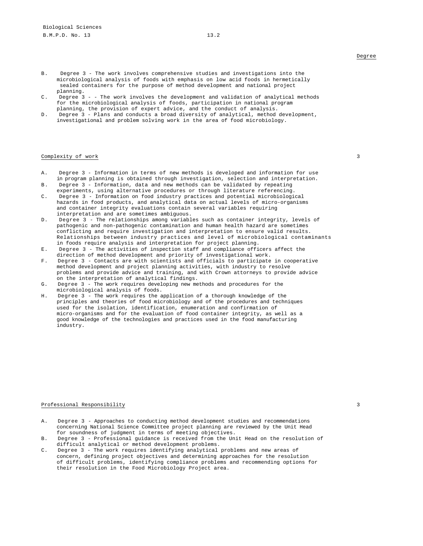- B. Degree 3 The work involves comprehensive studies and investigations into the microbiological analysis of foods with emphasis on low acid foods in hermetically sealed containers for the purpose of method development and national project planning.
- C. Degree 3 - The work involves the development and validation of analytical methods for the microbiological analysis of foods, participation in national program planning, the provision of expert advice, and the conduct of analysis.
- D. Degree 3 Plans and conducts a broad diversity of analytical, method development, investigational and problem solving work in the area of food microbiology.

#### Complexity of work 3

- A. Degree 3 Information in terms of new methods is developed and information for use in program planning is obtained through investigation, selection and interpretation.
- B. Degree 3 Information, data and new methods can be validated by repeating experiments, using alternative procedures or through literature referencing.
- C. Degree 3 Information on food industry practices and potential microbiological hazards in food products, and analytical data on actual levels of micro-organisms and container integrity evaluations contain several variables requiring interpretation and are sometimes ambiguous.
- D. Degree 3 The relationships among variables such as container integrity, levels of pathogenic and non-pathogenic contamination and human health hazard are sometimes conflicting and require investigation and interpretation to ensure valid results. Relationships between industry practices and level of microbiological contaminants in foods require analysis and interpretation for project planning.
- E. Degree 3 The activities of inspection staff and compliance officers affect the direction of method development and priority of investigational work.
- F. Degree 3 Contacts are with scientists and officials to participate in cooperative method development and project planning activities, with industry to resolve problems and provide advice and training, and with Crown attorneys to provide advice on the interpretation of analytical findings.
- G. Degree 3 The work requires developing new methods and procedures for the microbiological analysis of foods.
- H. Degree 3 The work requires the application of a thorough knowledge of the principles and theories of food microbiology and of the procedures and techniques used for the isolation, identification, enumeration and confirmation of micro-organisms and for the evaluation of food container integrity, as well as a good knowledge of the technologies and practices used in the food manufacturing industry.

# Professional Responsibility 3

- A. Degree 3 Approaches to conducting method development studies and recommendations concerning National Science Committee project planning are reviewed by the Unit Head for soundness of judgment in terms of meeting objectives.
- B. Degree 3 Professional guidance is received from the Unit Head on the resolution of difficult analytical or method development problems.
- C. Degree 3 The work requires identifying analytical problems and new areas of concern, defining project objectives and determining approaches for the resolution of difficult problems, identifying compliance problems and recommending options for their resolution in the Food Microbiology Project area.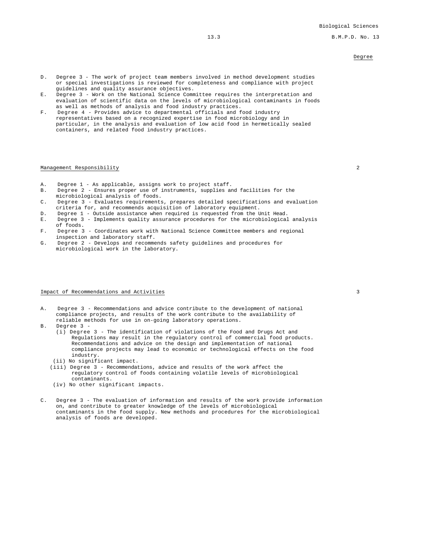13.3 B.M.P.D. No. 13

# Degree

- D. Degree 3 The work of project team members involved in method development studies or special investigations is reviewed for completeness and compliance with project guidelines and quality assurance objectives.
- E. Degree 3 Work on the National Science Committee requires the interpretation and evaluation of scientific data on the levels of microbiological contaminants in foods as well as methods of analysis and food industry practices.
- F. Degree 4 Provides advice to departmental officials and food industry representatives based on a recognized expertise in food microbiology and in particular, in the analysis and evaluation of low acid food in hermetically sealed containers, and related food industry practices.

# Management Responsibility 2

- A. Degree 1 As applicable, assigns work to project staff.
- B. Degree 2 Ensures proper use of instruments, supplies and facilities for the microbiological analysis of foods.
- C. Degree 3 Evaluates requirements, prepares detailed specifications and evaluation criteria for, and recommends acquisition of laboratory equipment.
- D. Degree 1 Outside assistance when required is requested from the Unit Head.
- E. Degree 3 Implements quality assurance procedures for the microbiological analysis of foods.
- F. Degree 3 Coordinates work with National Science Committee members and regional inspection and laboratory staff.
- G. Degree 2 Develops and recommends safety guidelines and procedures for microbiological work in the laboratory.

# Impact of Recommendations and Activities 3

- A. Degree 3 Recommendations and advice contribute to the development of national compliance projects, and results of the work contribute to the availability of reliable methods for use in on-going laboratory operations.
- B. Degree 3
	- (i) Degree 3 The identification of violations of the Food and Drugs Act and Regulations may result in the regulatory control of commercial food products. Recommendations and advice on the design and implementation of national compliance projects may lead to economic or technological effects on the food industry.
	- (ii) No significant impact.
	- (iii) Degree 3 Recommendations, advice and results of the work affect the regulatory control of foods containing volatile levels of microbiological contaminants.
	- (iv) No other significant impacts.
- C. Degree 3 The evaluation of information and results of the work provide information on, and contribute to greater knowledge of the levels of microbiological contaminants in the food supply. New methods and procedures for the microbiological analysis of foods are developed.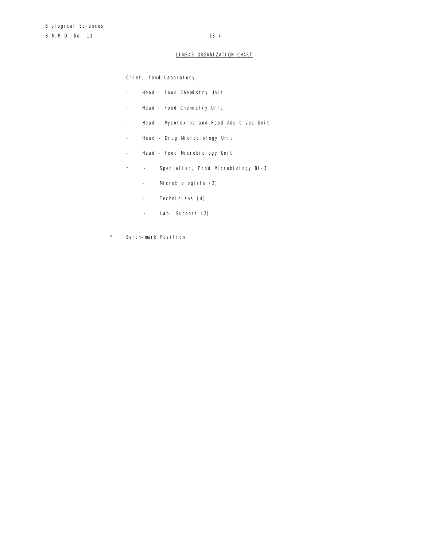# LINEAR ORGANIZATION CHART

Chief, Food Laboratory

- Head Food Chemistry Unit
- Head Food Chemistry Unit
- Head Mycotoxins and Food Additives Unit
- Head Drug Microbiology Unit
- Head Food Microbiology Unit
- \* Specialist, Food Microbiology BI-3
	- Microbiologists (2)
	- Technicians (4)
	- Lab. Support (2)
- \* Bench-mark Position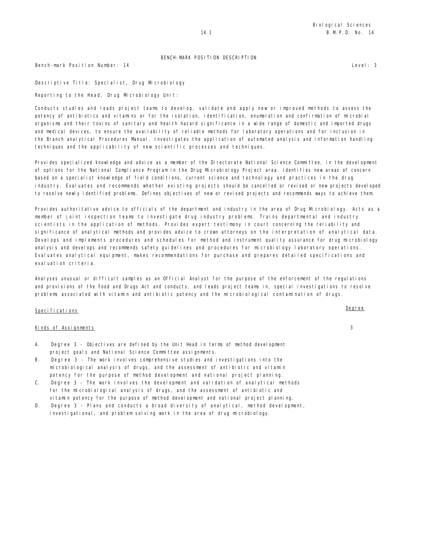Bench-mark Position Number: 14 Level: 3

Descriptive Title: Specialist, Drug Microbiology

Reporting to the Head, Drug Microbiology Unit:

Conducts studies and leads project teams to develop, validate and apply new or improved methods to assess the potency of antibiotics and vitamins or for the isolation, identification, enumeration and confirmation of microbial organisms and their toxins of sanitary and health hazard significance in a wide range of domestic and imported drugs and medical devices, to ensure the availability of reliable methods for laboratory operations and for inclusion in the Branch analytical Procedures Manual. Investigates the application of automated analysis and information handling techniques and the applicability of new scientific processes and techniques.

Provides specialized knowledge and advice as a member of the Directorate National Science Committee, in the development of options for the National Compliance Program in the Drug Microbiology Project area. Identifies new areas of concern based on a specialist knowledge of field conditions, current science and technology and practices in the drug industry. Evaluates and recommends whether existing projects should be cancelled or revised or new projects developed to resolve newly identified problems. Defines objectives of new or revised projects and recommends ways to achieve them.

Provides authoritative advice to officials of the department and industry in the area of Drug Microbiology. Acts as a member of joint inspection teams to investigate drug industry problems. Trains departmental and industry scientists in the application of methods. Provides expert testimony in court concerning the reliability and significance of analytical methods and provides advice to crown attorneys on the interpretation of analytical data. Develops and implements procedures and schedules for method and instrument quality assurance for drug microbiology analysis and develops and recommends safety guidelines and procedures for microbiology laboratory operations. Evaluates analytical equipment, makes recommendations for purchase and prepares detailed specifications and eval uation criteria.

Analyses unusual or difficult samples as an Official Analyst for the purpose of the enforcement of the regulations and provisions of the Food and Drugs Act and conducts, and leads project teams in, special investigations to resolve problems associated with vitamin and antibiotic potency and the microbiological contamination of drugs.

# Specifications Degree

### Kinds of Assignments 3

- A. Degree 3 Objectives are defined by the Unit Head in terms of method development project goals and National Science Committee assignments.
- B. Degree 3 The work involves comprehensive studies and investigations into the microbiological analysis of drugs, and the assessment of antibiotic and vitamin potency for the purpose of method development and national project planning.
- C. Degree 3 The work involves the development and validation of analytical methods for the microbiological analysis of drugs, and the assessment of antibiotic and vitamin potency for the purpose of method development and national project planning.
- D. Degree 3 Plans and conducts a broad diversity of analytical, method development, investigational, and problem solving work in the area of drug microbiology.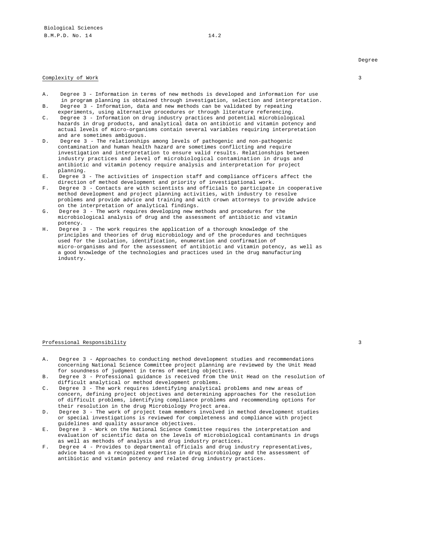#### Complexity of Work 3

- A. Degree 3 Information in terms of new methods is developed and information for use in program planning is obtained through investigation, selection and interpretation.
- B. Degree 3 Information, data and new methods can be validated by repeating experiments, using alternative procedures or through literature referencing.
- C. Degree 3 Information on drug industry practices and potential microbiological hazards in drug products, and analytical data on antibiotic and vitamin potency and actual levels of micro-organisms contain several variables requiring interpretation and are sometimes ambiguous.
- D. Degree 3 The relationships among levels of pathogenic and non-pathogenic contamination and human health hazard are sometimes conflicting and require investigation and interpretation to ensure valid results. Relationships between industry practices and level of microbiological contamination in drugs and antibiotic and vitamin potency require analysis and interpretation for project planning.
- E. Degree 3 The activities of inspection staff and compliance officers affect the direction of method development and priority of investigational work.
- F. Degree 3 Contacts are with scientists and officials to participate in cooperative method development and project planning activities, with industry to resolve problems and provide advice and training and with crown attorneys to provide advice on the interpretation of analytical findings.
- G. Degree 3 The work requires developing new methods and procedures for the microbiological analysis of drug and the assessment of antibiotic and vitamin potency.
- H. Degree 3 The work requires the application of a thorough knowledge of the principles and theories of drug microbiology and of the procedures and techniques used for the isolation, identification, enumeration and confirmation of micro-organisms and for the assessment of antibiotic and vitamin potency, as well as a good knowledge of the technologies and practices used in the drug manufacturing industry.

#### Professional Responsibility 3

- A. Degree 3 Approaches to conducting method development studies and recommendations concerning National Science Committee project planning are reviewed by the Unit Head for soundness of judgment in terms of meeting objectives.
- B. Degree 3 Professional guidance is received from the Unit Head on the resolution of difficult analytical or method development problems.
- C. Degree 3 The work requires identifying analytical problems and new areas of concern, defining project objectives and determining approaches for the resolution of difficult problems, identifying compliance problems and recommending options for their resolution in the drug Microbiology Project area.
- D. Degree 3 The work of project team members involved in method development studies or special investigations is reviewed for completeness and compliance with project guidelines and quality assurance objectives.
- E. Degree 3 Work on the National Science Committee requires the interpretation and evaluation of scientific data on the levels of microbiological contaminants in drugs as well as methods of analysis and drug industry practices.
- F. Degree 4 Provides to departmental officials and drug industry representatives, advice based on a recognized expertise in drug microbiology and the assessment of antibiotic and vitamin potency and related drug industry practices.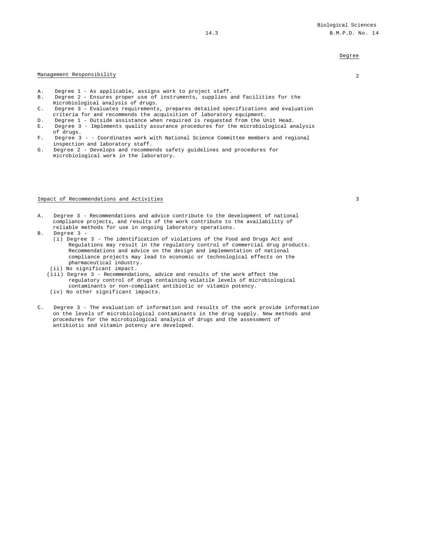### Management Responsibility 2

- A. Degree 1 As applicable, assigns work to project staff.
- B. Degree 2 Ensures proper use of instruments, supplies and facilities for the microbiological analysis of drugs.
- C. Degree 3 Evaluates requirements, prepares detailed specifications and evaluation criteria for and recommends the acquisition of laboratory equipment.
- D. Degree 1 Outside assistance when required is requested from the Unit Head.
- E. Degree 3 Implements quality assurance procedures for the microbiological analysis of drugs.
- F. Degree 3 - Coordinates work with National Science Committee members and regional inspection and laboratory staff.
- G. Degree 2 Develops and recommends safety guidelines and procedures for microbiological work in the laboratory.

#### Impact of Recommendations and Activities 3

- A. Degree 3 Recommendations and advice contribute to the development of national compliance projects, and results of the work contribute to the availability of reliable methods for use in ongoing laboratory operations.
- B. Degree 3
	- (i) Degree 3 The identification of violations of the Food and Drugs Act and Regulations may result in the regulatory control of commercial drug products. Recommendations and advice on the design and implementation of national compliance projects may lead to economic or technological effects on the pharmaceutical industry.
	- (ii) No significant impact.
	- (iii) Degree 3 Recommendations, advice and results of the work affect the regulatory control of drugs containing volatile levels of microbiological contaminants or non-compliant antibiotic or vitamin potency.
	- (iv) No other significant impacts.
- C. Degree 3 The evaluation of information and results of the work provide information on the levels of microbiological contaminants in the drug supply. New methods and procedures for the microbiological analysis of drugs and the assessment of antibiotic and vitamin potency are developed.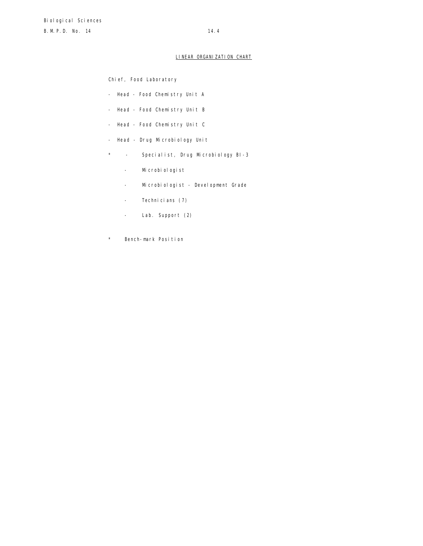# LINEAR ORGANIZATION CHART

Chief, Food Laboratory

- Head Food Chemistry Unit A
- Head Food Chemistry Unit B
- Head Food Chemistry Unit C
- Head Drug Microbiology Unit
- \* Specialist, Drug Microbiology BI-3
	- Microbiologist
	- Microbiologist Development Grade
	- Technicians (7)
	- Lab. Support (2)
- \* Bench-mark Position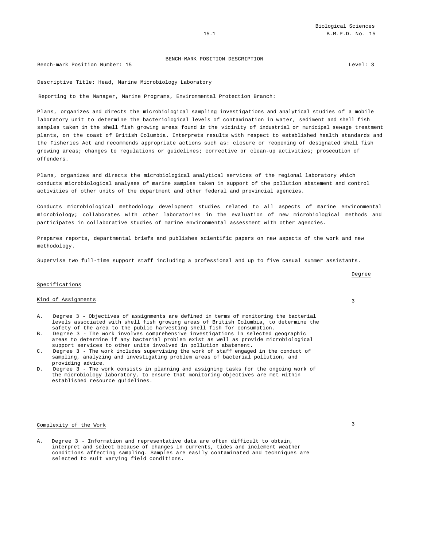Bench-mark Position Number: 15 Level: 3

Descriptive Title: Head, Marine Microbiology Laboratory

Reporting to the Manager, Marine Programs, Environmental Protection Branch:

Plans, organizes and directs the microbiological sampling investigations and analytical studies of a mobile laboratory unit to determine the bacteriological levels of contamination in water, sediment and shell fish samples taken in the shell fish growing areas found in the vicinity of industrial or municipal sewage treatment plants, on the coast of British Columbia. Interprets results with respect to established health standards and the Fisheries Act and recommends appropriate actions such as: closure or reopening of designated shell fish growing areas; changes to regulations or guidelines; corrective or clean-up activities; prosecution of offenders.

Plans, organizes and directs the microbiological analytical services of the regional laboratory which conducts microbiological analyses of marine samples taken in support of the pollution abatement and control activities of other units of the department and other federal and provincial agencies.

Conducts microbiological methodology development studies related to all aspects of marine environmental microbiology; collaborates with other laboratories in the evaluation of new microbiological methods and participates in collaborative studies of marine environmental assessment with other agencies.

Prepares reports, departmental briefs and publishes scientific papers on new aspects of the work and new methodology.

Supervise two full-time support staff including a professional and up to five casual summer assistants.

## Specifications

#### Kind of Assignments 3

- Degree 3 Objectives of assignments are defined in terms of monitoring the bacterial levels associated with shell fish growing areas of British Columbia, to determine the safety of the area to the public harvesting shell fish for consumption.
- B. Degree 3 The work involves comprehensive investigations in selected geographic areas to determine if any bacterial problem exist as well as provide microbiological support services to other units involved in pollution abatement.
- C. Degree 3 The work includes supervising the work of staff engaged in the conduct of sampling, analyzing and investigating problem areas of bacterial pollution, and providing advice.
- D. Degree 3 The work consists in planning and assigning tasks for the ongoing work of the microbiology laboratory, to ensure that monitoring objectives are met within established resource guidelines.

# Complexity of the Work 3

A. Degree 3 - Information and representative data are often difficult to obtain, interpret and select because of changes in currents, tides and inclement weather conditions affecting sampling. Samples are easily contaminated and techniques are selected to suit varying field conditions.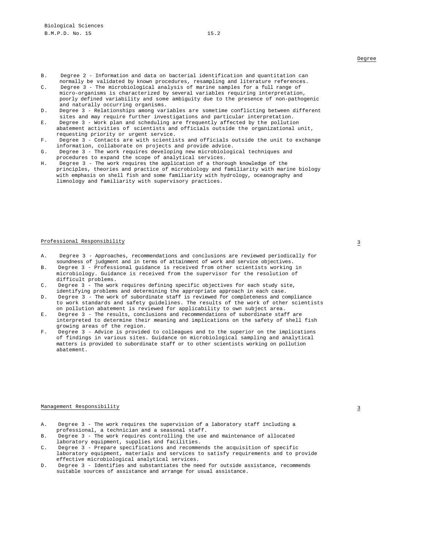- B. Degree 2 Information and data on bacterial identification and quantitation can normally be validated by known procedures, resampling and literature references.
- C. Degree 3 The microbiological analysis of marine samples for a full range of micro-organisms is characterized by several variables requiring interpretation, poorly defined variability and some ambiguity due to the presence of non-pathogenic and naturally occurring organisms.
- D. Degree 3 Relationships among variables are sometime conflicting between different sites and may require further investigations and particular interpretation.
- E. Degree 3 Work plan and scheduling are frequently affected by the pollution abatement activities of scientists and officials outside the organizational unit, requesting priority or urgent service.
- F. Degree 3 Contacts are with scientists and officials outside the unit to exchange information, collaborate on projects and provide advice.
- G. Degree 3 The work requires developing new microbiological techniques and procedures to expand the scope of analytical services.
- H. Degree 3 The work requires the application of a thorough knowledge of the principles, theories and practice of microbiology and familiarity with marine biology with emphasis on shell fish and some familiarity with hydrology, oceanography and limnology and familiarity with supervisory practices.

# Professional Responsibility 3

- A. Degree 3 Approaches, recommendations and conclusions are reviewed periodically for soundness of judgment and in terms of attainment of work and service objectives.
- B. Degree 3 Professional guidance is received from other scientists working in microbiology. Guidance is received from the supervisor for the resolution of difficult problems.
- C. Degree 3 The work requires defining specific objectives for each study site, identifying problems and determining the appropriate approach in each case.
- D. Degree 3 The work of subordinate staff is reviewed for completeness and compliance to work standards and safety guidelines. The results of the work of other scientists on pollution abatement is reviewed for applicability to own subject area.
- E. Degree 3 The results, conclusions and recommendations of subordinate staff are interpreted to determine their meaning and implications on the safety of shell fish growing areas of the region.
- F. Degree 3 Advice is provided to colleagues and to the superior on the implications of findings in various sites. Guidance on microbiological sampling and analytical matters is provided to subordinate staff or to other scientists working on pollution abatement.

## $\frac{1}{3}$

- A. Degree 3 The work requires the supervision of a laboratory staff including a professional, a technician and a seasonal staff.
- B. Degree 3 The work requires controlling the use and maintenance of allocated laboratory equipment, supplies and facilities.
- C. Degree 3 Prepare specifications and recommends the acquisition of specific laboratory equipment, materials and services to satisfy requirements and to provide effective microbiological analytical services.
- D. Degree 3 Identifies and substantiates the need for outside assistance, recommends suitable sources of assistance and arrange for usual assistance.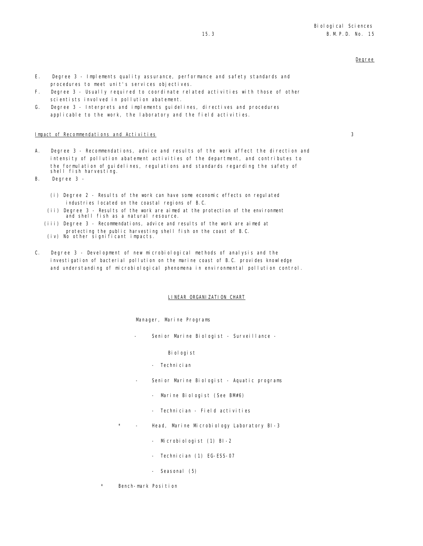- E. Degree 3 Implements quality assurance, performance and safety standards and procedures to meet unit's services objectives.
- F. Degree 3 Usually required to coordinate related activities with those of other scientists involved in pollution abatement.
- G. Degree 3 Interprets and implements guidelines, directives and procedures applicable to the work, the laboratory and the field activities.

## Impact of Recommendations and Activities 3

- A. Degree 3 Recommendations, advice and results of the work affect the direction and intensity of pollution abatement activities of the department, and contributes to the formulation of guidelines, regulations and standards regarding the safety of shell fish harvesting.
- B. Degree 3
	- (i) Degree 2 Results of the work can have some economic effects on regulated industries located on the coastal regions of B.C.
	- (ii) Degree 3 Results of the work are aimed at the protection of the environment and shell fish as a natural resource.
	- (iii) Degree 3 Recommendations, advice and results of the work are aimed at protecting the public harvesting shell fish on the coast of B.C. (iv) No other significant impacts.
	-
- C. Degree 3 Development of new microbiological methods of analysis and the investigation of bacterial pollution on the marine coast of B.C. provides knowledge and understanding of microbiological phenomena in environmental pollution control.

#### LINEAR ORGANIZATION CHART

Manager, Marine Programs

Senior Marine Biologist - Surveillance -

Biologist

- Technician
- Senior Marine Biologist Aquatic programs
	- Marine Biologist (See BM#6)
	- Technician Field activities
- Head, Marine Microbiology Laboratory BI-3
	- Microbiologist (1) BI-2
	- Technician (1) EG-ESS-07
	- Seasonal (5)
- Bench-mark Position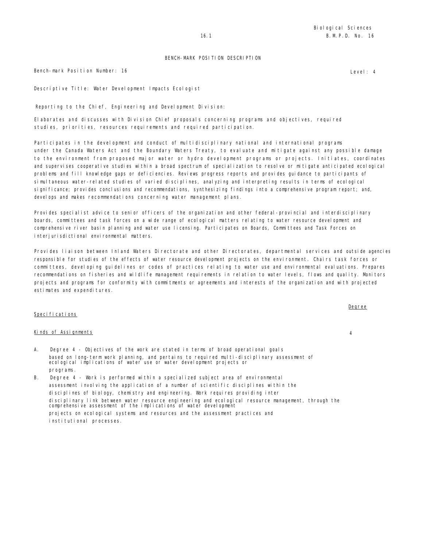Bench-mark Position Number: 16 **Level: 4** Level: 4

Descriptive Title: Water Development Impacts Ecologist

Reporting to the Chief, Engineering and Development Division:

Elaborates and discusses with Division Chief proposals concerning programs and objectives, required studies, priorities, resources requirements and required participation.

Participates in the development and conduct of multidisciplinary national and international programs under the Canada Waters Act and the Boundary Waters Treaty, to evaluate and mitigate against any possible damage to the environment from proposed major water or hydro development programs or projects. Initiates, coordinates and supervises cooperative studies within a broad spectrum of specialization to resolve or mitigate anticipated ecological problems and fill knowledge gaps or deficiencies. Reviews progress reports and provides guidance to participants of simultaneous water-related studies of varied disciplines, analyzing and interpreting results in terms of ecological significance; provides conclusions and recommendations, synthesizing findings into a comprehensive program report; and, develops and makes recommendations concerning water management plans.

Provides specialist advice to senior officers of the organization and other federal-provincial and interdisciplinary boards, committees and task forces on a wide range of ecological matters relating to water resource development and comprehensive river basin planning and water use licensing. Participates on Boards, Committees and Task Forces on interjurisdictional environmental matters.

Provides liaison between Inland Waters Directorate and other Directorates, departmental services and outside agencies responsible for studies of the effects of water resource development projects on the environment. Chairs task forces or committees, developing guidelines or codes of practices relating to water use and environmental evaluations. Prepares recommendations on fisheries and wildlife management requirements in relation to water levels, flows and quality. Monitors projects and programs for conformity with commitments or agreements and interests of the organization and with projected estimates and expenditures.

### Specifications

### Kinds of Assignments 4

- A. Degree 4 Objectives of the work are stated in terms of broad operational goals based on long-term work planning, and pertains to required multi-disciplinary assessment of ecological implications of water use or water development projects or programs.
- B. Degree 4 Work is performed within a specialized subject area of environmental assessment involving the application of a number of scientific disciplines within the disciplines of biology, chemistry and engineering. Work requires providing inter disciplinary link between water resource engineering and ecological resource management, through the comprehensive assessment of the implications of water development projects on ecological systems and resources and the assessment practices and institutional processes.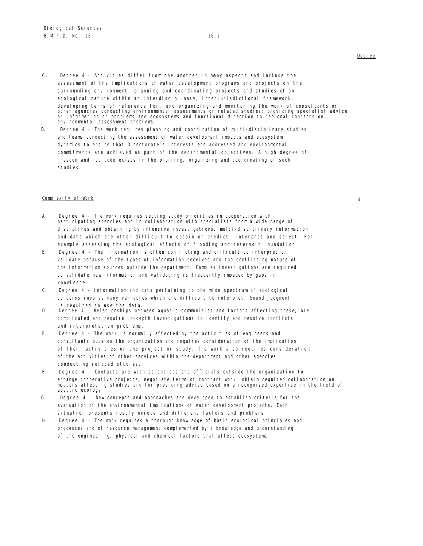- C. Degree 4 Activities differ from one another in many aspects and include the assessment of the implications of water development programs and projects on the surrounding environment; planning and coordinating projects and studies of an ecological nature within an interdisciplinary, interjurisdictional framework; developing terms of reference for, and organizing and monitoring the work of consultants or<br>other agencies conducting environmental assessments or related studies; providing specialist advice or information on problems and ecosystems and functional direction to regional contacts on environmental assessment problems.
- D. Degree 4 The work requires planning and coordination of multi-disciplinary studies and teams conducting the assessment of water development impacts and ecosystem dynamics to ensure that Directorate's interests are addressed and environmental commitments are achieved as part of the departmental objectives. A high degree of freedom and latitude exists in the planning, organizing and coordinating of such studies.

### Complexity of Work 4

- A. Degree 4 The work requires setting study priorities in cooperation with participating agencies and in collaboration with specialists from a wide range of disciplines and obtaining by intensive investigations, multi-disciplinary information and data which are often difficult to obtain or predict, interpret and select. For example assessing the ecological effects of flooding and reservoir inundation.
- B. Degree 4 The information is often conflicting and difficult to interpret or validate because of the types of information received and the conflicting nature of the information sources outside the department. Complex investigations are required to validate new information and validating is frequently impeded by gaps in knowl edge.
- C. Degree 4 Information and data pertaining to the wide spectrum of ecological concerns involve many variables which are difficult to interpret. Sound judgment is required to use the data.
- D. Degree 4 Relationships between aquatic communities and factors affecting these, are complicated and require in-depth investigations to identify and resolve conflicts and interpretation problems.
- E. Degree 4 The work is normally affected by the activities of engineers and consultants outside the organization and requires consideration of the implication of their activities on the project or study. The work also requires consideration of the activities of other services within the department and other agencies conducting related studies.
- F. Degree 4 Contacts are with scientists and officials outside the organization to arrange cooperative projects, negotiate terms of contract work, obtain required collaboration on matters affecting studies and for providing advice based on a recognized expertise in the field of aquatic ecology.
- G. Degree 4 New concepts and approaches are developed to establish criteria for the evaluation of the environmental implications of water development projects. Each situation presents mostly unique and different factors and problems.
- H. Degree 4 The work requires a thorough knowledge of basic ecological principles and processes and of resource management complemented by a knowledge and understanding of the engineering, physical and chemical factors that affect ecosystems.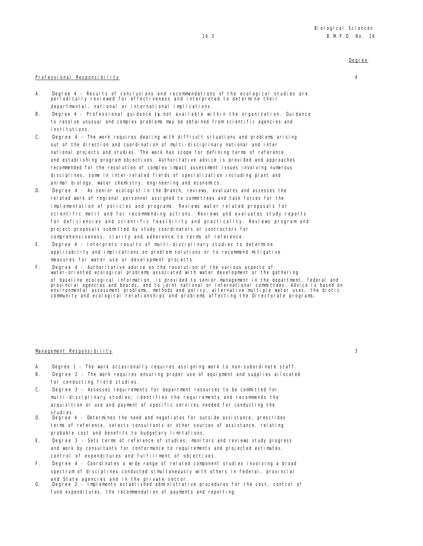### Professional Responsibility 4

- A. Degree 4 Results of conclusions and recommendations of the ecological studies are periodically reviewed for effectiveness and interpreted to determine their departmental, national or international implications.
- B. Degree 4 Professional guidance is not available within the organization. Guidance to resolve unusual and complex problems may be obtained from scientific agencies and institutions.
- C. Degree 4 The work requires dealing with difficult situations and problems arising out of the direction and coordination of multi-disciplinary national and inter national projects and studies. The work has scope for defining terms of reference and establishing program objectives. Authoritative advice is provided and approaches recommended for the resolution of complex impact assessment issues involving numerous disciplines, some in inter-related fields of specialization including plant and animal biology, water chemistry, engineering and economics.
- D. Degree 4 As senior ecologist in the Branch, reviews, evaluates and assesses the related work of regional personnel assigned to committees and task forces for the implementation of policies and programs. Reviews water related proposals for scientific merit and for recommending actions. Reviews and evaluates study reports for deficiencies and scientific feasibility and practicality. Reviews program and project proposals submitted by study coordinators or contractors for comprehensiveness, clarity and adherence to terms of reference.
- E. Degree 4 Interprets results of multi-disciplinary studies to determine applicability and implications on problem solutions or to recommend mitigative measures for water use or development projects.
- F. Degree 4 Authoritative advice on the resolution of the various aspects of water-oriented ecological problems associated with water development or the gathering of baseline ecological information, is provided to senior management in the department, federal and provincial agencies and boards, and to joint national or international committees. Advice is based on<br>environmental assessment problems, methods and policy, alternative multiple water uses, the biotic<br>community and ecologi

### Management Responsibility 3

- A. Degree 1 The work occasionally requires assigning work to non-subordinate staff.
- B. Degree 2 The work requires ensuring proper use of equipment and supplies allocated for conducting field studies.
- C. Degree 3 Assesses requirements for department resources to be committed for multi-disciplinary studies; identifies the requirements and recommends the acquisition or use and payment of specific services needed for conducting the studies.
- D. Degree 4 Determines the need and negotiates for outside assistance, prescribes terms of reference, selects consultants or other sources of assistance, relating probable cost and benefits to budgetary limitations.
- E. Degree 3 Sets terms of reference of studies; monitors and reviews study progress and work by consultants for conformance to requirements and projected estimates, control of expenditures and fulfillment of objectives.
- F. Degree 4 Coordinates a wide range of related component studies involving a broad spectrum of disciplines conducted simultaneously with others in federal, provincial and State agencies and in the private sector.
- G. Degree 2 Implements established administrative procedures for the cost, control of fund expenditures, the recommendation of payments and reporting.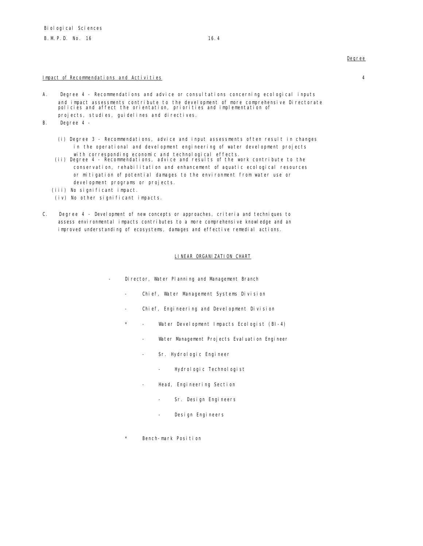### Impact of Recommendations and Activities 4

- A. Degree 4 Recommendations and advice or consultations concerning ecological inputs and impact assessments contribute to the development of more comprehensive Directorate policies and affect the orientation, priorities and implementation of projects, studies, guidelines and directives.
- B. Degree 4
	- (i) Degree 3 Recommendations, advice and input assessments often result in changes in the operational and development engineering of water development projects
	- with corresponding economic and technological effects. (ii) Degree 4 Recommendations, advice and results of the work contribute to the conservation, rehabilitation and enhancement of aquatic ecological resources or mitigation of potential damages to the environment from water use or devel opment programs or projects.
	- (iii) No significant impact.
	- (iv) No other significant impacts.
- C. Degree 4 Development of new concepts or approaches, criteria and techniques to assess environmental impacts contributes to a more comprehensive knowledge and an improved understanding of ecosystems, damages and effective remedial actions.

### LINEAR ORGANIZATION CHART

- Director, Water Planning and Management Branch
	- Chief, Water Management Systems Division
	- Chief, Engineering and Development Division
	- \* Water Development Impacts Ecologist (BI-4)
		- Water Management Projects Evaluation Engineer
		- Sr. Hydrologic Engineer
			- Hydrol ogic Technol ogist
		- Head, Engineering Section
			- Sr. Design Engineers
			- Design Engineers
	- Bench-mark Position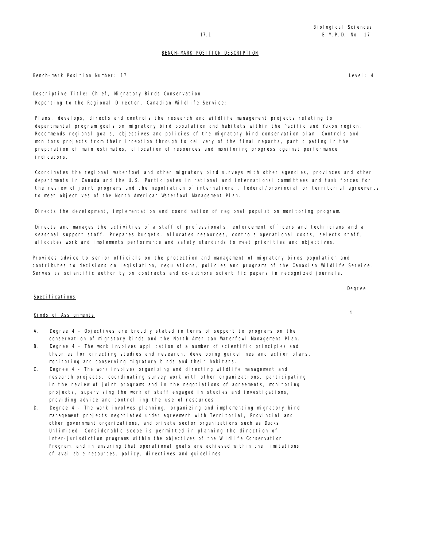Bench-mark Position Number: 17 Level: 4

Descriptive Title: Chief, Migratory Birds Conservation Reporting to the Regional Director, Canadian Wildlife Service:

Plans, develops, directs and controls the research and wildlife management projects relating to departmental program goals on migratory bird population and habitats within the Pacific and Yukon region. Recommends regional goals, objectives and policies of the migratory bird conservation plan. Controls and monitors projects from their inception through to delivery of the final reports, participating in the preparation of main estimates, allocation of resources and monitoring progress against performance indicators.

Coordinates the regional waterfowl and other migratory bird surveys with other agencies, provinces and other departments in Canada and the U.S. Participates in national and international committees and task forces for the review of joint programs and the negotiation of international, federal/provincial or territorial agreements to meet objectives of the North American Waterfowl Management Plan.

Directs the development, implementation and coordination of regional population monitoring program.

Directs and manages the activities of a staff of professionals, enforcement officers and technicians and a seasonal support staff. Prepares budgets, allocates resources, controls operational costs, selects staff, allocates work and implements performance and safety standards to meet priorities and objectives.

Provides advice to senior officials on the protection and management of migratory birds population and contributes to decisions on legislation, regulations, policies and programs of the Canadian Wildlife Service. Serves as scientific authority on contracts and co-authors scientific papers in recognized journals.

# Specifications

# Kinds of Assignments <sup>4</sup>

- A. Degree 4 Objectives are broadly stated in terms of support to programs on the conservation of migratory birds and the North American Waterfowl Management Plan.
- B. Degree 4 The work involves application of a number of scientific principles and theories for directing studies and research, developing guidelines and action plans, monitoring and conserving migratory birds and their habitats.
- C. Degree 4 The work involves organizing and directing wildlife management and research projects, coordinating survey work with other organizations, participating in the review of joint programs and in the negotiations of agreements, monitoring projects, supervising the work of staff engaged in studies and investigations, providing advice and controlling the use of resources.
- D. Degree 4 The work involves planning, organizing and implementing migratory bird management projects negotiated under agreement with Territorial, Provincial and other government organizations, and private sector organizations such as Ducks Unlimited. Considerable scope is permitted in planning the direction of inter-jurisdiction programs within the objectives of the Wildlife Conservation Program, and in ensuring that operational goals are achieved within the limitations of available resources, policy, directives and guidelines.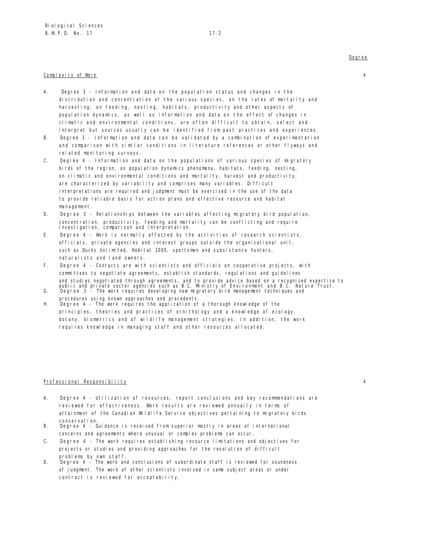### Complexity of Work 4

- A. Degree 3 Information and data on the population status and changes in the distribution and concentration of the various species, on the rates of mortality and harvesting, on feeding, nesting, habitats, productivity and other aspects of population dynamics, as well as information and data on the effect of changes in climatic and environmental conditions, are often difficult to obtain, select and interpret but sources usually can be identified from past practices and experiences.
- B. Degree 3 Information and data can be validated by a combination of experimentation and comparison with similar conditions in literature references or other flyways and related monitoring surveys.
- C. Degree 4 Information and data on the populations of various species of migratory birds of the region, on population dynamics phenomena, habitats, feeding, nesting, on climatic and environmental conditions and mortality, harvest and productivity, are characterized by variability and comprises many variables. Difficult interpretations are required and judgment must be exercised in the use of the data to provide reliable basis for action plans and effective resource and habitat management.
- D. Degree 3 Relationships between the variables affecting migratory bird population, concentration, productivity, feeding and mortality can be conflicting and require investigation, comparison and interpretation.
- E. Degree 4 Work is normally affected by the activities of research scientists, officials, private agencies and interest groups outside the organizational unit, such as Ducks Unlimited, Habitat 2000, sportsmen and subsistance hunters, naturalists and land owners.
- F. Degree 4 Contacts are with scientists and officials on cooperative projects, with committees to negotiate agreements, establish standards, regulations and guidelines and studies negotiated through agreements, and to provide advice based on a recognized expertise to<br>public and private sector agencies such as B.C. Ministry of Environment and B.C. Nature Trust.<br>G. Degree 3 - The work re
- procedures using known approaches and precedents. H. Degree 4 - The work requires the application of a thorough knowledge of the
- principles, theories and practices of ornithology and a knowledge of ecology, botany, biometrics and of wildlife management strategies. In addition, the work requires knowledge in managing staff and other resources allocated.

### Professional Responsibility 4

- A. Degree 4 Utilization of resources, report conclusions and key recommendations are reviewed for effectiveness. Work results are reviewed annually in terms of attainment of the Canadian Wildlife Service objectives pertaining to migratory birds conservation.
- B. Degree 4 Guidance is received from superior mostly in areas of international concerns and agreements where unusual or complex problems can occur.
- C. Degree 4 The work requires establishing resource limitations and objectives for projects or studies and providing approaches for the resolution of difficult
- problems by own staff.<br>Degree 4 The work an D. Degree 4 - The work and conclusions of subordinate staff is reviewed for soundness of judgment. The work of other scientists involved in same subject areas or under contract is reviewed for acceptability.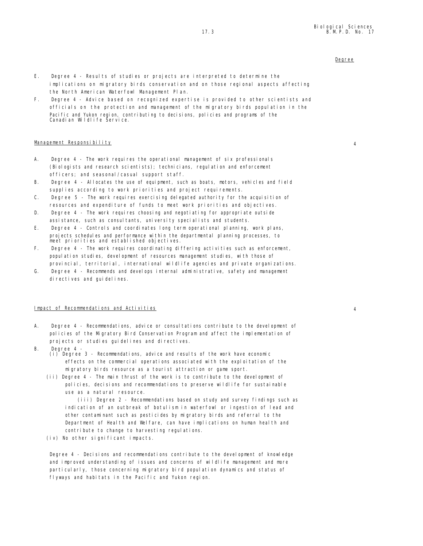- E. Degree 4 Results of studies or projects are interpreted to determine the implications on migratory birds conservation and on those regional aspects affecting the North American Waterfowl Management Plan.
- F. Degree 4 Advice based on recognized expertise is provided to other scientists and officials on the protection and management of the migratory birds population in the Pacific and Yukon region, contributing to decisions, policies and programs of the Canadian Wildlife Service.

# Management Responsibility 4

- A. Degree 4 The work requires the operational management of six professionals (Biologists and research scientists); technicians, regulation and enforcement officers; and seasonal/casual support staff.
- B. Degree 4 Allocates the use of equipment, such as boats, motors, vehicles and field supplies according to work priorities and project requirements.
- C. Degree 5 The work requires exercising delegated authority for the acquisition of resources and expenditure of funds to meet work priorities and objectives.
- D. Degree 4 The work requires choosing and negotiating for appropriate outside assistance, such as consultants, university specialists and students.
- E. Degree 4 Controls and coordinates long term operational planning, work plans, projects schedules and performance within the departmental planning processes, to meet priorities and established objectives.
- F. Degree 4 The work requires coordinating differing activities such as enforcement, population studies, development of resources management studies, with those of provincial, territorial, international wildlife agencies and private organizations.
- G. Degree 4 Recommends and develops internal administrative, safety and management directives and quidelines.

## Impact of Recommendations and Activities 4

- A. Degree 4 Recommendations, advice or consultations contribute to the development of policies of the Migratory Bird Conservation Program and affect the implementation of projects or studies guidelines and directives.
- B. Degree 4
	- (i) Degree 3 Recommendations, advice and results of the work have economic effects on the commercial operations associated with the exploitation of the migratory birds resource as a tourist attraction or game sport.
	- (ii) Degree 4 The main thrust of the work is to contribute to the development of policies, decisions and recommendations to preserve wildlife for sustainable use as a natural resource.

(iii) Degree 2 - Recommendations based on study and survey findings such as indication of an outbreak of botulism in waterfowl or ingestion of lead and other contaminant such as pesticides by migratory birds and referral to the Department of Health and Welfare, can have implications on human health and contribute to change to harvesting regulations.

 $(iv)$  No other significant impacts.

Degree 4 - Decisions and recommendations contribute to the development of knowledge and improved understanding of issues and concerns of wildlife management and more particularly, those concerning migratory bird population dynamics and status of flyways and habitats in the Pacific and Yukon region.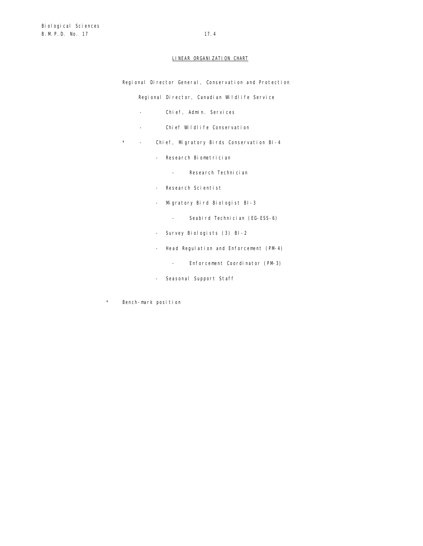## LINEAR ORGANIZATION CHART

Regional Director General, Conservation and Protection

Regional Director, Canadian Wildlife Service

- Chief, Admin. Services
- Chief Wildlife Conservation
- \* Chief, Migratory Birds Conservation BI-4
	- Research Biometrician
		- Research Technician
	- Research Scientist
	- Migratory Bird Biologist BI-3
		- Seabird Technician (EG-ESS-6)
	- Survey Biologists (3) BI-2
	- Head Regulation and Enforcement (PM-4)
		- Enforcement Coordinator (PM-3)
	- Seasonal Support Staff
- \* Bench-mark position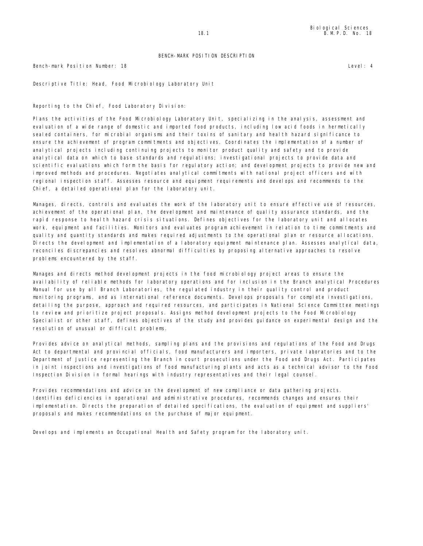Bench-mark Position Number: 18 Level: 4

Descriptive Title: Head, Food Microbiology Laboratory Unit

Reporting to the Chief, Food Laboratory Division:

Plans the activities of the Food Microbiology Laboratory Unit, specializing in the analysis, assessment and evaluation of a wide range of domestic and imported food products, including low acid foods in hermetically sealed containers, for microbial organisms and their toxins of sanitary and health hazard significance to ensure the achievement of program commitments and objectives. Coordinates the implementation of a number of analytical projects including continuing projects to monitor product quality and safety and to provide analytical data on which to base standards and regulations; investigational projects to provide data and scientific evaluations which form the basis for regulatory action; and development projects to provide new and improved methods and procedures. Negotiates analytical commitments with national project officers and with regional inspection staff. Assesses resource and equipment requirements and develops and recommends to the Chief, a detailed operational plan for the laboratory unit.

Manages, directs, controls and evaluates the work of the laboratory unit to ensure effective use of resources, achievement of the operational plan, the development and maintenance of quality assurance standards, and the rapid response to health hazard crisis situations. Defines objectives for the laboratory unit and allocates work, equipment and facilities. Monitors and evaluates program achievement in relation to time commitments and quality and quantity standards and makes required adjustments to the operational plan or resource allocations. Directs the development and implementation of a laboratory equipment maintenance plan. Assesses analytical data, reconciles discrepancies and resolves abnormal difficulties by proposing alternative approaches to resolve problems encountered by the staff.

Manages and directs method development projects in the food microbiology project areas to ensure the availability of reliable methods for laboratory operations and for inclusion in the Branch analytical Procedures Manual for use by all Branch Laboratories, the regulated industry in their quality control and product monitoring programs, and as international reference documents. Develops proposals for complete investigations, detailing the purpose, approach and required resources, and participates in National Science Committee meetings to review and prioritize project proposals. Assigns method development projects to the Food Microbiology Specialist or other staff, defines objectives of the study and provides guidance on experimental design and the resolution of unusual or difficult problems.

Provides advice on analytical methods, sampling plans and the provisions and regulations of the Food and Drugs Act to departmental and provincial officials, food manufacturers and importers, private laboratories and to the Department of Justice representing the Branch in court prosecutions under the Food and Drugs Act. Participates in joint inspections and investigations of food manufacturing plants and acts as a technical advisor to the Food Inspection Division in formal hearings with industry representatives and their legal counsel.

Provides recommendations and advice on the development of new compliance or data gathering projects. Identifies deficiencies in operational and administrative procedures, recommends changes and ensures their implementation. Directs the preparation of detailed specifications, the evaluation of equipment and suppliers' proposals and makes recommendations on the purchase of major equipment.

Develops and implements an Occupational Health and Safety program for the laboratory unit.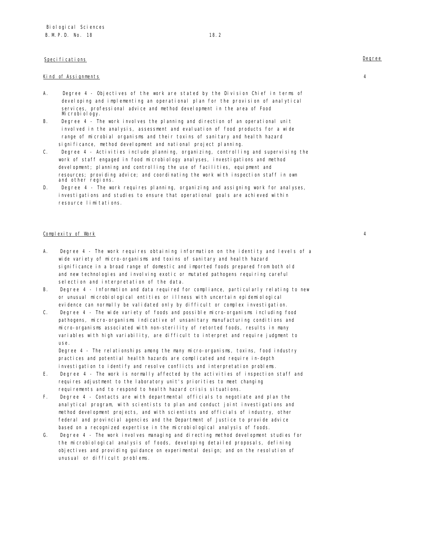# Specifications **Degree**

# Kind of Assignments 4

- A. Degree 4 Objectives of the work are stated by the Division Chief in terms of developing and implementing an operational plan for the provision of analytical services, professional advice and method development in the area of Food Mi crobi ol ogy.
- B. Degree 4 The work involves the planning and direction of an operational unit involved in the analysis, assessment and evaluation of food products for a wide range of microbial organisms and their toxins of sanitary and health hazard significance, method development and national project planning.
- C. Degree 4 Activities include planning, organizing, controlling and supervising the work of staff engaged in food microbiology analyses, investigations and method development; planning and controlling the use of facilities, equipment and resources; providing advice; and coordinating the work with inspection staff in own and other regions.
- D. Degree 4 The work requires planning, organizing and assigning work for analyses, investigations and studies to ensure that operational goals are achieved within resource limitations.

### Complexity of Work 4

- A. Degree 4 The work requires obtaining information on the identity and levels of a wide variety of micro-organisms and toxins of sanitary and health hazard significance in a broad range of domestic and imported foods prepared from both old and new technologies and involving exotic or mutated pathogens requiring careful selection and interpretation of the data.
- B. Degree 4 Information and data required for compliance, particularly relating to new or unusual microbiological entities or illness with uncertain epidemiological evidence can normally be validated only by difficult or complex investigation.
- C. Degree 4 The wide variety of foods and possible micro-organisms including food pathogens, micro-organisms indicative of unsanitary manufacturing conditions and micro-organisms associated with non-sterility of retorted foods, results in many variables with high variability, are difficult to interpret and require judgment to use.

Degree 4 - The relationships among the many micro-organisms, toxins, food industry practices and potential health hazards are complicated and require in-depth investigation to identify and resolve conflicts and interpretation problems.

- E. Degree 4 The work is normally affected by the activities of inspection staff and requires adjustment to the laboratory unit's priorities to meet changing requirements and to respond to health hazard crisis situations.
- F. Degree 4 Contacts are with departmental officials to negotiate and plan the analytical program, with scientists to plan and conduct joint investigations and method development projects, and with scientists and officials of industry, other federal and provincial agencies and the Department of Justice to provide advice based on a recognized expertise in the microbiological analysis of foods.
- G. Degree 4 The work involves managing and directing method development studies for the microbiological analysis of foods, developing detailed proposals, defining objectives and providing guidance on experimental design; and on the resolution of unusual or difficult problems.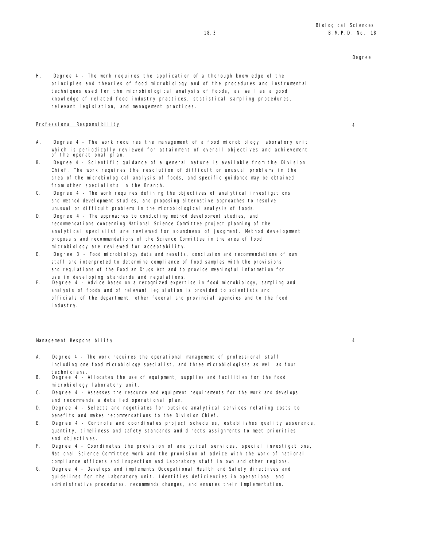H. Degree 4 - The work requires the application of a thorough knowledge of the principles and theories of food microbiology and of the procedures and instrumental techniques used for the microbiological analysis of foods, as well as a good knowledge of related food industry practices, statistical sampling procedures, relevant legislation, and management practices.

# Professional Responsibility 4

- A. Degree 4 The work requires the management of a food microbiology laboratory unit which is periodically reviewed for attainment of overall objectives and achievement of the operational plan.
- B. Degree 4 Scientific guidance of a general nature is available from the Division Chief. The work requires the resolution of difficult or unusual problems in the area of the microbiological analysis of foods, and specific guidance may be obtained from other specialists in the Branch.
- C. Degree 4 The work requires defining the objectives of analytical investigations and method devel opment studies, and proposing alternative approaches to resolve unusual or difficult problems in the microbiological analysis of foods.
- D. Degree 4 The approaches to conducting method development studies, and recommendations concerning National Science Committee project planning of the analytical specialist are reviewed for soundness of judgment. Method development proposals and recommendations of the Science Committee in the area of food microbiology are reviewed for acceptability.
- E. Degree 3 Food microbiology data and results, conclusion and recommendations of own staff are interpreted to determine compliance of food samples with the provisions and regulations of the Food an Drugs Act and to provide meaningful information for
- use in developing standards and regulations. F. Degree 4 Advice based on a recognized expertise in food microbiology, sampling and analysis of foods and of relevant legislation is provided to scientists and officials of the department, other federal and provincial agencies and to the food industry.

### Management Responsibility 4

- A. Degree 4 The work requires the operational management of professional staff including one food microbiology specialist, and three microbiologists as well as four techni ci ans.
- B. Degree 4 Allocates the use of equipment, supplies and facilities for the food microbiology laboratory unit.
- C. Degree 4 Assesses the resource and equipment requirements for the work and develops and recommends a detailed operational plan.
- D. Degree 4 Selects and negotiates for outside analytical services relating costs to benefits and makes recommendations to the Division Chief.
- E. Degree 4 Controls and coordinates project schedules, establishes quality assurance, quantity, timeliness and safety standards and directs assignments to meet priorities and objectives.
- F. Degree 4 Coordinates the provision of analytical services, special investigations, National Science Committee work and the provision of advice with the work of national compliance officers and inspection and Laboratory staff in own and other regions.
- G. Degree 4 Develops and implements Occupational Health and Safety directives and guidelines for the Laboratory unit. Identifies deficiencies in operational and administrative procedures, recommends changes, and ensures their implementation.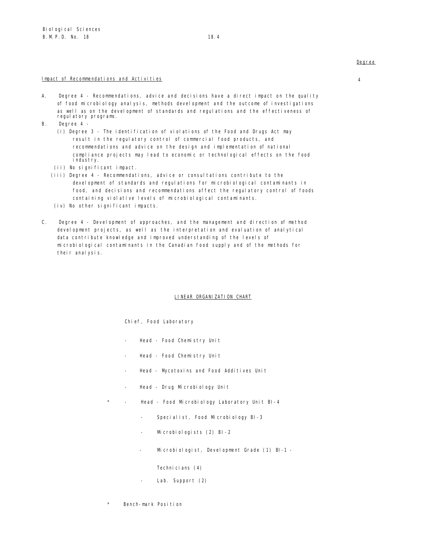# Impact of Recommendations and Activities 4

- A. Degree 4 Recommendations, advice and decisions have a direct impact on the quality of food microbiology analysis, methods development and the outcome of investigations as well as on the development of standards and regulations and the effectiveness of regulatory programs.
- B. Degree 4
	- (i) Degree 3 The identification of violations of the Food and Drugs Act may result in the regulatory control of commercial food products, and recommendations and advice on the design and implementation of national compliance projects may lead to economic or technological effects on the food industry.
	- (ii) No significant impact.
	- (iii) Degree 4 Recommendations, advice or consultations contribute to the devel opment of standards and regulations for microbiological contaminants in food, and decisions and recommendations affect the regulatory control of foods containing violative levels of microbiological contaminants.
	- $(iv)$  No other significant impacts.
- C. Degree 4 Development of approaches, and the management and direction of method devel opment projects, as well as the interpretation and evaluation of analytical data contribute knowledge and improved understanding of the levels of microbiological contaminants in the Canadian food supply and of the methods for their analysis.

### LINEAR ORGANIZATION CHART

Chief, Food Laboratory

- Head Food Chemistry Unit
- Head Food Chemistry Unit
- Head Mycotoxins and Food Additives Unit
- Head Drug Microbiology Unit
- Head Food Microbiology Laboratory Unit BI-4
	- Specialist, Food Microbiology BI-3
	- Microbiologists (2) BI-2
	- Microbiologist, Development Grade (1) BI-1 -

Technicians (4)

- Lab. Support (2)
- Bench-mark Position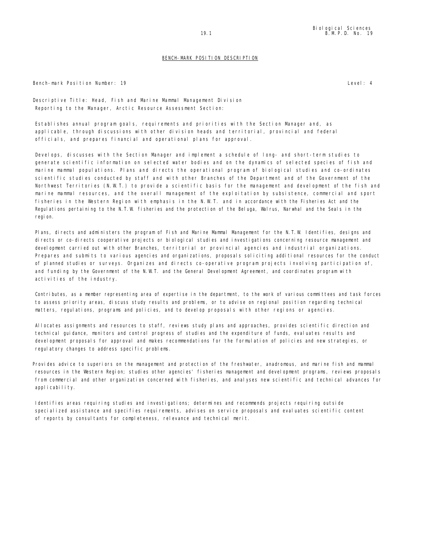Bench-mark Position Number: 19 Level: 4

Descriptive Title: Head, Fish and Marine Mammal Management Division Reporting to the Manager, Arctic Resource Assessment Section:

Establishes annual program goals, requirements and priorities with the Section Manager and, as applicable, through discussions with other division heads and territorial, provincial and federal officials, and prepares financial and operational plans for approval.

Develops, discusses with the Section Manager and implement a schedule of long- and short-term studies to generate scientific information on selected water bodies and on the dynamics of selected species of fish and marine mammal populations. Plans and directs the operational program of biological studies and co-ordinates scientific studies conducted by staff and with other Branches of the Department and of the Government of the Northwest Territories (N.W.T.) to provide a scientific basis for the management and development of the fish and marine mammal resources, and the overall management of the exploitation by subsistence, commercial and sport fisheries in the Western Region with emphasis in the N.W.T. and in accordance with the Fisheries Act and the Regulations pertaining to the N.T.W. fisheries and the protection of the Beluga, Walrus, Narwhal and the Seals in the regi on.

Plans, directs and administers the program of Fish and Marine Mammal Management for the N.T.W. Identifies, designs and directs or co-directs cooperative projects or biological studies and investigations concerning resource management and development carried out with other Branches, territorial or provincial agencies and industrial organizations. Prepares and submits to various agencies and organizations, proposals soliciting additional resources for the conduct of planned studies or surveys. Organizes and directs co-operative program projects involving participation of, and funding by the Government of the N.W.T. and the General Development Agreement, and coordinates program with activities of the industry.

Contributes, as a member representing area of expertise in the department, to the work of various committees and task forces to assess priority areas, discuss study results and problems, or to advise on regional position regarding technical matters, regulations, programs and policies, and to develop proposals with other regions or agencies.

Allocates assignments and resources to staff, reviews study plans and approaches, provides scientific direction and technical guidance, monitors and control progress of studies and the expenditure of funds, evaluates results and development proposals for approval and makes recommendations for the formulation of policies and new strategies, or regul atory changes to address specific problems.

Provides advice to superiors on the management and protection of the freshwater, anadromous, and marine fish and mammal resources in the Western Region; studies other agencies' fisheries management and development programs, reviews proposals from commercial and other organization concerned with fisheries, and analyses new scientific and technical advances for applicability.

Identifies areas requiring studies and investigations; determines and recommends projects requiring outside specialized assistance and specifies requirements, advises on service proposals and evaluates scientific content of reports by consultants for completeness, relevance and technical merit.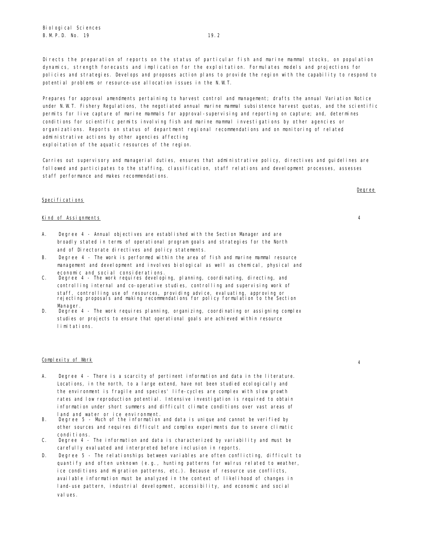Directs the preparation of reports on the status of particular fish and marine mammal stocks, on population dynamics, strength forecasts and implication for the exploitation. Formulates models and projections for policies and strategies. Develops and proposes action plans to provide the region with the capability to respond to potential problems or resource-use allocation issues in the N.W.T.

Prepares for approval amendments pertaining to harvest control and management; drafts the annual Variation Notice under N.W.T. Fishery Regulations, the negotiated annual marine mammal subsistence harvest quotas, and the scientific permits for live capture of marine mammals for approval-supervising and reporting on capture; and, determines conditions for scientific permits involving fish and marine mammal investigations by other agencies or organizations. Reports on status of department regional recommendations and on monitoring of related administrative actions by other agencies affecting exploitation of the aquatic resources of the region.

Carries out supervisory and managerial duties, ensures that administrative policy, directives and quidelines are followed and participates to the staffing, classification, staff relations and development processes, assesses staff performance and makes recommendations.

## Specifications

### Kind of Assignments 4

- A. Degree 4 Annual objectives are established with the Section Manager and are broadly stated in terms of operational program goals and strategies for the North and of Directorate directives and policy statements.
- B. Degree 4 The work is performed within the area of fish and marine mammal resource management and development and involves biological as well as chemical, physical and economic and social considerations.
- C. Degree 4 The work requires developing, planning, coordinating, directing, and controlling internal and co-operative studies, controlling and supervising work of staff, controlling use of resources, providing advice, evaluating, approving or rejecting proposals and making recommendations for policy formulation to the Section Manager
- D. Degree 4 The work requires planning, organizing, coordinating or assigning complex studies or projects to ensure that operational goals are achieved within resource limitations.

# Complexity of Work <sup>4</sup>

- A. Degree 4 There is a scarcity of pertinent information and data in the literature. Locations, in the north, to a large extend, have not been studied ecologically and the environment is fragile and species' life-cycles are complex with slow growth rates and low reproduction potential. Intensive investigation is required to obtain information under short summers and difficult climate conditions over vast areas of land and water or ice environment.
- B. Degree 5 Much of the information and data is unique and cannot be verified by other sources and requires difficult and complex experiments due to severe climatic conditions.
- C. Degree 4 The information and data is characterized by variability and must be carefully evaluated and interpreted before inclusion in reports.
- D. Degree 5 The relationships between variables are often conflicting, difficult to quantify and often unknown (e.g., hunting patterns for walrus related to weather, ice conditions and migration patterns, etc.). Because of resource use conflicts, available information must be analyzed in the context of likelihood of changes in land-use pattern, industrial development, accessibility, and economic and social val ues.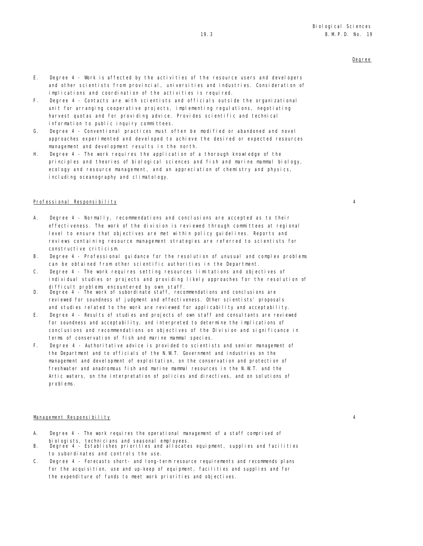- E. Degree 4 Work is affected by the activities of the resource users and developers and other scientists from provincial, universities and industries. Consideration of implications and coordination of the activities is required.
- F . Degree 4 Contacts are with scientists and officials outside the organizational unit for arranging cooperative projects, implementing regulations, negotiating harvest quotas and for providing advice. Provides scientific and technical information to public inquiry committees.
- G. Degree 4 Conventional practices must often be modified or abandoned and novel approaches experimented and developed to achieve the desired or expected resources management and development results in the north.
- H. Degree 4 The work requires the application of a thorough knowledge of the principles and theories of biological sciences and fish and marine mammal biology, ecology and resource management, and an appreciation of chemistry and physics, including oceanography and climatology.

## Professional Responsibility 4

- A. Degree 4 Normally, recommendations and conclusions are accepted as to their effectiveness. The work of the division is reviewed through committees at regional level to ensure that objectives are met within policy guidelines. Reports and reviews containing resource management strategies are referred to scientists for constructive criticism.
- B. Degree 4 Professional guidance for the resolution of unusual and complex problems can be obtained from other scientific authorities in the Department.
- C. Degree 4 The work requires setting resources limitations and objectives of individual studies or projects and providing likely approaches for the resolution of difficult problems encountered by own staff.
- D. Degree 4 The work of subordinate staff, recommendations and conclusions are reviewed for soundness of judgment and effectiveness. Other scientists' proposals and studies related to the work are reviewed for applicability and acceptability.
- E. Degree 4 Results of studies and projects of own staff and consultants are reviewed for soundness and acceptability, and interpreted to determine the implications of conclusions and recommendations on objectives of the Division and significance in terms of conservation of fish and marine mammal species.
- F. Degree 4 Authoritative advice is provided to scientists and senior management of the Department and to officials of the N.W.T. Government and industries on the management and development of exploitation, on the conservation and protection of freshwater and anadromous fish and marine mammal resources in the N.W.T. and the Artic waters, on the interpretation of policies and directives, and on solutions of problems.

# Management Responsibility 4

- A. Degree 4 The work requires the operational management of a staff comprised of
- biologists, technicians and seasonal employees. B. Degree 4 Establishes priorities and allocates equipment, supplies and facilities to subordinates and controls the use.
- C. Degree 4 Forecasts short- and long-term resource requirements and recommends plans for the acquisition, use and up-keep of equipment, facilities and supplies and for the expenditure of funds to meet work priorities and objectives.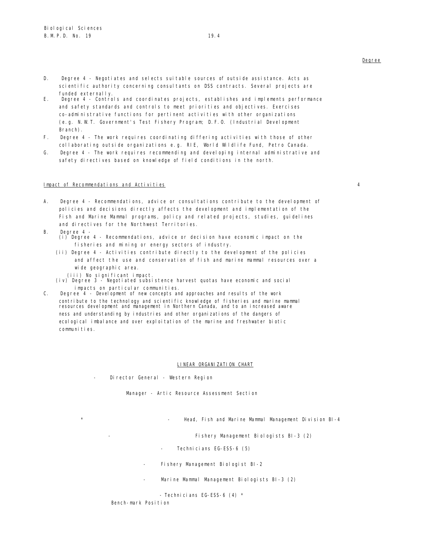- D. Degree 4 Negotiates and selects suitable sources of outside assistance. Acts as scientific authority concerning consultants on DSS contracts. Several projects are funded externally.
- E. Degree 4 Controls and coordinates projects, establishes and implements performance and safety standards and controls to meet priorities and objectives. Exercises co-administrative functions for pertinent activities with other organizations (e.g. N.W.T. Government's Test Fishery Program; D.F.O. (Industrial Development Branch).
- F. Degree 4 The work requires coordinating differing activities with those of other collaborating outside organizations e.g. RIE, World Wildlife Fund, Petro Canada.
- G. Degree 4 The work requires recommending and developing internal administrative and safety directives based on knowledge of field conditions in the north.

# Impact of Recommendations and Activities 4

- A. Degree 4 Recommendations, advice or consultations contribute to the development of policies and decisions directly affects the development and implementation of the Fish and Marine Mammal programs, policy and related projects, studies, guidelines and directives for the Northwest Territories.
- B. Degree 4
	- (i) Degree 4 Recommendations, advice or decision have economic impact on the fisheries and mining or energy sectors of industry.
	- (ii) Degree 4 Activities contribute directly to the development of the policies and affect the use and conservation of fish and marine mammal resources over a wide geographic area.
		- (iii) No significant impact.
	- (iv) Degree 3 Negotiated subsistence harvest quotas have economic and social impacts on particular communities.
- C. Degree 4 Development of new concepts and approaches and results of the work contribute to the technology and scientific knowledge of fisheries and marine mammal resources development and management in Northern Canada, and to an increased aware ness and understanding by industries and other organizations of the dangers of ecological imbalance and over exploitation of the marine and freshwater biotic communities.

### LINEAR ORGANIZATION CHART

Director General - Western Region

Manager - Artic Resource Assessment Section

Head, Fish and Marine Mammal Management Division BI-4

Fishery Management Biologists BI-3 (2)

- Technicians EG-ESS-6 (5)
- Fishery Management Biologist BI-2
- Marine Mammal Management Biologists BI-3 (2)

- Technicians EG-ESS-6 (4) \*

Bench-mark Position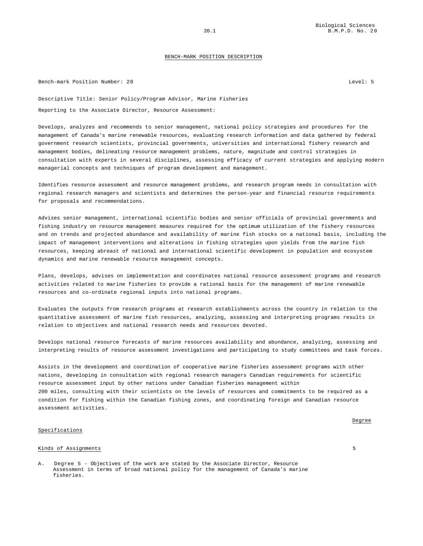Bench-mark Position Number: 20 Level: 5

Descriptive Title: Senior Policy/Program Advisor, Marine Fisheries Reporting to the Associate Director, Resource Assessment:

Develops, analyzes and recommends to senior management, national policy strategies and procedures for the management of Canada's marine renewable resources, evaluating research information and data gathered by federal government research scientists, provincial governments, universities and international fishery research and management bodies, delineating resource management problems, nature, magnitude and control strategies in consultation with experts in several disciplines, assessing efficacy of current strategies and applying modern managerial concepts and techniques of program development and management.

Identifies resource assessment and resource management problems, and research program needs in consultation with regional research managers and scientists and determines the person-year and financial resource requirements for proposals and recommendations.

Advises senior management, international scientific bodies and senior officials of provincial governments and fishing industry on resource management measures required for the optimum utilization of the fishery resources and on trends and projected abundance and availability of marine fish stocks on a national basis, including the impact of management interventions and alterations in fishing strategies upon yields from the marine fish resources, keeping abreast of national and international scientific development in population and ecosystem dynamics and marine renewable resource management concepts.

Plans, develops, advises on implementation and coordinates national resource assessment programs and research activities related to marine fisheries to provide a rational basis for the management of marine renewable resources and co-ordinate regional inputs into national programs.

Evaluates the outputs from research programs at research establishments across the country in relation to the quantitative assessment of marine fish resources, analyzing, assessing and interpreting programs results in relation to objectives and national research needs and resources devoted.

Develops national resource forecasts of marine resources availability and abundance, analyzing, assessing and interpreting results of resource assessment investigations and participating to study committees and task forces.

Assists in the development and coordination of cooperative marine fisheries assessment programs with other nations, developing in consultation with regional research managers Canadian requirements for scientific resource assessment input by other nations under Canadian fisheries management within 200 miles, consulting with their scientists on the levels of resources and commitments to be required as a condition for fishing within the Canadian fishing zones, and coordinating foreign and Canadian resource assessment activities.

### Specifications

### Kinds of Assignments 5

A. Degree 5 - Objectives of the work are stated by the Associate Director, Resource Assessment in terms of broad national policy for the management of Canada's marine fisheries.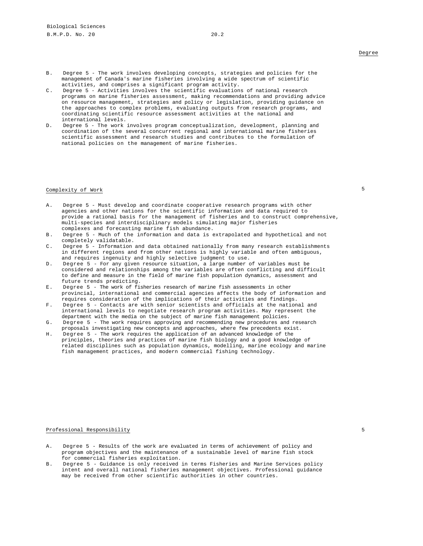- B. Degree 5 The work involves developing concepts, strategies and policies for the management of Canada's marine fisheries involving a wide spectrum of scientific activities, and comprises a significant program activity.
- C. Degree 5 Activities involves the scientific evaluations of national research programs on marine fisheries assessment, making recommendations and providing advice on resource management, strategies and policy or legislation, providing guidance on the approaches to complex problems, evaluating outputs from research programs, and coordinating scientific resource assessment activities at the national and international levels.
- D. Degree 5 The work involves program conceptualization, development, planning and coordination of the several concurrent regional and international marine fisheries scientific assessment and research studies and contributes to the formulation of national policies on the management of marine fisheries.

# Complexity of Work 5

- A. Degree 5 Must develop and coordinate cooperative research programs with other agencies and other nations for the scientific information and data required to provide a rational basis for the management of fisheries and to construct comprehensive, multi-species and interdisciplinary models simulating major fisheries complexes and forecasting marine fish abundance.
- B. Degree 5 Much of the information and data is extrapolated and hypothetical and not completely validatable.
- C. Degree 5 Information and data obtained nationally from many research establishments in different regions and from other nations is highly variable and often ambiguous, and requires ingenuity and highly selective judgment to use.
- D. Degree 5 For any given resource situation, a large number of variables must be considered and relationships among the variables are often conflicting and difficult to define and measure in the field of marine fish population dynamics, assessment and future trends predicting.
- E. Degree 5 The work of fisheries research of marine fish assessments in other provincial, international and commercial agencies affects the body of information and requires consideration of the implications of their activities and findings.
- F. Degree 5 Contacts are with senior scientists and officials at the national and international levels to negotiate research program activities. May represent the department with the media on the subject of marine fish management policies.
- G. Degree 5 The work requires approving and recommending new procedures and research proposals investigating new concepts and approaches, where few precedents exist.
- H. Degree 5 The work requires the application of an advanced knowledge of the principles, theories and practices of marine fish biology and a good knowledge of related disciplines such as population dynamics, modelling, marine ecology and marine fish management practices, and modern commercial fishing technology.

### Professional Responsibility 50 and 200 million control of the set of the set of the set of the set of the set of the set of the set of the set of the set of the set of the set of the set of the set of the set of the set of

- A. Degree 5 Results of the work are evaluated in terms of achievement of policy and program objectives and the maintenance of a sustainable level of marine fish stock for commercial fisheries exploitation.
- B. Degree 5 Guidance is only received in terms Fisheries and Marine Services policy intent and overall national fisheries management objectives. Professional guidance may be received from other scientific authorities in other countries.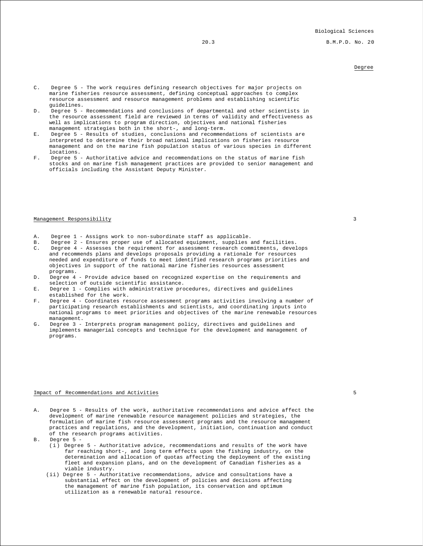20.3 B.M.P.D. No. 20

# Degree

- C. Degree 5 The work requires defining research objectives for major projects on marine fisheries resource assessment, defining conceptual approaches to complex resource assessment and resource management problems and establishing scientific guidelines.
- D. Degree 5 Recommendations and conclusions of departmental and other scientists in the resource assessment field are reviewed in terms of validity and effectiveness as well as implications to program direction, objectives and national fisheries management strategies both in the short-, and long-term.
- E. Degree 5 Results of studies, conclusions and recommendations of scientists are interpreted to determine their broad national implications on fisheries resource management and on the marine fish population status of various species in different locations.
- F. Degree 5 Authoritative advice and recommendations on the status of marine fish stocks and on marine fish management practices are provided to senior management and officials including the Assistant Deputy Minister.

# Management Responsibility 3

- A. Degree 1 Assigns work to non-subordinate staff as applicable.<br>B. Degree 2 Ensures proper use of allocated equipment, supplies
- B. Degree 2 Ensures proper use of allocated equipment, supplies and facilities.
- C. Degree 4 Assesses the requirement for assessment research commitments, develops and recommends plans and develops proposals providing a rationale for resources needed and expenditure of funds to meet identified research programs priorities and objectives in support of the national marine fisheries resources assessment programs.
- D. Degree 4 Provide advice based on recognized expertise on the requirements and selection of outside scientific assistance.
- E. Degree 1 Complies with administrative procedures, directives and guidelines established for the work.
- F. Degree 4 Coordinates resource assessment programs activities involving a number of participating research establishments and scientists, and coordinating inputs into national programs to meet priorities and objectives of the marine renewable resources management.
- G. Degree 3 Interprets program management policy, directives and guidelines and implements managerial concepts and technique for the development and management of programs.

### Impact of Recommendations and Activities 5

- A. Degree 5 Results of the work, authoritative recommendations and advice affect the development of marine renewable resource management policies and strategies, the formulation of marine fish resource assessment programs and the resource management practices and regulations, and the development, initiation, continuation and conduct of the research programs activities.
- B. Degree 5
	- (i) Degree 5 Authoritative advice, recommendations and results of the work have far reaching short-, and long term effects upon the fishing industry, on the determination and allocation of quotas affecting the deployment of the existing fleet and expansion plans, and on the development of Canadian fisheries as a viable industry.
	- (ii) Degree 5 Authoritative recommendations, advice and consultations have a substantial effect on the development of policies and decisions affecting the management of marine fish population, its conservation and optimum utilization as a renewable natural resource.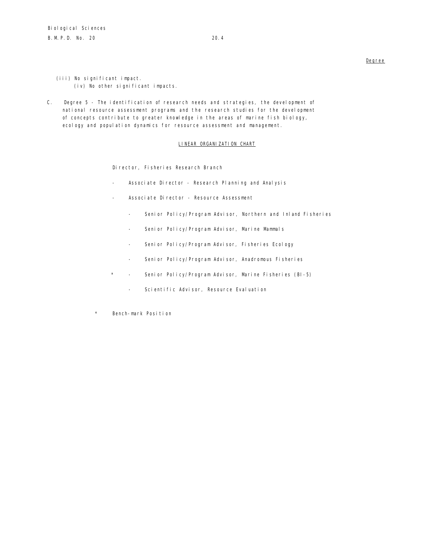- (iii) No significant impact. (iv) No other significant impacts.
- C. Degree 5 The identification of research needs and strategies, the development of national resource assessment programs and the research studies for the development of concepts contribute to greater knowledge in the areas of marine fish biology, ecology and population dynamics for resource assessment and management.

# LINEAR ORGANIZATION CHART

Director, Fisheries Research Branch

- Associate Director Research Planning and Analysis
- Associate Director Resource Assessment
	- Senior Policy/Program Advisor, Northern and Inland Fisheries
	- Senior Policy/Program Advisor, Marine Mammals
	- Senior Policy/Program Advisor, Fisheries Ecology
	- Senior Policy/Program Advisor, Anadromous Fisheries
- \* Senior Policy/Program Advisor, Marine Fisheries (BI-5)
	- Scientific Advisor, Resource Evaluation
- \* Bench-mark Position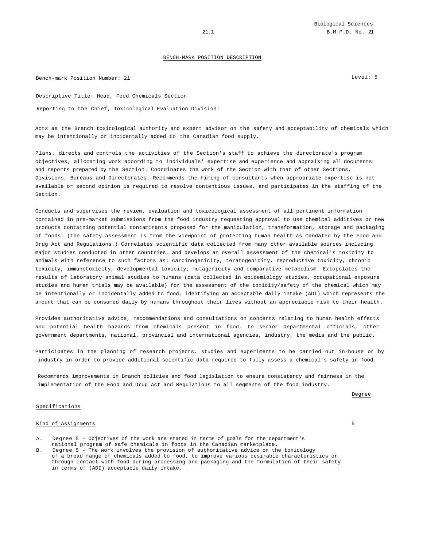Bench-mark Position Number: 21 Level: 5

Descriptive Title: Head, Food Chemicals Section Reporting to the Chief, Toxicological Evaluation Division:

Acts as the Branch toxicological authority and expert advisor on the safety and acceptability of chemicals which may be intentionally or incidentally added to the Canadian food supply.

Plans, directs and controls the activities of the Section's staff to achieve the directorate's program objectives, allocating work according to individuals' expertise and experience and appraising all documents and reports prepared by the Section. Coordinates the work of the Section with that of other Sections, Divisions, Bureaus and Directorates. Recommends the hiring of consultants when appropriate expertise is not available or second opinion is required to resolve contentious issues, and participates in the staffing of the Section.

Conducts and supervises the review, evaluation and toxicological assessment of all pertinent information contained in pre-market submissions from the food industry requesting approval to use chemical additives or new products containing potential contaminants proposed for the manipulation, transformation, storage and packaging of foods. (The safety assessment is from the viewpoint of protecting human health as mandated by the Food and Drug Act and Regulations.) Correlates scientific data collected from many other available sources including major studies conducted in other countries, and develops an overall assessment of the chemical's toxicity to animals with reference to such factors as: carcinogenicity, teratogenicity, reproductive toxicity, chronic toxicity, immunotoxicity, developmental toxicity, mutagenicity and comparative metabolism. Extopolates the results of laboratory animal studies to humans (data collected in epidemiology studies, occupational exposure studies and human trials may be available) for the assessment of the toxicity/safety of the chemical which may be intentionally or incidentally added to food, identifying an acceptable daily intake (ADI) which represents the amount that can be consumed daily by humans throughout their lives without an appreciable risk to their health.

Provides authoritative advice, recommendations and consultations on concerns relating to human health effects and potential health hazards from chemicals present in food, to senior departmental officials, other government departments, national, provincial and international agencies, industry, the media and the public.

Participates in the planning of research projects, studies and experiments to be carried out in-house or by industry in order to provide additional scientific data required to fully assess a chemical's safety in food.

Recommends improvements in Branch policies and food legislation to ensure consistency and fairness in the implementation of the Food and Drug Act and Regulations to all segments of the food industry.

Degree

### Specifications

### Kind of Assignments 5

- A. Degree 5 Objectives of the work are stated in terms of goals for the department's national program of safe chemicals in foods in the Canadian marketplace.
- B. Degree 5 The work involves the provision of authoritative advice on the toxicology of a broad range of chemicals added to food, to improve various desirable characteristics or through contact with food during processing and packaging and the formulation of their safety in terms of (ADI) acceptable daily intake.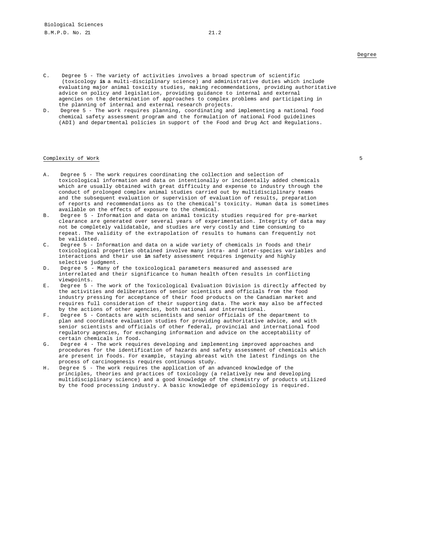- C. Degree 5 The variety of activities involves a broad spectrum of scientific (toxicology **is** a multi-disciplinary science) and administrative duties which include evaluating major animal toxicity studies, making recommendations, providing authoritative advice on policy and legislation, providing guidance to internal and external agencies on the determination of approaches to complex problems and participating in the planning of internal and external research projects.
- D. Degree 5 The work requires planning, coordinating and implementing a national food chemical safety assessment program and the formulation of national Food guidelines (ADI) and departmental policies in support of the Food and Drug Act and Regulations.

### Complexity of Work 5

- A. Degree 5 The work requires coordinating the collection and selection of toxicological information and data on intentionally or incidentally added chemicals which are usually obtained with great difficulty and expense to industry through the conduct of prolonged complex animal studies carried out by multidisciplinary teams and the subsequent evaluation or supervision of evaluation of results, preparation of reports and recommendations as to the chemical's toxicity. Human data is sometimes available on the effects of exposure to the chemical.
- B. Degree 5 Information and data on animal toxicity studies required for pre-market clearance are generated over several years of experimentation. Integrity of data may not be completely validatable, and studies are very costly and time consuming to repeat. The validity of the extrapolation of results to humans can frequently not be validated.
- C. Degree 5 Information and data on a wide variety of chemicals in foods and their toxicological properties obtained involve many intra- and inter-species variables and interactions and their use **in** safety assessment requires ingenuity and highly selective judgment.
- D. Degree 5 Many of the toxicological parameters measured and assessed are interrelated and their significance to human health often results in conflicting viewpoints.
- E. Degree 5 The work of the Toxicological Evaluation Division is directly affected by the activities and deliberations of senior scientists and officials from the food industry pressing for acceptance of their food products on the Canadian market and requires full consideration of their supporting data. The work may also be affected by the actions of other agencies, both national and international.
- F. Degree 5 Contacts are with scientists and senior officials of the department to plan and coordinate evaluation studies for providing authoritative advice, and with senior scientists and officials of other federal, provincial and international food regulatory agencies, for exchanging information and advice on the acceptability of certain chemicals in food.
- G. Degree 4 The work requires developing and implementing improved approaches and procedures for the identification of hazards and safety assessment of chemicals which are present in foods. For example, staying abreast with the latest findings on the process of carcinogenesis requires continuous study.
- H. Degree 5 The work requires the application of an advanced knowledge of the principles, theories and practices of toxicology (a relatively new and developing multidisciplinary science) and a good knowledge of the chemistry of products utilized by the food processing industry. A basic knowledge of epidemiology is required.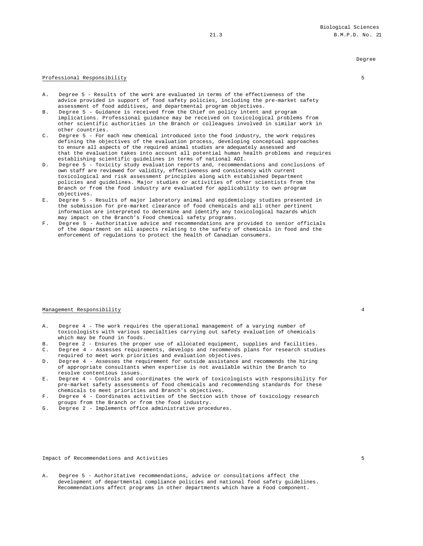### Professional Responsibility 50 and 200 million control of the set of the set of the set of the set of the set of the set of the set of the set of the set of the set of the set of the set of the set of the set of the set of

- A. Degree 5 Results of the work are evaluated in terms of the effectiveness of the advice provided in support of food safety policies, including the pre-market safety assessment of food additives, and departmental program objectives.
- B. Degree 5 Guidance is received from the Chief on policy intent and program implications. Professional guidance may be received on toxicological problems from other scientific authorities in the Branch or colleagues involved in similar work in other countries.
- C. Degree 5 For each new chemical introduced into the food industry, the work requires defining the objectives of the evaluation process, developing conceptual approaches to ensure all aspects of the required animal studies are adequately assessed and that the evaluation takes into account all potential human health problems and requires establishing scientific guidelines in terms of national ADI.
- D. Degree 5 Toxicity study evaluation reports and, recommendations and conclusions of own staff are reviewed for validity, effectiveness and consistency with current toxicological and risk assessment principles along with established Department policies and guidelines. Major studies or activities of other scientists from the Branch or from the food industry are evaluated for applicability to own program objectives.
- E. Degree 5 Results of major laboratory animal and epidemiology studies presented in the submission for pre-market clearance of food chemicals and all other pertinent information are interpreted to determine and identify any toxicological hazards which may impact on the Branch's Food chemical safety programs.
- F. Degree 5 Authoritative advice and recommendations are provided to senior officials of the department on all aspects relating to the safety of chemicals in food and the enforcement of regulations to protect the health of Canadian consumers.

### Management Responsibility 4

- A. Degree 4 The work requires the operational management of a varying number of toxicologists with various specialties carrying out safety evaluation of chemicals which may be found in foods.
- B. Degree 2 Ensures the proper use of allocated equipment, supplies and facilities.<br>C. Degree 4 Assesses requirements, develops and recommends plans for research stud:
- Degree 4 Assesses requirements, develops and recommends plans for research studies required to meet work priorities and evaluation objectives.
- D. Degree 4 Assesses the requirement for outside assistance and recommends the hiring of appropriate consultants when expertise is not available within the Branch to resolve contentious issues.
- E. Degree 4 Controls and coordinates the work of toxicologists with responsibility for pre-market safety assessments of food chemicals and recommending standards for these chemicals to meet priorities and Branch's objectives.
- F. Degree 4 Coordinates activities of the Section with those of toxicology research groups from the Branch or from the food industry.
- G. Degree 2 Implements office administrative procedures.

Impact of Recommendations and Activities 5

- 
- A. Degree 5 Authoritative recommendations, advice or consultations affect the development of departmental compliance policies and national food safety guidelines. Recommendations affect programs in other departments which have a Food component.